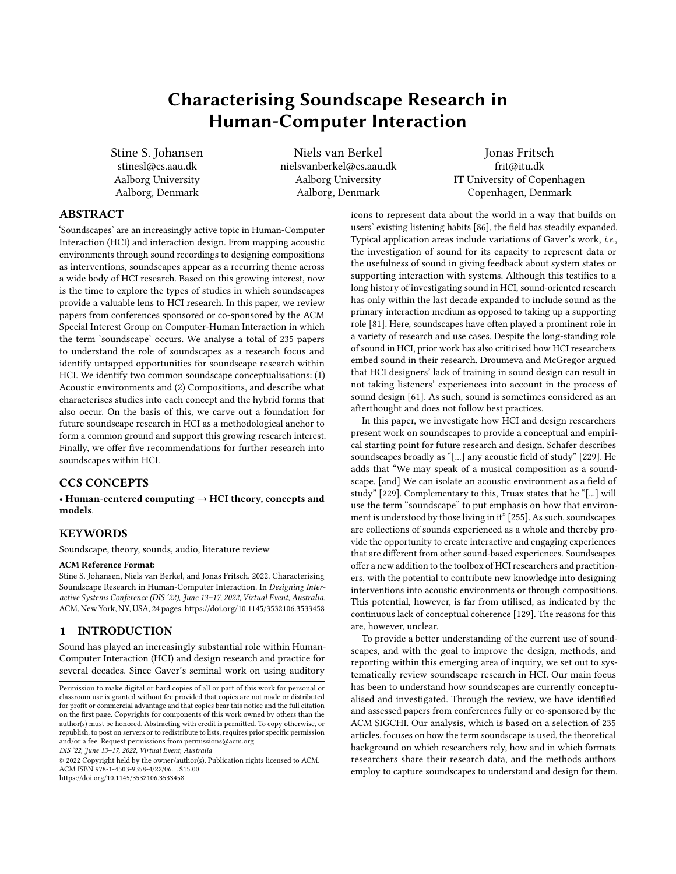# Characterising Soundscape Research in Human-Computer Interaction

Stine S. Johansen stinesl@cs.aau.dk Aalborg University Aalborg, Denmark

Niels van Berkel nielsvanberkel@cs.aau.dk Aalborg University Aalborg, Denmark

Jonas Fritsch frit@itu.dk IT University of Copenhagen Copenhagen, Denmark

# ABSTRACT

'Soundscapes' are an increasingly active topic in Human-Computer Interaction (HCI) and interaction design. From mapping acoustic environments through sound recordings to designing compositions as interventions, soundscapes appear as a recurring theme across a wide body of HCI research. Based on this growing interest, now is the time to explore the types of studies in which soundscapes provide a valuable lens to HCI research. In this paper, we review papers from conferences sponsored or co-sponsored by the ACM Special Interest Group on Computer-Human Interaction in which the term 'soundscape' occurs. We analyse a total of 235 papers to understand the role of soundscapes as a research focus and identify untapped opportunities for soundscape research within HCI. We identify two common soundscape conceptualisations: (1) Acoustic environments and (2) Compositions, and describe what characterises studies into each concept and the hybrid forms that also occur. On the basis of this, we carve out a foundation for future soundscape research in HCI as a methodological anchor to form a common ground and support this growing research interest. Finally, we offer five recommendations for further research into soundscapes within HCI.

## CCS CONCEPTS

• Human-centered computing  $\rightarrow$  HCI theory, concepts and models.

# **KEYWORDS**

Soundscape, theory, sounds, audio, literature review

#### ACM Reference Format:

Stine S. Johansen, Niels van Berkel, and Jonas Fritsch. 2022. Characterising Soundscape Research in Human-Computer Interaction. In Designing Interactive Systems Conference (DIS '22), June 13–17, 2022, Virtual Event, Australia. ACM, New York, NY, USA, [24](#page-23-0) pages.<https://doi.org/10.1145/3532106.3533458>

#### 1 INTRODUCTION

Sound has played an increasingly substantial role within Human-Computer Interaction (HCI) and design research and practice for several decades. Since Gaver's seminal work on using auditory

DIS '22, June 13–17, 2022, Virtual Event, Australia

© 2022 Copyright held by the owner/author(s). Publication rights licensed to ACM. ACM ISBN 978-1-4503-9358-4/22/06. . . \$15.00 <https://doi.org/10.1145/3532106.3533458>

icons to represent data about the world in a way that builds on users' existing listening habits [\[86\]](#page-13-0), the field has steadily expanded. Typical application areas include variations of Gaver's work, i.e., the investigation of sound for its capacity to represent data or the usefulness of sound in giving feedback about system states or supporting interaction with systems. Although this testifies to a long history of investigating sound in HCI, sound-oriented research has only within the last decade expanded to include sound as the primary interaction medium as opposed to taking up a supporting role [\[81\]](#page-13-1). Here, soundscapes have often played a prominent role in a variety of research and use cases. Despite the long-standing role of sound in HCI, prior work has also criticised how HCI researchers embed sound in their research. Droumeva and McGregor argued that HCI designers' lack of training in sound design can result in not taking listeners' experiences into account in the process of sound design [\[61\]](#page-12-0). As such, sound is sometimes considered as an afterthought and does not follow best practices.

In this paper, we investigate how HCI and design researchers present work on soundscapes to provide a conceptual and empirical starting point for future research and design. Schafer describes soundscapes broadly as "[...] any acoustic field of study" [\[229\]](#page-17-0). He adds that "We may speak of a musical composition as a soundscape, [and] We can isolate an acoustic environment as a field of study" [\[229\]](#page-17-0). Complementary to this, Truax states that he "[...] will use the term "soundscape" to put emphasis on how that environment is understood by those living in it" [\[255\]](#page-18-0). As such, soundscapes are collections of sounds experienced as a whole and thereby provide the opportunity to create interactive and engaging experiences that are different from other sound-based experiences. Soundscapes offer a new addition to the toolbox of HCI researchers and practitioners, with the potential to contribute new knowledge into designing interventions into acoustic environments or through compositions. This potential, however, is far from utilised, as indicated by the continuous lack of conceptual coherence [\[129\]](#page-14-0). The reasons for this are, however, unclear.

To provide a better understanding of the current use of soundscapes, and with the goal to improve the design, methods, and reporting within this emerging area of inquiry, we set out to systematically review soundscape research in HCI. Our main focus has been to understand how soundscapes are currently conceptualised and investigated. Through the review, we have identified and assessed papers from conferences fully or co-sponsored by the ACM SIGCHI. Our analysis, which is based on a selection of 235 articles, focuses on how the term soundscape is used, the theoretical background on which researchers rely, how and in which formats researchers share their research data, and the methods authors employ to capture soundscapes to understand and design for them.

Permission to make digital or hard copies of all or part of this work for personal or classroom use is granted without fee provided that copies are not made or distributed for profit or commercial advantage and that copies bear this notice and the full citation on the first page. Copyrights for components of this work owned by others than the author(s) must be honored. Abstracting with credit is permitted. To copy otherwise, or republish, to post on servers or to redistribute to lists, requires prior specific permission and/or a fee. Request permissions from permissions@acm.org.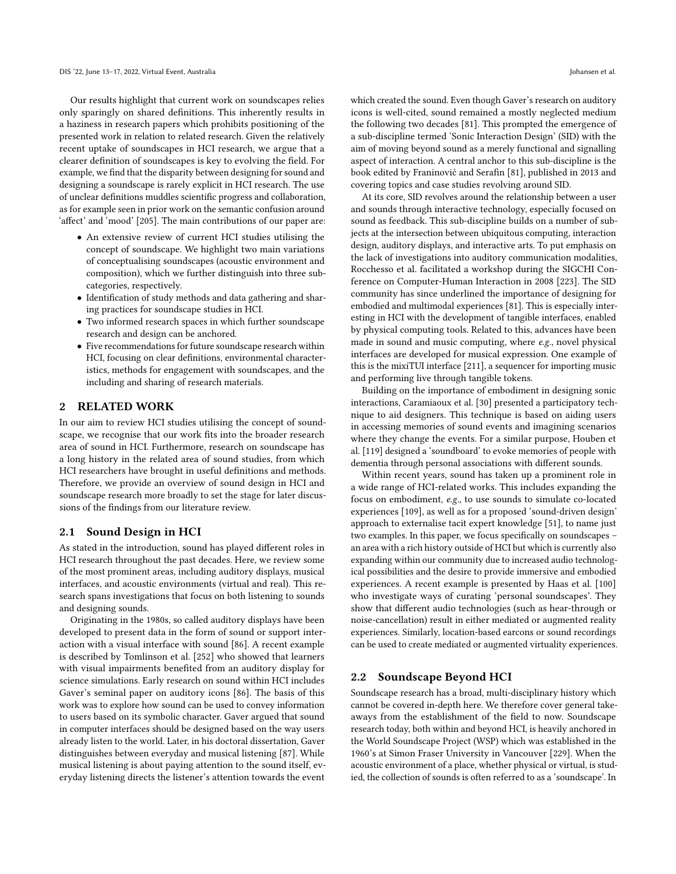Our results highlight that current work on soundscapes relies only sparingly on shared definitions. This inherently results in a haziness in research papers which prohibits positioning of the presented work in relation to related research. Given the relatively recent uptake of soundscapes in HCI research, we argue that a clearer definition of soundscapes is key to evolving the field. For example, we find that the disparity between designing for sound and designing a soundscape is rarely explicit in HCI research. The use of unclear definitions muddles scientific progress and collaboration, as for example seen in prior work on the semantic confusion around 'affect' and 'mood' [\[205\]](#page-16-0). The main contributions of our paper are:

- An extensive review of current HCI studies utilising the concept of soundscape. We highlight two main variations of conceptualising soundscapes (acoustic environment and composition), which we further distinguish into three subcategories, respectively.
- Identification of study methods and data gathering and sharing practices for soundscape studies in HCI.
- Two informed research spaces in which further soundscape research and design can be anchored.
- Five recommendations for future soundscape research within HCI, focusing on clear definitions, environmental characteristics, methods for engagement with soundscapes, and the including and sharing of research materials.

# 2 RELATED WORK

In our aim to review HCI studies utilising the concept of soundscape, we recognise that our work fits into the broader research area of sound in HCI. Furthermore, research on soundscape has a long history in the related area of sound studies, from which HCI researchers have brought in useful definitions and methods. Therefore, we provide an overview of sound design in HCI and soundscape research more broadly to set the stage for later discussions of the findings from our literature review.

### 2.1 Sound Design in HCI

As stated in the introduction, sound has played different roles in HCI research throughout the past decades. Here, we review some of the most prominent areas, including auditory displays, musical interfaces, and acoustic environments (virtual and real). This research spans investigations that focus on both listening to sounds and designing sounds.

Originating in the 1980s, so called auditory displays have been developed to present data in the form of sound or support interaction with a visual interface with sound [\[86\]](#page-13-0). A recent example is described by Tomlinson et al. [\[252\]](#page-18-1) who showed that learners with visual impairments benefited from an auditory display for science simulations. Early research on sound within HCI includes Gaver's seminal paper on auditory icons [\[86\]](#page-13-0). The basis of this work was to explore how sound can be used to convey information to users based on its symbolic character. Gaver argued that sound in computer interfaces should be designed based on the way users already listen to the world. Later, in his doctoral dissertation, Gaver distinguishes between everyday and musical listening [\[87\]](#page-13-2). While musical listening is about paying attention to the sound itself, everyday listening directs the listener's attention towards the event

which created the sound. Even though Gaver's research on auditory icons is well-cited, sound remained a mostly neglected medium the following two decades [\[81\]](#page-13-1). This prompted the emergence of a sub-discipline termed 'Sonic Interaction Design' (SID) with the aim of moving beyond sound as a merely functional and signalling aspect of interaction. A central anchor to this sub-discipline is the book edited by Franinović and Serafin [\[81\]](#page-13-1), published in 2013 and covering topics and case studies revolving around SID.

At its core, SID revolves around the relationship between a user and sounds through interactive technology, especially focused on sound as feedback. This sub-discipline builds on a number of subjects at the intersection between ubiquitous computing, interaction design, auditory displays, and interactive arts. To put emphasis on the lack of investigations into auditory communication modalities, Rocchesso et al. facilitated a workshop during the SIGCHI Conference on Computer-Human Interaction in 2008 [\[223\]](#page-17-1). The SID community has since underlined the importance of designing for embodied and multimodal experiences [\[81\]](#page-13-1). This is especially interesting in HCI with the development of tangible interfaces, enabled by physical computing tools. Related to this, advances have been made in sound and music computing, where e.g., novel physical interfaces are developed for musical expression. One example of this is the mixiTUI interface [\[211\]](#page-17-2), a sequencer for importing music and performing live through tangible tokens.

Building on the importance of embodiment in designing sonic interactions, Caramiaoux et al. [\[30\]](#page-11-0) presented a participatory technique to aid designers. This technique is based on aiding users in accessing memories of sound events and imagining scenarios where they change the events. For a similar purpose, Houben et al. [\[119\]](#page-14-1) designed a 'soundboard' to evoke memories of people with dementia through personal associations with different sounds.

Within recent years, sound has taken up a prominent role in a wide range of HCI-related works. This includes expanding the focus on embodiment, e.g., to use sounds to simulate co-located experiences [\[109\]](#page-14-2), as well as for a proposed 'sound-driven design' approach to externalise tacit expert knowledge [\[51\]](#page-12-1), to name just two examples. In this paper, we focus specifically on soundscapes – an area with a rich history outside of HCI but which is currently also expanding within our community due to increased audio technological possibilities and the desire to provide immersive and embodied experiences. A recent example is presented by Haas et al. [\[100\]](#page-13-3) who investigate ways of curating 'personal soundscapes'. They show that different audio technologies (such as hear-through or noise-cancellation) result in either mediated or augmented reality experiences. Similarly, location-based earcons or sound recordings can be used to create mediated or augmented virtuality experiences.

#### 2.2 Soundscape Beyond HCI

Soundscape research has a broad, multi-disciplinary history which cannot be covered in-depth here. We therefore cover general takeaways from the establishment of the field to now. Soundscape research today, both within and beyond HCI, is heavily anchored in the World Soundscape Project (WSP) which was established in the 1960's at Simon Fraser University in Vancouver [\[229\]](#page-17-0). When the acoustic environment of a place, whether physical or virtual, is studied, the collection of sounds is often referred to as a 'soundscape'. In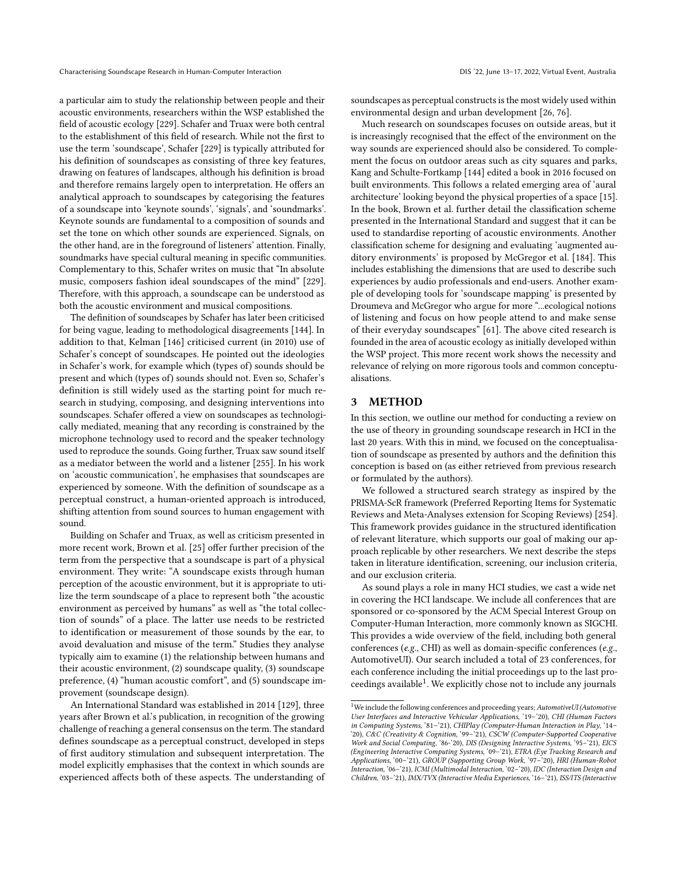a particular aim to study the relationship between people and their acoustic environments, researchers within the WSP established the field of acoustic ecology [\[229\]](#page-17-0). Schafer and Truax were both central to the establishment of this field of research. While not the first to use the term 'soundscape', Schafer [\[229\]](#page-17-0) is typically attributed for his definition of soundscapes as consisting of three key features, drawing on features of landscapes, although his definition is broad and therefore remains largely open to interpretation. He offers an analytical approach to soundscapes by categorising the features of a soundscape into 'keynote sounds', 'signals', and 'soundmarks'. Keynote sounds are fundamental to a composition of sounds and set the tone on which other sounds are experienced. Signals, on the other hand, are in the foreground of listeners' attention. Finally, soundmarks have special cultural meaning in specific communities. Complementary to this, Schafer writes on music that "In absolute music, composers fashion ideal soundscapes of the mind" [\[229\]](#page-17-0). Therefore, with this approach, a soundscape can be understood as both the acoustic environment and musical compositions.

The definition of soundscapes by Schafer has later been criticised for being vague, leading to methodological disagreements [\[144\]](#page-15-0). In addition to that, Kelman [\[146\]](#page-15-1) criticised current (in 2010) use of Schafer's concept of soundscapes. He pointed out the ideologies in Schafer's work, for example which (types of) sounds should be present and which (types of) sounds should not. Even so, Schafer's definition is still widely used as the starting point for much research in studying, composing, and designing interventions into soundscapes. Schafer offered a view on soundscapes as technologically mediated, meaning that any recording is constrained by the microphone technology used to record and the speaker technology used to reproduce the sounds. Going further, Truax saw sound itself as a mediator between the world and a listener [\[255\]](#page-18-0). In his work on 'acoustic communication', he emphasises that soundscapes are experienced by someone. With the definition of soundscape as a perceptual construct, a human-oriented approach is introduced, shifting attention from sound sources to human engagement with sound.

Building on Schafer and Truax, as well as criticism presented in more recent work, Brown et al. [\[25\]](#page-11-1) offer further precision of the term from the perspective that a soundscape is part of a physical environment. They write: "A soundscape exists through human perception of the acoustic environment, but it is appropriate to utilize the term soundscape of a place to represent both "the acoustic environment as perceived by humans" as well as "the total collection of sounds" of a place. The latter use needs to be restricted to identification or measurement of those sounds by the ear, to avoid devaluation and misuse of the term." Studies they analyse typically aim to examine (1) the relationship between humans and their acoustic environment, (2) soundscape quality, (3) soundscape preference, (4) "human acoustic comfort", and (5) soundscape improvement (soundscape design).

An International Standard was established in 2014 [\[129\]](#page-14-0), three years after Brown et al.'s publication, in recognition of the growing challenge of reaching a general consensus on the term. The standard defines soundscape as a perceptual construct, developed in steps of first auditory stimulation and subsequent interpretation. The model explicitly emphasises that the context in which sounds are experienced affects both of these aspects. The understanding of soundscapes as perceptual constructs is the most widely used within environmental design and urban development [\[26,](#page-11-2) [76\]](#page-13-4).

Much research on soundscapes focuses on outside areas, but it is increasingly recognised that the effect of the environment on the way sounds are experienced should also be considered. To complement the focus on outdoor areas such as city squares and parks, Kang and Schulte-Fortkamp [\[144\]](#page-15-0) edited a book in 2016 focused on built environments. This follows a related emerging area of 'aural architecture' looking beyond the physical properties of a space [\[15\]](#page-11-3). In the book, Brown et al. further detail the classification scheme presented in the International Standard and suggest that it can be used to standardise reporting of acoustic environments. Another classification scheme for designing and evaluating 'augmented auditory environments' is proposed by McGregor et al. [\[184\]](#page-16-1). This includes establishing the dimensions that are used to describe such experiences by audio professionals and end-users. Another example of developing tools for 'soundscape mapping' is presented by Droumeva and McGregor who argue for more "...ecological notions of listening and focus on how people attend to and make sense of their everyday soundscapes" [\[61\]](#page-12-0). The above cited research is founded in the area of acoustic ecology as initially developed within the WSP project. This more recent work shows the necessity and relevance of relying on more rigorous tools and common conceptualisations.

## 3 METHOD

In this section, we outline our method for conducting a review on the use of theory in grounding soundscape research in HCI in the last 20 years. With this in mind, we focused on the conceptualisation of soundscape as presented by authors and the definition this conception is based on (as either retrieved from previous research or formulated by the authors).

We followed a structured search strategy as inspired by the PRISMA-ScR framework (Preferred Reporting Items for Systematic Reviews and Meta-Analyses extension for Scoping Reviews) [\[254\]](#page-18-2). This framework provides guidance in the structured identification of relevant literature, which supports our goal of making our approach replicable by other researchers. We next describe the steps taken in literature identification, screening, our inclusion criteria, and our exclusion criteria.

As sound plays a role in many HCI studies, we cast a wide net in covering the HCI landscape. We include all conferences that are sponsored or co-sponsored by the ACM Special Interest Group on Computer-Human Interaction, more commonly known as SIGCHI. This provides a wide overview of the field, including both general conferences (e.g., CHI) as well as domain-specific conferences (e.g., AutomotiveUI). Our search included a total of 23 conferences, for each conference including the initial proceedings up to the last pro-ceedings available<sup>[1](#page-2-0)</sup>. We explicitly chose not to include any journals

<span id="page-2-0"></span><sup>&</sup>lt;sup>1</sup>We include the following conferences and proceeding years;  $AutomotiveUI(Automotive)$ User Interfaces and Interactive Vehicular Applications, '19–'20), CHI (Human Factors in Computing Systems, '81–'21), CHIPlay (Computer-Human Interaction in Play, '14– '20), C&C (Creativity & Cognition, '99–'21), CSCW (Computer-Supported Cooperative Work and Social Computing, '86-'20), DIS (Designing Interactive Systems, '95–'21), EICS (Engineering Interactive Computing Systems, '09–'21), ETRA (Eye Tracking Research and Applications, '00–'21), GROUP (Supporting Group Work, '97–'20), HRI (Human-Robot Interaction, '06–'21), ICMI (Multimodal Interaction, '02–'20), IDC (Interaction Design and Children, '03–'21), IMX/TVX (Interactive Media Experiences, '16–'21), ISS/ITS (Interactive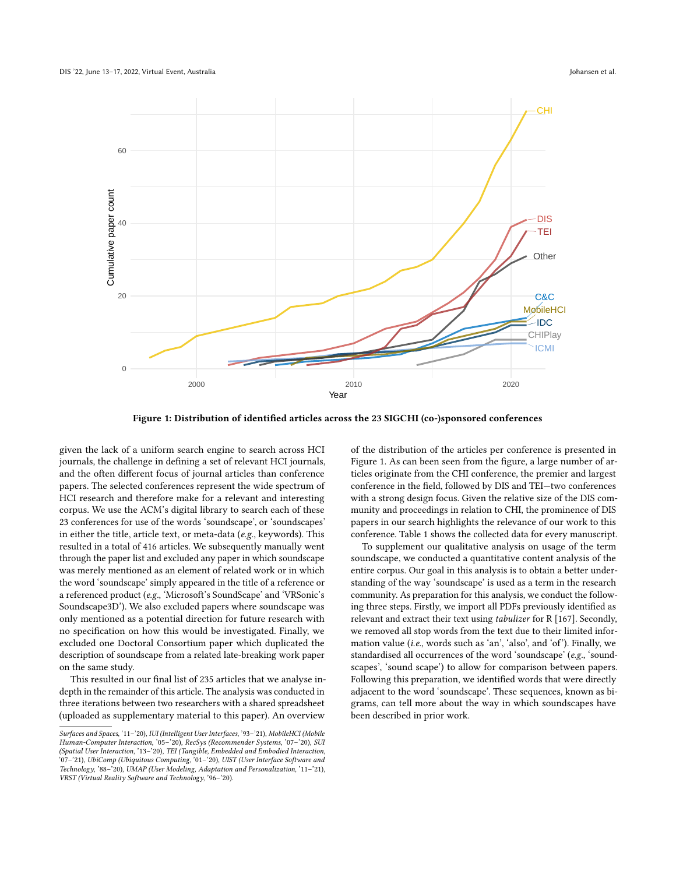<span id="page-3-0"></span>

Figure 1: Distribution of identified articles across the 23 SIGCHI (co-)sponsored conferences

given the lack of a uniform search engine to search across HCI journals, the challenge in defining a set of relevant HCI journals, and the often different focus of journal articles than conference papers. The selected conferences represent the wide spectrum of HCI research and therefore make for a relevant and interesting corpus. We use the ACM's digital library to search each of these 23 conferences for use of the words 'soundscape', or 'soundscapes' in either the title, article text, or meta-data (e.g., keywords). This resulted in a total of 416 articles. We subsequently manually went through the paper list and excluded any paper in which soundscape was merely mentioned as an element of related work or in which the word 'soundscape' simply appeared in the title of a reference or a referenced product (e.g., 'Microsoft's SoundScape' and 'VRSonic's Soundscape3D'). We also excluded papers where soundscape was only mentioned as a potential direction for future research with no specification on how this would be investigated. Finally, we excluded one Doctoral Consortium paper which duplicated the description of soundscape from a related late-breaking work paper on the same study.

This resulted in our final list of 235 articles that we analyse indepth in the remainder of this article. The analysis was conducted in three iterations between two researchers with a shared spreadsheet (uploaded as supplementary material to this paper). An overview

of the distribution of the articles per conference is presented in Figure [1.](#page-3-0) As can been seen from the figure, a large number of articles originate from the CHI conference, the premier and largest conference in the field, followed by DIS and TEI—two conferences with a strong design focus. Given the relative size of the DIS community and proceedings in relation to CHI, the prominence of DIS papers in our search highlights the relevance of our work to this conference. Table [1](#page-4-0) shows the collected data for every manuscript.

To supplement our qualitative analysis on usage of the term soundscape, we conducted a quantitative content analysis of the entire corpus. Our goal in this analysis is to obtain a better understanding of the way 'soundscape' is used as a term in the research community. As preparation for this analysis, we conduct the following three steps. Firstly, we import all PDFs previously identified as relevant and extract their text using tabulizer for R [\[167\]](#page-15-2). Secondly, we removed all stop words from the text due to their limited information value (i.e., words such as 'an', 'also', and 'of'). Finally, we standardised all occurrences of the word 'soundscape' (e.g., 'soundscapes', 'sound scape') to allow for comparison between papers. Following this preparation, we identified words that were directly adjacent to the word 'soundscape'. These sequences, known as bigrams, can tell more about the way in which soundscapes have been described in prior work.

Surfaces and Spaces, '11–'20), IUI (Intelligent User Interfaces, '93–'21), MobileHCI (Mobile Human-Computer Interaction, '05–'20), RecSys (Recommender Systems, '07–'20), SUI (Spatial User Interaction, '13–'20), TEI (Tangible, Embedded and Embodied Interaction, '07–'21), UbiComp (Ubiquitous Computing, '01–'20), UIST (User Interface Software and Technology, '88–'20), UMAP (User Modeling, Adaptation and Personalization, '11–'21), VRST (Virtual Reality Software and Technology, '96–'20).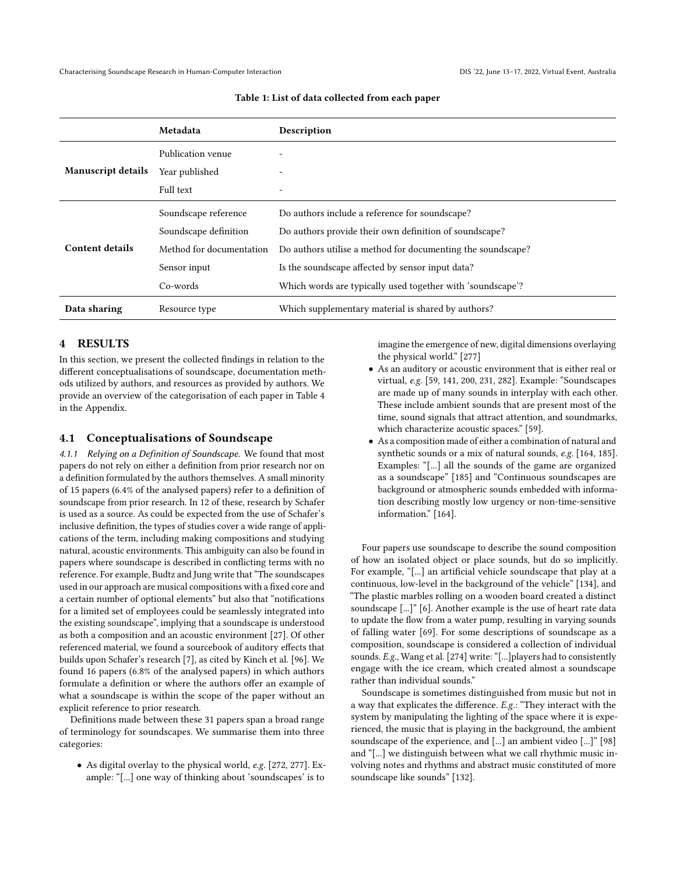<span id="page-4-0"></span>

|                           | Metadata                 | Description                                                 |  |  |  |
|---------------------------|--------------------------|-------------------------------------------------------------|--|--|--|
|                           | Publication venue        |                                                             |  |  |  |
| <b>Manuscript details</b> | Year published           |                                                             |  |  |  |
|                           | Full text                |                                                             |  |  |  |
|                           | Soundscape reference     | Do authors include a reference for soundscape?              |  |  |  |
|                           | Soundscape definition    | Do authors provide their own definition of soundscape?      |  |  |  |
| Content details           | Method for documentation | Do authors utilise a method for documenting the soundscape? |  |  |  |
|                           | Sensor input             | Is the sound scape affected by sensor input data?           |  |  |  |
|                           | Co-words                 | Which words are typically used together with 'soundscape'?  |  |  |  |
| Data sharing              | Resource type            | Which supplementary material is shared by authors?          |  |  |  |

#### Table 1: List of data collected from each paper

#### 4 RESULTS

In this section, we present the collected findings in relation to the different conceptualisations of soundscape, documentation methods utilized by authors, and resources as provided by authors. We provide an overview of the categorisation of each paper in Table [4](#page-20-0) in the Appendix.

#### 4.1 Conceptualisations of Soundscape

4.1.1 Relying on a Definition of Soundscape. We found that most papers do not rely on either a definition from prior research nor on a definition formulated by the authors themselves. A small minority of 15 papers (6.4% of the analysed papers) refer to a definition of soundscape from prior research. In 12 of these, research by Schafer is used as a source. As could be expected from the use of Schafer's inclusive definition, the types of studies cover a wide range of applications of the term, including making compositions and studying natural, acoustic environments. This ambiguity can also be found in papers where soundscape is described in conflicting terms with no reference. For example, Budtz and Jung write that "The soundscapes used in our approach are musical compositions with a fixed core and a certain number of optional elements" but also that "notifications for a limited set of employees could be seamlessly integrated into the existing soundscape", implying that a soundscape is understood as both a composition and an acoustic environment [\[27\]](#page-11-4). Of other referenced material, we found a sourcebook of auditory effects that builds upon Schafer's research [\[7\]](#page-11-5), as cited by Kinch et al. [\[96\]](#page-13-5). We found 16 papers (6.8% of the analysed papers) in which authors formulate a definition or where the authors offer an example of what a soundscape is within the scope of the paper without an explicit reference to prior research.

Definitions made between these 31 papers span a broad range of terminology for soundscapes. We summarise them into three categories:

• As digital overlay to the physical world, e.g. [\[272,](#page-18-3) [277\]](#page-19-0). Example: "[...] one way of thinking about 'soundscapes' is to

imagine the emergence of new, digital dimensions overlaying the physical world." [\[277\]](#page-19-0)

- As an auditory or acoustic environment that is either real or virtual, e.g. [\[59,](#page-12-2) [141,](#page-15-3) [200,](#page-16-2) [231,](#page-17-3) [282\]](#page-19-1). Example: "Soundscapes are made up of many sounds in interplay with each other. These include ambient sounds that are present most of the time, sound signals that attract attention, and soundmarks, which characterize acoustic spaces." [\[59\]](#page-12-2).
- As a composition made of either a combination of natural and synthetic sounds or a mix of natural sounds, e.g. [\[164,](#page-15-4) [185\]](#page-16-3). Examples: "[...] all the sounds of the game are organized as a soundscape" [\[185\]](#page-16-3) and "Continuous soundscapes are background or atmospheric sounds embedded with information describing mostly low urgency or non-time-sensitive information." [\[164\]](#page-15-4).

Four papers use soundscape to describe the sound composition of how an isolated object or place sounds, but do so implicitly. For example, "[...] an artificial vehicle soundscape that play at a continuous, low-level in the background of the vehicle" [\[134\]](#page-14-3), and "The plastic marbles rolling on a wooden board created a distinct soundscape [...]" [\[6\]](#page-11-6). Another example is the use of heart rate data to update the flow from a water pump, resulting in varying sounds of falling water [\[69\]](#page-12-3). For some descriptions of soundscape as a composition, soundscape is considered a collection of individual sounds. E.g., Wang et al. [\[274\]](#page-19-2) write: "[...]players had to consistently engage with the ice cream, which created almost a soundscape rather than individual sounds."

Soundscape is sometimes distinguished from music but not in a way that explicates the difference. E.g.: "They interact with the system by manipulating the lighting of the space where it is experienced, the music that is playing in the background, the ambient soundscape of the experience, and [...] an ambient video [...]" [\[98\]](#page-13-6) and "[...] we distinguish between what we call rhythmic music involving notes and rhythms and abstract music constituted of more soundscape like sounds" [\[132\]](#page-14-4).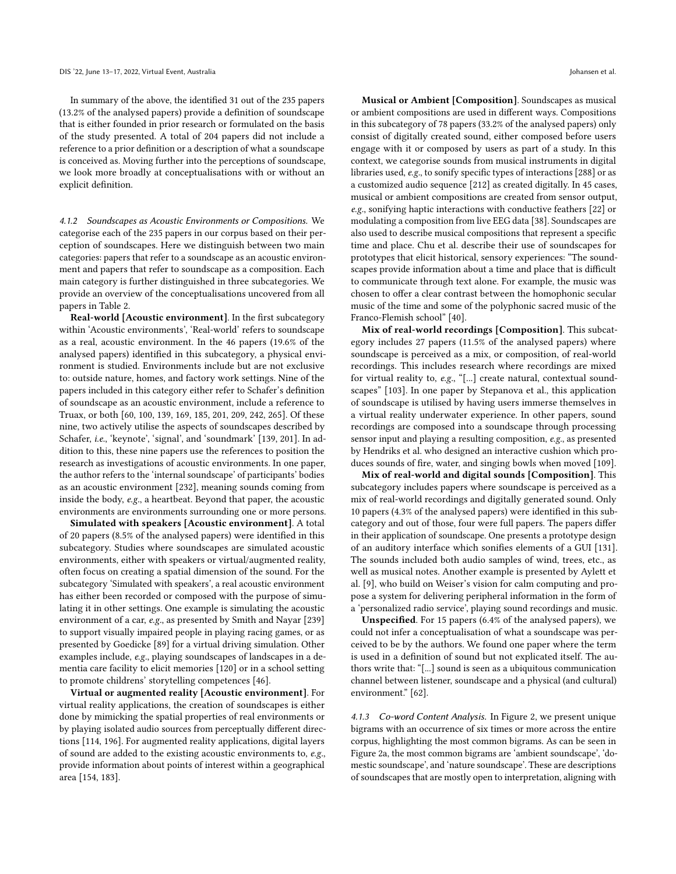In summary of the above, the identified 31 out of the 235 papers (13.2% of the analysed papers) provide a definition of soundscape that is either founded in prior research or formulated on the basis of the study presented. A total of 204 papers did not include a reference to a prior definition or a description of what a soundscape is conceived as. Moving further into the perceptions of soundscape, we look more broadly at conceptualisations with or without an explicit definition.

4.1.2 Soundscapes as Acoustic Environments or Compositions. We categorise each of the 235 papers in our corpus based on their perception of soundscapes. Here we distinguish between two main categories: papers that refer to a soundscape as an acoustic environment and papers that refer to soundscape as a composition. Each main category is further distinguished in three subcategories. We provide an overview of the conceptualisations uncovered from all papers in Table [2.](#page-6-0)

Real-world [Acoustic environment]. In the first subcategory within 'Acoustic environments', 'Real-world' refers to soundscape as a real, acoustic environment. In the 46 papers (19.6% of the analysed papers) identified in this subcategory, a physical environment is studied. Environments include but are not exclusive to: outside nature, homes, and factory work settings. Nine of the papers included in this category either refer to Schafer's definition of soundscape as an acoustic environment, include a reference to Truax, or both [\[60,](#page-12-4) [100,](#page-13-3) [139,](#page-15-5) [169,](#page-15-6) [185,](#page-16-3) [201,](#page-16-4) [209,](#page-17-4) [242,](#page-18-4) [265\]](#page-18-5). Of these nine, two actively utilise the aspects of soundscapes described by Schafer, *i.e.*, 'keynote', 'signal', and 'soundmark' [\[139,](#page-15-5) [201\]](#page-16-4). In addition to this, these nine papers use the references to position the research as investigations of acoustic environments. In one paper, the author refers to the 'internal soundscape' of participants' bodies as an acoustic environment [\[232\]](#page-17-5), meaning sounds coming from inside the body, e.g., a heartbeat. Beyond that paper, the acoustic environments are environments surrounding one or more persons.

Simulated with speakers [Acoustic environment]. A total of 20 papers (8.5% of the analysed papers) were identified in this subcategory. Studies where soundscapes are simulated acoustic environments, either with speakers or virtual/augmented reality, often focus on creating a spatial dimension of the sound. For the subcategory 'Simulated with speakers', a real acoustic environment has either been recorded or composed with the purpose of simulating it in other settings. One example is simulating the acoustic environment of a car, e.g., as presented by Smith and Nayar [\[239\]](#page-17-6) to support visually impaired people in playing racing games, or as presented by Goedicke [\[89\]](#page-13-7) for a virtual driving simulation. Other examples include, e.g., playing soundscapes of landscapes in a dementia care facility to elicit memories [\[120\]](#page-14-5) or in a school setting to promote childrens' storytelling competences [\[46\]](#page-12-5).

Virtual or augmented reality [Acoustic environment]. For virtual reality applications, the creation of soundscapes is either done by mimicking the spatial properties of real environments or by playing isolated audio sources from perceptually different directions [\[114,](#page-14-6) [196\]](#page-16-5). For augmented reality applications, digital layers of sound are added to the existing acoustic environments to, e.g., provide information about points of interest within a geographical area [\[154,](#page-15-7) [183\]](#page-16-6).

Musical or Ambient [Composition]. Soundscapes as musical or ambient compositions are used in different ways. Compositions in this subcategory of 78 papers (33.2% of the analysed papers) only consist of digitally created sound, either composed before users engage with it or composed by users as part of a study. In this context, we categorise sounds from musical instruments in digital libraries used, e.g., to sonify specific types of interactions [\[288\]](#page-19-3) or as a customized audio sequence [\[212\]](#page-17-7) as created digitally. In 45 cases, musical or ambient compositions are created from sensor output, e.g., sonifying haptic interactions with conductive feathers [\[22\]](#page-11-7) or modulating a composition from live EEG data [\[38\]](#page-12-6). Soundscapes are also used to describe musical compositions that represent a specific time and place. Chu et al. describe their use of soundscapes for prototypes that elicit historical, sensory experiences: "The soundscapes provide information about a time and place that is difficult to communicate through text alone. For example, the music was chosen to offer a clear contrast between the homophonic secular music of the time and some of the polyphonic sacred music of the Franco-Flemish school" [\[40\]](#page-12-7).

Mix of real-world recordings [Composition]. This subcategory includes 27 papers (11.5% of the analysed papers) where soundscape is perceived as a mix, or composition, of real-world recordings. This includes research where recordings are mixed for virtual reality to, e.g., "[...] create natural, contextual soundscapes" [\[103\]](#page-13-8). In one paper by Stepanova et al., this application of soundscape is utilised by having users immerse themselves in a virtual reality underwater experience. In other papers, sound recordings are composed into a soundscape through processing sensor input and playing a resulting composition, e.g., as presented by Hendriks et al. who designed an interactive cushion which produces sounds of fire, water, and singing bowls when moved [\[109\]](#page-14-2).

Mix of real-world and digital sounds [Composition]. This subcategory includes papers where soundscape is perceived as a mix of real-world recordings and digitally generated sound. Only 10 papers (4.3% of the analysed papers) were identified in this subcategory and out of those, four were full papers. The papers differ in their application of soundscape. One presents a prototype design of an auditory interface which sonifies elements of a GUI [\[131\]](#page-14-7). The sounds included both audio samples of wind, trees, etc., as well as musical notes. Another example is presented by Aylett et al. [\[9\]](#page-11-8), who build on Weiser's vision for calm computing and propose a system for delivering peripheral information in the form of a 'personalized radio service', playing sound recordings and music.

Unspecified. For 15 papers (6.4% of the analysed papers), we could not infer a conceptualisation of what a soundscape was perceived to be by the authors. We found one paper where the term is used in a definition of sound but not explicated itself. The authors write that: "[...] sound is seen as a ubiquitous communication channel between listener, soundscape and a physical (and cultural) environment." [\[62\]](#page-12-8).

4.1.3 Co-word Content Analysis. In Figure [2,](#page-7-0) we present unique bigrams with an occurrence of six times or more across the entire corpus, highlighting the most common bigrams. As can be seen in Figure [2a](#page-7-0), the most common bigrams are 'ambient soundscape', 'domestic soundscape', and 'nature soundscape'. These are descriptions of soundscapes that are mostly open to interpretation, aligning with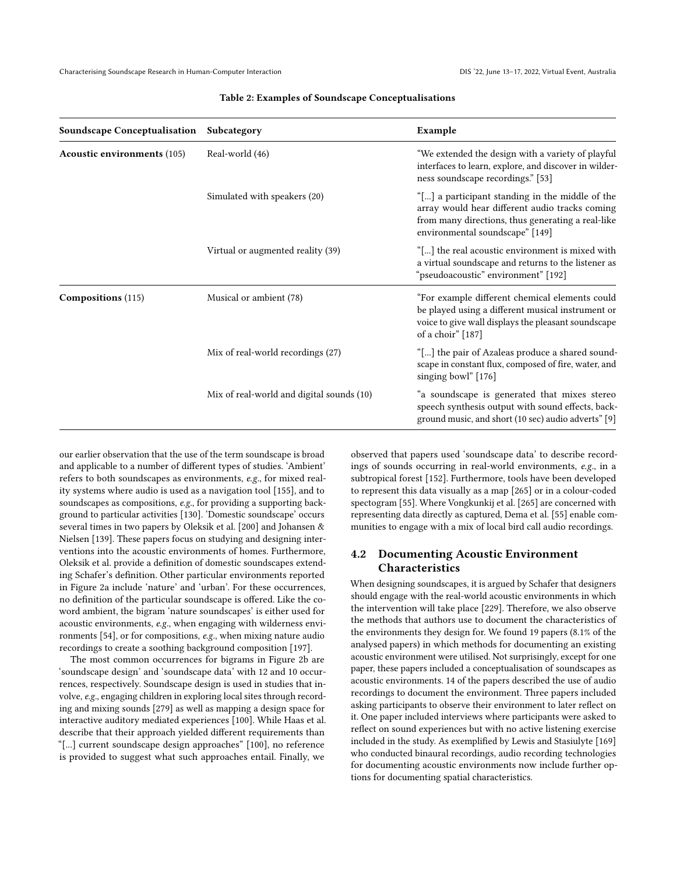<span id="page-6-0"></span>

| <b>Soundscape Conceptualisation</b> | Subcategory                               | Example                                                                                                                                                                                   |
|-------------------------------------|-------------------------------------------|-------------------------------------------------------------------------------------------------------------------------------------------------------------------------------------------|
| <b>Acoustic environments (105)</b>  | Real-world (46)                           | "We extended the design with a variety of playful<br>interfaces to learn, explore, and discover in wilder-<br>ness soundscape recordings." [53]                                           |
|                                     | Simulated with speakers (20)              | "[] a participant standing in the middle of the<br>array would hear different audio tracks coming<br>from many directions, thus generating a real-like<br>environmental soundscape" [149] |
|                                     | Virtual or augmented reality (39)         | "[] the real acoustic environment is mixed with<br>a virtual soundscape and returns to the listener as<br>"pseudoacoustic" environment" [192]                                             |
| Compositions (115)                  | Musical or ambient (78)                   | "For example different chemical elements could<br>be played using a different musical instrument or<br>voice to give wall displays the pleasant soundscape<br>of a choir" [187]           |
|                                     | Mix of real-world recordings (27)         | "[] the pair of Azaleas produce a shared sound-<br>scape in constant flux, composed of fire, water, and<br>singing bowl" [176]                                                            |
|                                     | Mix of real-world and digital sounds (10) | "a soundscape is generated that mixes stereo<br>speech synthesis output with sound effects, back-<br>ground music, and short (10 sec) audio adverts" [9]                                  |

#### Table 2: Examples of Soundscape Conceptualisations

our earlier observation that the use of the term soundscape is broad and applicable to a number of different types of studies. 'Ambient' refers to both soundscapes as environments, e.g., for mixed reality systems where audio is used as a navigation tool [\[155\]](#page-15-9), and to soundscapes as compositions, e.g., for providing a supporting background to particular activities [\[130\]](#page-14-8). 'Domestic soundscape' occurs several times in two papers by Oleksik et al. [\[200\]](#page-16-2) and Johansen & Nielsen [\[139\]](#page-15-5). These papers focus on studying and designing interventions into the acoustic environments of homes. Furthermore, Oleksik et al. provide a definition of domestic soundscapes extending Schafer's definition. Other particular environments reported in Figure [2a](#page-7-0) include 'nature' and 'urban'. For these occurrences, no definition of the particular soundscape is offered. Like the coword ambient, the bigram 'nature soundscapes' is either used for acoustic environments, e.g., when engaging with wilderness environments [\[54\]](#page-12-10), or for compositions, e.g., when mixing nature audio recordings to create a soothing background composition [\[197\]](#page-16-10).

The most common occurrences for bigrams in Figure [2b](#page-7-0) are 'soundscape design' and 'soundscape data' with 12 and 10 occurrences, respectively. Soundscape design is used in studies that involve, e.g., engaging children in exploring local sites through recording and mixing sounds [\[279\]](#page-19-4) as well as mapping a design space for interactive auditory mediated experiences [\[100\]](#page-13-3). While Haas et al. describe that their approach yielded different requirements than "[...] current soundscape design approaches" [\[100\]](#page-13-3), no reference is provided to suggest what such approaches entail. Finally, we

observed that papers used 'soundscape data' to describe recordings of sounds occurring in real-world environments, e.g., in a subtropical forest [\[152\]](#page-15-10). Furthermore, tools have been developed to represent this data visually as a map [\[265\]](#page-18-5) or in a colour-coded spectogram [\[55\]](#page-12-11). Where Vongkunkij et al. [\[265\]](#page-18-5) are concerned with representing data directly as captured, Dema et al. [\[55\]](#page-12-11) enable communities to engage with a mix of local bird call audio recordings.

# <span id="page-6-1"></span>4.2 Documenting Acoustic Environment Characteristics

When designing soundscapes, it is argued by Schafer that designers should engage with the real-world acoustic environments in which the intervention will take place [\[229\]](#page-17-0). Therefore, we also observe the methods that authors use to document the characteristics of the environments they design for. We found 19 papers (8.1% of the analysed papers) in which methods for documenting an existing acoustic environment were utilised. Not surprisingly, except for one paper, these papers included a conceptualisation of soundscapes as acoustic environments. 14 of the papers described the use of audio recordings to document the environment. Three papers included asking participants to observe their environment to later reflect on it. One paper included interviews where participants were asked to reflect on sound experiences but with no active listening exercise included in the study. As exemplified by Lewis and Stasiulyte [\[169\]](#page-15-6) who conducted binaural recordings, audio recording technologies for documenting acoustic environments now include further options for documenting spatial characteristics.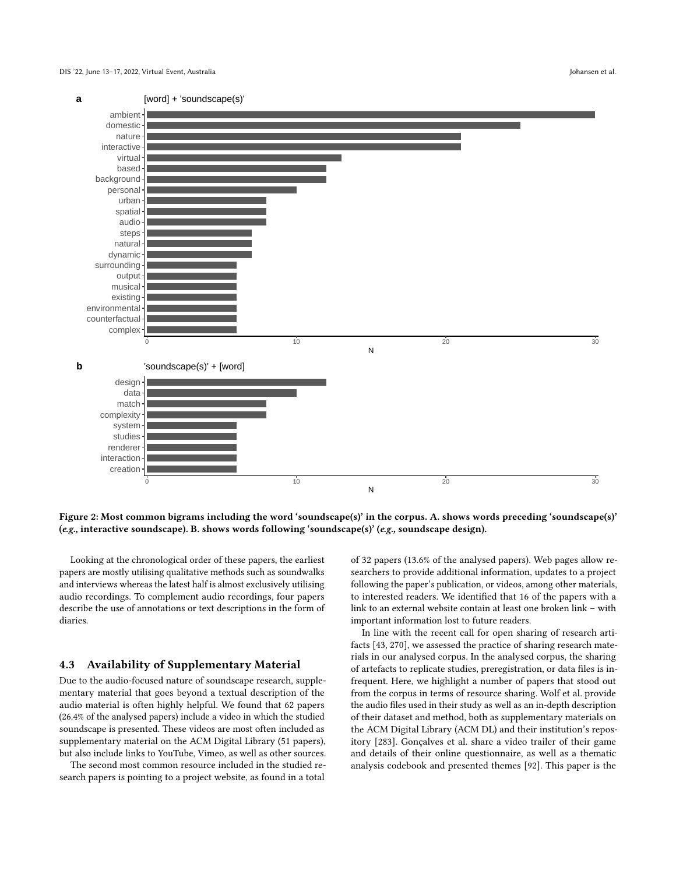<span id="page-7-0"></span>

Figure 2: Most common bigrams including the word 'soundscape(s)' in the corpus. A. shows words preceding 'soundscape(s)' (e.g., interactive soundscape). B. shows words following 'soundscape(s)' (e.g., soundscape design).

Looking at the chronological order of these papers, the earliest papers are mostly utilising qualitative methods such as soundwalks and interviews whereas the latest half is almost exclusively utilising audio recordings. To complement audio recordings, four papers describe the use of annotations or text descriptions in the form of diaries.

# 4.3 Availability of Supplementary Material

Due to the audio-focused nature of soundscape research, supplementary material that goes beyond a textual description of the audio material is often highly helpful. We found that 62 papers (26.4% of the analysed papers) include a video in which the studied soundscape is presented. These videos are most often included as supplementary material on the ACM Digital Library (51 papers), but also include links to YouTube, Vimeo, as well as other sources.

The second most common resource included in the studied research papers is pointing to a project website, as found in a total

of 32 papers (13.6% of the analysed papers). Web pages allow researchers to provide additional information, updates to a project following the paper's publication, or videos, among other materials, to interested readers. We identified that 16 of the papers with a link to an external website contain at least one broken link – with important information lost to future readers.

In line with the recent call for open sharing of research artifacts [\[43,](#page-12-12) [270\]](#page-18-6), we assessed the practice of sharing research materials in our analysed corpus. In the analysed corpus, the sharing of artefacts to replicate studies, preregistration, or data files is infrequent. Here, we highlight a number of papers that stood out from the corpus in terms of resource sharing. Wolf et al. provide the audio files used in their study as well as an in-depth description of their dataset and method, both as supplementary materials on the ACM Digital Library (ACM DL) and their institution's repository [\[283\]](#page-19-5). Gonçalves et al. share a video trailer of their game and details of their online questionnaire, as well as a thematic analysis codebook and presented themes [\[92\]](#page-13-9). This paper is the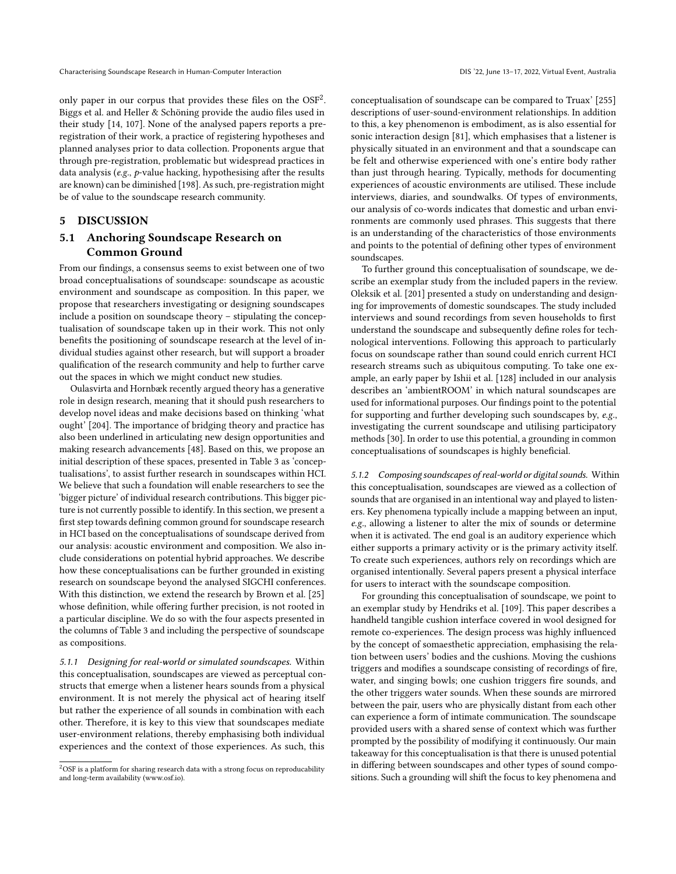only paper in our corpus that provides these files on the  $OSF^2$  $OSF^2$ . Biggs et al. and Heller & Schöning provide the audio files used in their study [\[14,](#page-11-9) [107\]](#page-14-9). None of the analysed papers reports a preregistration of their work, a practice of registering hypotheses and planned analyses prior to data collection. Proponents argue that through pre-registration, problematic but widespread practices in data analysis (e.g., p-value hacking, hypothesising after the results are known) can be diminished [\[198\]](#page-16-11). As such, pre-registration might be of value to the soundscape research community.

# 5 DISCUSSION

# 5.1 Anchoring Soundscape Research on Common Ground

From our findings, a consensus seems to exist between one of two broad conceptualisations of soundscape: soundscape as acoustic environment and soundscape as composition. In this paper, we propose that researchers investigating or designing soundscapes include a position on soundscape theory – stipulating the conceptualisation of soundscape taken up in their work. This not only benefits the positioning of soundscape research at the level of individual studies against other research, but will support a broader qualification of the research community and help to further carve out the spaces in which we might conduct new studies.

Oulasvirta and Hornbæk recently argued theory has a generative role in design research, meaning that it should push researchers to develop novel ideas and make decisions based on thinking 'what ought' [\[204\]](#page-16-12). The importance of bridging theory and practice has also been underlined in articulating new design opportunities and making research advancements [\[48\]](#page-12-13). Based on this, we propose an initial description of these spaces, presented in Table [3](#page-9-0) as 'conceptualisations', to assist further research in soundscapes within HCI. We believe that such a foundation will enable researchers to see the 'bigger picture' of individual research contributions. This bigger picture is not currently possible to identify. In this section, we present a first step towards defining common ground for soundscape research in HCI based on the conceptualisations of soundscape derived from our analysis: acoustic environment and composition. We also include considerations on potential hybrid approaches. We describe how these conceptualisations can be further grounded in existing research on soundscape beyond the analysed SIGCHI conferences. With this distinction, we extend the research by Brown et al. [\[25\]](#page-11-1) whose definition, while offering further precision, is not rooted in a particular discipline. We do so with the four aspects presented in the columns of Table [3](#page-9-0) and including the perspective of soundscape as compositions.

5.1.1 Designing for real-world or simulated soundscapes. Within this conceptualisation, soundscapes are viewed as perceptual constructs that emerge when a listener hears sounds from a physical environment. It is not merely the physical act of hearing itself but rather the experience of all sounds in combination with each other. Therefore, it is key to this view that soundscapes mediate user-environment relations, thereby emphasising both individual experiences and the context of those experiences. As such, this

conceptualisation of soundscape can be compared to Truax' [\[255\]](#page-18-0) descriptions of user-sound-environment relationships. In addition to this, a key phenomenon is embodiment, as is also essential for sonic interaction design [\[81\]](#page-13-1), which emphasises that a listener is physically situated in an environment and that a soundscape can be felt and otherwise experienced with one's entire body rather than just through hearing. Typically, methods for documenting experiences of acoustic environments are utilised. These include interviews, diaries, and soundwalks. Of types of environments, our analysis of co-words indicates that domestic and urban environments are commonly used phrases. This suggests that there is an understanding of the characteristics of those environments and points to the potential of defining other types of environment soundscapes.

To further ground this conceptualisation of soundscape, we describe an exemplar study from the included papers in the review. Oleksik et al. [\[201\]](#page-16-4) presented a study on understanding and designing for improvements of domestic soundscapes. The study included interviews and sound recordings from seven households to first understand the soundscape and subsequently define roles for technological interventions. Following this approach to particularly focus on soundscape rather than sound could enrich current HCI research streams such as ubiquitous computing. To take one example, an early paper by Ishii et al. [\[128\]](#page-14-10) included in our analysis describes an 'ambientROOM' in which natural soundscapes are used for informational purposes. Our findings point to the potential for supporting and further developing such soundscapes by, e.g., investigating the current soundscape and utilising participatory methods [\[30\]](#page-11-0). In order to use this potential, a grounding in common conceptualisations of soundscapes is highly beneficial.

5.1.2 Composing soundscapes of real-world or digital sounds. Within this conceptualisation, soundscapes are viewed as a collection of sounds that are organised in an intentional way and played to listeners. Key phenomena typically include a mapping between an input, e.g., allowing a listener to alter the mix of sounds or determine when it is activated. The end goal is an auditory experience which either supports a primary activity or is the primary activity itself. To create such experiences, authors rely on recordings which are organised intentionally. Several papers present a physical interface for users to interact with the soundscape composition.

For grounding this conceptualisation of soundscape, we point to an exemplar study by Hendriks et al. [\[109\]](#page-14-2). This paper describes a handheld tangible cushion interface covered in wool designed for remote co-experiences. The design process was highly influenced by the concept of somaesthetic appreciation, emphasising the relation between users' bodies and the cushions. Moving the cushions triggers and modifies a soundscape consisting of recordings of fire, water, and singing bowls; one cushion triggers fire sounds, and the other triggers water sounds. When these sounds are mirrored between the pair, users who are physically distant from each other can experience a form of intimate communication. The soundscape provided users with a shared sense of context which was further prompted by the possibility of modifying it continuously. Our main takeaway for this conceptualisation is that there is unused potential in differing between soundscapes and other types of sound compositions. Such a grounding will shift the focus to key phenomena and

<span id="page-8-0"></span> $2$ OSF is a platform for sharing research data with a strong focus on reproducability and long-term availability [\(www.osf.io\)](www.osf.io).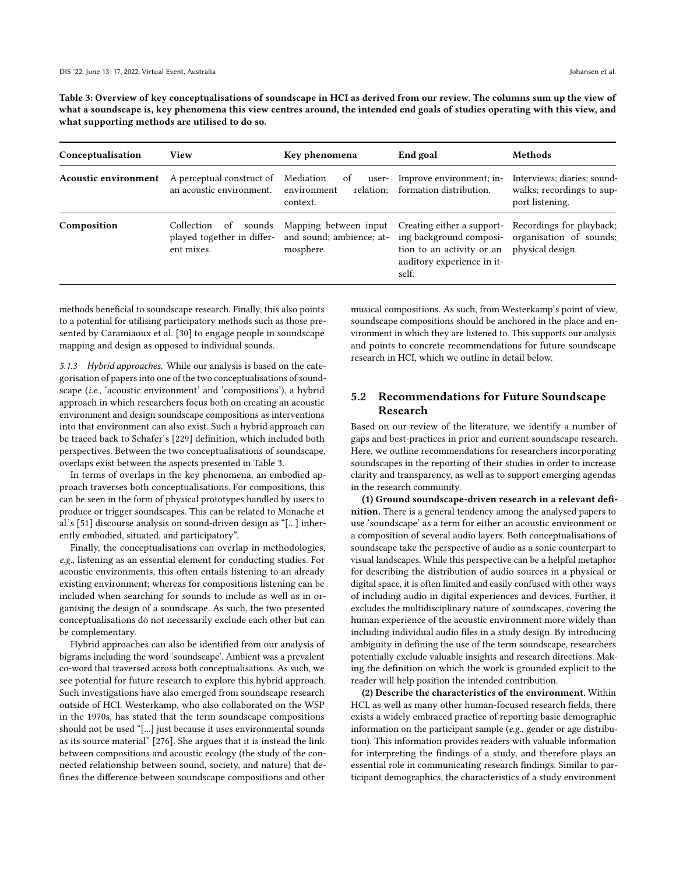<span id="page-9-0"></span>Table 3: Overview of key conceptualisations of soundscape in HCI as derived from our review. The columns sum up the view of what a soundscape is, key phenomena this view centres around, the intended end goals of studies operating with this view, and what supporting methods are utilised to do so.

| Conceptualisation           | <b>View</b>                                                         | Key phenomena                                                  | End goal                                                                                                                  | Methods                                                                     |
|-----------------------------|---------------------------------------------------------------------|----------------------------------------------------------------|---------------------------------------------------------------------------------------------------------------------------|-----------------------------------------------------------------------------|
| <b>Acoustic environment</b> | A perceptual construct of<br>an acoustic environment.               | Mediation<br>of<br>environment<br>context.                     | user- Improve environment; in-<br>relation; formation distribution.                                                       | Interviews; diaries; sound-<br>walks; recordings to sup-<br>port listening. |
| Composition                 | sounds<br>Collection of<br>played together in differ-<br>ent mixes. | Mapping between input<br>and sound; ambience; at-<br>mosphere. | Creating either a support-<br>ing background composi-<br>tion to an activity or an<br>auditory experience in it-<br>self. | Recordings for playback;<br>organisation of sounds;<br>physical design.     |

methods beneficial to soundscape research. Finally, this also points to a potential for utilising participatory methods such as those presented by Caramiaoux et al. [\[30\]](#page-11-0) to engage people in soundscape mapping and design as opposed to individual sounds.

5.1.3 Hybrid approaches. While our analysis is based on the categorisation of papers into one of the two conceptualisations of soundscape (i.e., 'acoustic environment' and 'compositions'), a hybrid approach in which researchers focus both on creating an acoustic environment and design soundscape compositions as interventions into that environment can also exist. Such a hybrid approach can be traced back to Schafer's [\[229\]](#page-17-0) definition, which included both perspectives. Between the two conceptualisations of soundscape, overlaps exist between the aspects presented in Table [3.](#page-9-0)

In terms of overlaps in the key phenomena, an embodied approach traverses both conceptualisations. For compositions, this can be seen in the form of physical prototypes handled by users to produce or trigger soundscapes. This can be related to Monache et al.'s [\[51\]](#page-12-1) discourse analysis on sound-driven design as "[...] inherently embodied, situated, and participatory".

Finally, the conceptualisations can overlap in methodologies, e.g., listening as an essential element for conducting studies. For acoustic environments, this often entails listening to an already existing environment; whereas for compositions listening can be included when searching for sounds to include as well as in organising the design of a soundscape. As such, the two presented conceptualisations do not necessarily exclude each other but can be complementary.

Hybrid approaches can also be identified from our analysis of bigrams including the word 'soundscape'. Ambient was a prevalent co-word that traversed across both conceptualisations. As such, we see potential for future research to explore this hybrid approach. Such investigations have also emerged from soundscape research outside of HCI. Westerkamp, who also collaborated on the WSP in the 1970s, has stated that the term soundscape compositions should not be used "[...] just because it uses environmental sounds as its source material" [\[276\]](#page-19-6). She argues that it is instead the link between compositions and acoustic ecology (the study of the connected relationship between sound, society, and nature) that defines the difference between soundscape compositions and other

musical compositions. As such, from Westerkamp's point of view, soundscape compositions should be anchored in the place and environment in which they are listened to. This supports our analysis and points to concrete recommendations for future soundscape research in HCI, which we outline in detail below.

# 5.2 Recommendations for Future Soundscape Research

Based on our review of the literature, we identify a number of gaps and best-practices in prior and current soundscape research. Here, we outline recommendations for researchers incorporating soundscapes in the reporting of their studies in order to increase clarity and transparency, as well as to support emerging agendas in the research community.

(1) Ground soundscape-driven research in a relevant definition. There is a general tendency among the analysed papers to use 'soundscape' as a term for either an acoustic environment or a composition of several audio layers. Both conceptualisations of soundscape take the perspective of audio as a sonic counterpart to visual landscapes. While this perspective can be a helpful metaphor for describing the distribution of audio sources in a physical or digital space, it is often limited and easily confused with other ways of including audio in digital experiences and devices. Further, it excludes the multidisciplinary nature of soundscapes, covering the human experience of the acoustic environment more widely than including individual audio files in a study design. By introducing ambiguity in defining the use of the term soundscape, researchers potentially exclude valuable insights and research directions. Making the definition on which the work is grounded explicit to the reader will help position the intended contribution.

(2) Describe the characteristics of the environment. Within HCI, as well as many other human-focused research fields, there exists a widely embraced practice of reporting basic demographic information on the participant sample (e.g., gender or age distribution). This information provides readers with valuable information for interpreting the findings of a study, and therefore plays an essential role in communicating research findings. Similar to participant demographics, the characteristics of a study environment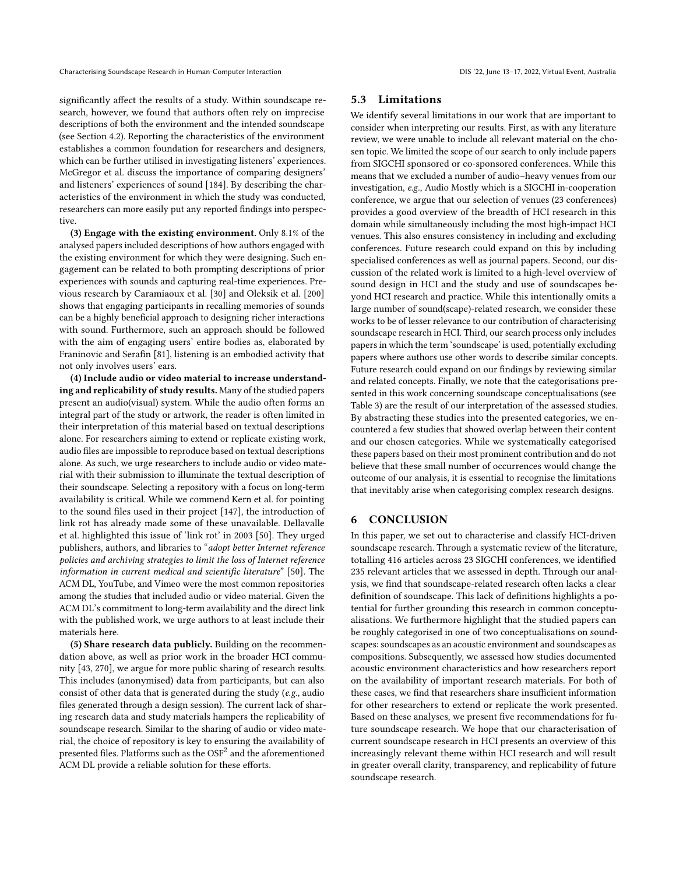significantly affect the results of a study. Within soundscape research, however, we found that authors often rely on imprecise descriptions of both the environment and the intended soundscape (see Section [4.2\)](#page-6-1). Reporting the characteristics of the environment establishes a common foundation for researchers and designers, which can be further utilised in investigating listeners' experiences. McGregor et al. discuss the importance of comparing designers' and listeners' experiences of sound [\[184\]](#page-16-1). By describing the characteristics of the environment in which the study was conducted, researchers can more easily put any reported findings into perspective.

(3) Engage with the existing environment. Only 8.1% of the analysed papers included descriptions of how authors engaged with the existing environment for which they were designing. Such engagement can be related to both prompting descriptions of prior experiences with sounds and capturing real-time experiences. Previous research by Caramiaoux et al. [\[30\]](#page-11-0) and Oleksik et al. [\[200\]](#page-16-2) shows that engaging participants in recalling memories of sounds can be a highly beneficial approach to designing richer interactions with sound. Furthermore, such an approach should be followed with the aim of engaging users' entire bodies as, elaborated by Franinovic and Serafin [\[81\]](#page-13-1), listening is an embodied activity that not only involves users' ears.

(4) Include audio or video material to increase understanding and replicability of study results. Many of the studied papers present an audio(visual) system. While the audio often forms an integral part of the study or artwork, the reader is often limited in their interpretation of this material based on textual descriptions alone. For researchers aiming to extend or replicate existing work, audio files are impossible to reproduce based on textual descriptions alone. As such, we urge researchers to include audio or video material with their submission to illuminate the textual description of their soundscape. Selecting a repository with a focus on long-term availability is critical. While we commend Kern et al. for pointing to the sound files used in their project [\[147\]](#page-15-11), the introduction of link rot has already made some of these unavailable. Dellavalle et al. highlighted this issue of 'link rot' in 2003 [\[50\]](#page-12-14). They urged publishers, authors, and libraries to "adopt better Internet reference policies and archiving strategies to limit the loss of Internet reference information in current medical and scientific literature" [\[50\]](#page-12-14). The ACM DL, YouTube, and Vimeo were the most common repositories among the studies that included audio or video material. Given the ACM DL's commitment to long-term availability and the direct link with the published work, we urge authors to at least include their materials here.

(5) Share research data publicly. Building on the recommendation above, as well as prior work in the broader HCI community [\[43,](#page-12-12) [270\]](#page-18-6), we argue for more public sharing of research results. This includes (anonymised) data from participants, but can also consist of other data that is generated during the study (e.g., audio files generated through a design session). The current lack of sharing research data and study materials hampers the replicability of soundscape research. Similar to the sharing of audio or video material, the choice of repository is key to ensuring the availability of presented files. Platforms such as the  $\mathrm{OSF}^2$  $\mathrm{OSF}^2$  and the aforementioned ACM DL provide a reliable solution for these efforts.

# 5.3 Limitations

We identify several limitations in our work that are important to consider when interpreting our results. First, as with any literature review, we were unable to include all relevant material on the chosen topic. We limited the scope of our search to only include papers from SIGCHI sponsored or co-sponsored conferences. While this means that we excluded a number of audio–heavy venues from our investigation, e.g., Audio Mostly which is a SIGCHI in-cooperation conference, we argue that our selection of venues (23 conferences) provides a good overview of the breadth of HCI research in this domain while simultaneously including the most high-impact HCI venues. This also ensures consistency in including and excluding conferences. Future research could expand on this by including specialised conferences as well as journal papers. Second, our discussion of the related work is limited to a high-level overview of sound design in HCI and the study and use of soundscapes beyond HCI research and practice. While this intentionally omits a large number of sound(scape)-related research, we consider these works to be of lesser relevance to our contribution of characterising soundscape research in HCI. Third, our search process only includes papers in which the term 'soundscape' is used, potentially excluding papers where authors use other words to describe similar concepts. Future research could expand on our findings by reviewing similar and related concepts. Finally, we note that the categorisations presented in this work concerning soundscape conceptualisations (see Table [3\)](#page-9-0) are the result of our interpretation of the assessed studies. By abstracting these studies into the presented categories, we encountered a few studies that showed overlap between their content and our chosen categories. While we systematically categorised these papers based on their most prominent contribution and do not believe that these small number of occurrences would change the outcome of our analysis, it is essential to recognise the limitations that inevitably arise when categorising complex research designs.

#### 6 CONCLUSION

In this paper, we set out to characterise and classify HCI-driven soundscape research. Through a systematic review of the literature, totalling 416 articles across 23 SIGCHI conferences, we identified 235 relevant articles that we assessed in depth. Through our analysis, we find that soundscape-related research often lacks a clear definition of soundscape. This lack of definitions highlights a potential for further grounding this research in common conceptualisations. We furthermore highlight that the studied papers can be roughly categorised in one of two conceptualisations on soundscapes: soundscapes as an acoustic environment and soundscapes as compositions. Subsequently, we assessed how studies documented acoustic environment characteristics and how researchers report on the availability of important research materials. For both of these cases, we find that researchers share insufficient information for other researchers to extend or replicate the work presented. Based on these analyses, we present five recommendations for future soundscape research. We hope that our characterisation of current soundscape research in HCI presents an overview of this increasingly relevant theme within HCI research and will result in greater overall clarity, transparency, and replicability of future soundscape research.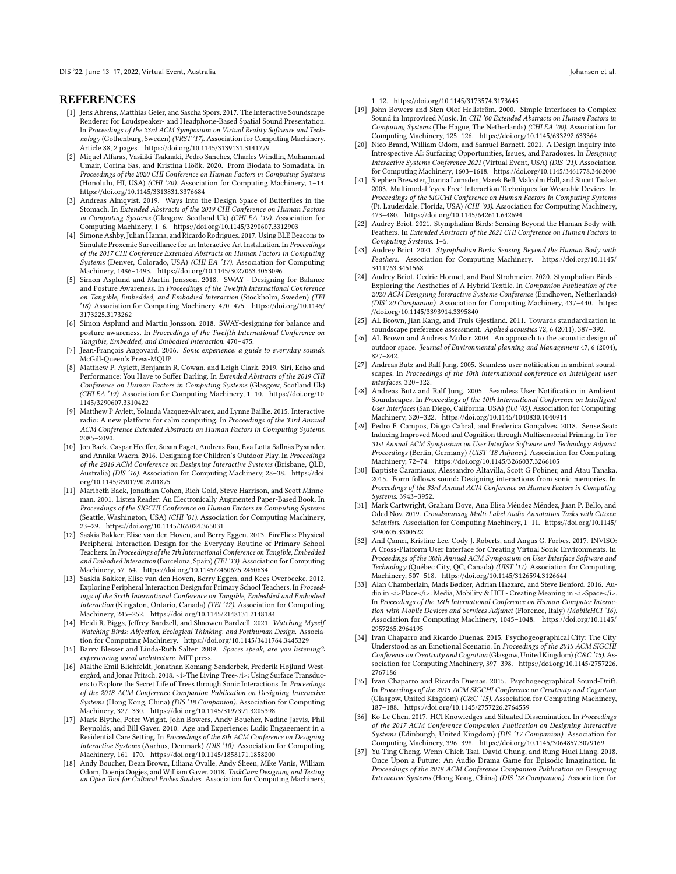DIS '22, June 13–17, 2022, Virtual Event, Australia Johansen et al.

#### **REFERENCES**

- <span id="page-11-24"></span>[1] Jens Ahrens, Matthias Geier, and Sascha Spors. 2017. The Interactive Soundscape Renderer for Loudspeaker- and Headphone-Based Spatial Sound Presentation. In Proceedings of the 23rd ACM Symposium on Virtual Reality Software and Technology (Gothenburg, Sweden) (VRST '17). Association for Computing Machinery, Article 88, 2 pages.<https://doi.org/10.1145/3139131.3141779>
- <span id="page-11-33"></span>[2] Miquel Alfaras, Vasiliki Tsaknaki, Pedro Sanches, Charles Windlin, Muhammad Umair, Corina Sas, and Kristina Höök. 2020. From Biodata to Somadata. In Proceedings of the 2020 CHI Conference on Human Factors in Computing Systems (Honolulu, HI, USA) (CHI '20). Association for Computing Machinery, 1–14. <https://doi.org/10.1145/3313831.3376684>
- <span id="page-11-32"></span>[3] Andreas Almqvist. 2019. Ways Into the Design Space of Butterflies in the Stomach. In Extended Abstracts of the 2019 CHI Conference on Human Factors in Computing Systems (Glasgow, Scotland Uk) (CHI EA '19). Association for Computing Machinery, 1–6.<https://doi.org/10.1145/3290607.3312903>
- <span id="page-11-22"></span>[4] Simone Ashby, Julian Hanna, and Ricardo Rodrigues. 2017. Using BLE Beacons to Simulate Proxemic Surveillance for an Interactive Art Installation. In Proceedings of the 2017 CHI Conference Extended Abstracts on Human Factors in Computing Systems (Denver, Colorado, USA) (CHI EA '17). Association for Computing Machinery, 1486–1493.<https://doi.org/10.1145/3027063.3053096>
- <span id="page-11-28"></span>[5] Simon Asplund and Martin Jonsson. 2018. SWAY - Designing for Balance and Posture Awareness. In Proceedings of the Twelfth International Conference on Tangible, Embedded, and Embodied Interaction (Stockholm, Sweden) (TEI '18). Association for Computing Machinery, 470–475. [https://doi.org/10.1145/](https://doi.org/10.1145/3173225.3173262) [3173225.3173262](https://doi.org/10.1145/3173225.3173262)
- <span id="page-11-6"></span>[6] Simon Asplund and Martin Jonsson. 2018. SWAY-designing for balance and posture awareness. In Proceedings of the Twelfth International Conference on Tangible, Embedded, and Embodied Interaction. 470–475.
- <span id="page-11-5"></span>[7] Jean-François Augoyard. 2006. Sonic experience: a guide to everyday sounds. McGill-Queen's Press-MQUP.
- <span id="page-11-31"></span>[8] Matthew P. Aylett, Benjamin R. Cowan, and Leigh Clark. 2019. Siri, Echo and Performance: You Have to Suffer Darling. In Extended Abstracts of the 2019 CHI Conference on Human Factors in Computing Systems (Glasgow, Scotland Uk) (CHI EA '19). Association for Computing Machinery, 1–10. [https://doi.org/10.](https://doi.org/10.1145/3290607.3310422) [1145/3290607.3310422](https://doi.org/10.1145/3290607.3310422)
- <span id="page-11-8"></span>[9] Matthew P Aylett, Yolanda Vazquez-Alvarez, and Lynne Baillie. 2015. Interactive radio: A new platform for calm computing. In Proceedings of the 33rd Annual ACM Conference Extended Abstracts on Human Factors in Computing Systems. 2085–2090.
- <span id="page-11-19"></span>[10] Jon Back, Caspar Heeffer, Susan Paget, Andreas Rau, Eva Lotta Sallnäs Pysander, and Annika Waern. 2016. Designing for Children's Outdoor Play. In Proceedings of the 2016 ACM Conference on Designing Interactive Systems (Brisbane, QLD, Australia) (DIS '16). Association for Computing Machinery, 28–38. [https://doi.](https://doi.org/10.1145/2901790.2901875) [org/10.1145/2901790.2901875](https://doi.org/10.1145/2901790.2901875)
- <span id="page-11-11"></span>[11] Maribeth Back, Jonathan Cohen, Rich Gold, Steve Harrison, and Scott Minneman. 2001. Listen Reader: An Electronically Augmented Paper-Based Book. In Proceedings of the SIGCHI Conference on Human Factors in Computing Systems (Seattle, Washington, USA) (CHI '01). Association for Computing Machinery, 23–29.<https://doi.org/10.1145/365024.365031>
- <span id="page-11-16"></span>[12] Saskia Bakker, Elise van den Hoven, and Berry Eggen. 2013. FireFlies: Physical Peripheral Interaction Design for the Everyday Routine of Primary School Teachers. In Proceedings of the 7th International Conference on Tangible, Embedded and Embodied Interaction (Barcelona, Spain) (TEI '13). Association for Computing Machinery, 57–64.<https://doi.org/10.1145/2460625.2460634>
- <span id="page-11-15"></span>[13] Saskia Bakker, Elise van den Hoven, Berry Eggen, and Kees Overbeeke. 2012. Exploring Peripheral Interaction Design for Primary School Teachers. In Proceedings of the Sixth International Conference on Tangible, Embedded and Embodied Interaction (Kingston, Ontario, Canada) (TEI '12). Association for Computing Machinery, 245–252.<https://doi.org/10.1145/2148131.2148184>
- <span id="page-11-9"></span>[14] Heidi R. Biggs, Jeffrey Bardzell, and Shaowen Bardzell. 2021. Watching Myself Watching Birds: Abjection, Ecological Thinking, and Posthuman Design. Association for Computing Machinery.<https://doi.org/10.1145/3411764.3445329>
- <span id="page-11-3"></span>[15] Barry Blesser and Linda-Ruth Salter. 2009. Spaces speak, are you listening?: experiencing aural architecture. MIT press.
- <span id="page-11-26"></span>[16] Malthe Emil Blichfeldt, Jonathan Komang-Sønderbek, Frederik Højlund Westergård, and Jonas Fritsch. 2018. < i>The Living Tree</i>: Using Surface Transducers to Explore the Secret Life of Trees through Sonic Interactions. In Proceedings of the 2018 ACM Conference Companion Publication on Designing Interactive Systems (Hong Kong, China) (DIS '18 Companion). Association for Computing Machinery, 327–330.<https://doi.org/10.1145/3197391.3205398>
- <span id="page-11-14"></span>[17] Mark Blythe, Peter Wright, John Bowers, Andy Boucher, Nadine Jarvis, Phil Reynolds, and Bill Gaver. 2010. Age and Experience: Ludic Engagement in a Residential Care Setting. In Proceedings of the 8th ACM Conference on Designing Interactive Systems (Aarhus, Denmark) (DIS '10). Association for Computing Machinery, 161–170.<https://doi.org/10.1145/1858171.1858200>
- <span id="page-11-25"></span>[18] Andy Boucher, Dean Brown, Liliana Ovalle, Andy Sheen, Mike Vanis, William Odom, Doenja Oogjes, and William Gaver. 2018. TaskCam: Designing and Testing an Open Tool for Cultural Probes Studies. Association for Computing Machinery

1–12.<https://doi.org/10.1145/3173574.3173645>

- <span id="page-11-10"></span>[19] John Bowers and Sten Olof Hellström. 2000. Simple Interfaces to Complex Sound in Improvised Music. In CHI '00 Extended Abstracts on Human Factors in Computing Systems (The Hague, The Netherlands) (CHI EA '00). Association for Computing Machinery, 125–126.<https://doi.org/10.1145/633292.633364>
- <span id="page-11-36"></span>[20] Nico Brand, William Odom, and Samuel Barnett. 2021. A Design Inquiry into Introspective AI: Surfacing Opportunities, Issues, and Paradoxes. In Designing Interactive Systems Conference 2021 (Virtual Event, USA) (DIS '21). Association for Computing Machinery, 1603–1618.<https://doi.org/10.1145/3461778.3462000>
- <span id="page-11-12"></span>[21] Stephen Brewster, Joanna Lumsden, Marek Bell, Malcolm Hall, and Stuart Tasker. 2003. Multimodal 'eyes-Free' Interaction Techniques for Wearable Devices. In Proceedings of the SIGCHI Conference on Human Factors in Computing Systems (Ft. Lauderdale, Florida, USA) (CHI '03). Association for Computing Machinery, 473–480.<https://doi.org/10.1145/642611.642694>
- <span id="page-11-7"></span>[22] Audrey Briot. 2021. Stymphalian Birds: Sensing Beyond the Human Body with Feathers. In Extended Abstracts of the 2021 CHI Conference on Human Factors in Computing Systems. 1–5.
- <span id="page-11-35"></span>[23] Audrey Briot. 2021. Stymphalian Birds: Sensing Beyond the Human Body with Feathers. Association for Computing Machinery. [https://doi.org/10.1145/](https://doi.org/10.1145/3411763.3451568) [3411763.3451568](https://doi.org/10.1145/3411763.3451568)
- <span id="page-11-34"></span>[24] Audrey Briot, Cedric Honnet, and Paul Strohmeier. 2020. Stymphalian Birds -Exploring the Aesthetics of A Hybrid Textile. In Companion Publication of the 2020 ACM Designing Interactive Systems Conference (Eindhoven, Netherlands) (DIS' 20 Companion). Association for Computing Machinery, 437–440. [https:](https://doi.org/10.1145/3393914.3395840) [//doi.org/10.1145/3393914.3395840](https://doi.org/10.1145/3393914.3395840)
- <span id="page-11-1"></span>[25] AL Brown, Jian Kang, and Truls Gjestland. 2011. Towards standardization in soundscape preference assessment. Applied acoustics 72, 6 (2011), 387-392.
- <span id="page-11-2"></span>[26] AL Brown and Andreas Muhar. 2004. An approach to the acoustic design of outdoor space. Journal of Environmental planning and Management 47, 6 (2004), 827–842.
- <span id="page-11-4"></span>[27] Andreas Butz and Ralf Jung. 2005. Seamless user notification in ambient soundscapes. In Proceedings of the 10th international conference on Intelligent user interfaces. 320–322.
- <span id="page-11-13"></span>[28] Andreas Butz and Ralf Jung. 2005. Seamless User Notification in Ambient Soundscapes. In Proceedings of the 10th International Conference on Intelligent User Interfaces (San Diego, California, USA) (IUI '05). Association for Computing Machinery, 320–322.<https://doi.org/10.1145/1040830.1040914>
- <span id="page-11-29"></span>[29] Pedro F. Campos, Diogo Cabral, and Frederica Gonçalves. 2018. Sense.Seat: Inducing Improved Mood and Cognition through Multisensorial Priming. In The 31st Annual ACM Symposium on User Interface Software and Technology Adjunct Proceedings (Berlin, Germany) (UIST '18 Adjunct). Association for Computing Machinery, 72–74.<https://doi.org/10.1145/3266037.3266105>
- <span id="page-11-0"></span>[30] Baptiste Caramiaux, Alessandro Altavilla, Scott G Pobiner, and Atau Tanaka. 2015. Form follows sound: Designing interactions from sonic memories. In Proceedings of the 33rd Annual ACM Conference on Human Factors in Computing Systems. 3943–3952.
- <span id="page-11-30"></span>[31] Mark Cartwright, Graham Dove, Ana Elisa Méndez Méndez, Juan P. Bello, and Oded Nov. 2019. Crowdsourcing Multi-Label Audio Annotation Tasks with Citizen Scientists. Association for Computing Machinery, 1–11. [https://doi.org/10.1145/](https://doi.org/10.1145/3290605.3300522) [3290605.3300522](https://doi.org/10.1145/3290605.3300522)
- <span id="page-11-23"></span>[32] Anil Çamcı, Kristine Lee, Cody J. Roberts, and Angus G. Forbes. 2017. INVISO: A Cross-Platform User Interface for Creating Virtual Sonic Environments. In Proceedings of the 30th Annual ACM Symposium on User Interface Software and Technology (Québec City, QC, Canada) (UIST '17). Association for Computing Machinery, 507–518.<https://doi.org/10.1145/3126594.3126644>
- <span id="page-11-20"></span>[33] Alan Chamberlain, Mads Bødker, Adrian Hazzard, and Steve Benford. 2016. Audio in <i>Place</i>: Media, Mobility & HCI - Creating Meaning in <i>Space</i>. In Proceedings of the 18th International Conference on Human-Computer Interaction with Mobile Devices and Services Adjunct (Florence, Italy) (MobileHCI '16). Association for Computing Machinery, 1045–1048. [https://doi.org/10.1145/](https://doi.org/10.1145/2957265.2964195) [2957265.2964195](https://doi.org/10.1145/2957265.2964195)
- <span id="page-11-18"></span>[34] Ivan Chaparro and Ricardo Duenas. 2015. Psychogeographical City: The City Understood as an Emotional Scenario. In Proceedings of the 2015 ACM SIGCHI Conference on Creativity and Cognition (Glasgow, United Kingdom) (C&C '15). Association for Computing Machinery, 397–398. [https://doi.org/10.1145/2757226.](https://doi.org/10.1145/2757226.2767186) [2767186](https://doi.org/10.1145/2757226.2767186)
- <span id="page-11-17"></span>[35] Ivan Chaparro and Ricardo Duenas. 2015. Psychogeographical Sound-Drift. In Proceedings of the 2015 ACM SIGCHI Conference on Creativity and Cognition (Glasgow, United Kingdom) (C&C '15). Association for Computing Machinery, 187–188.<https://doi.org/10.1145/2757226.2764559>
- <span id="page-11-21"></span>[36] Ko-Le Chen. 2017. HCI Knowledges and Situated Dissemination. In Proceedings of the 2017 ACM Conference Companion Publication on Designing Interactive Systems (Edinburgh, United Kingdom) (DIS '17 Companion). Association for Computing Machinery, 396–398.<https://doi.org/10.1145/3064857.3079169>
- <span id="page-11-27"></span>[37] Yu-Ting Cheng, Wenn-Chieh Tsai, David Chung, and Rung-Huei Liang. 2018. Once Upon a Future: An Audio Drama Game for Episodic Imagination. In Proceedings of the 2018 ACM Conference Companion Publication on Designing Interactive Systems (Hong Kong, China) (DIS '18 Companion). Association for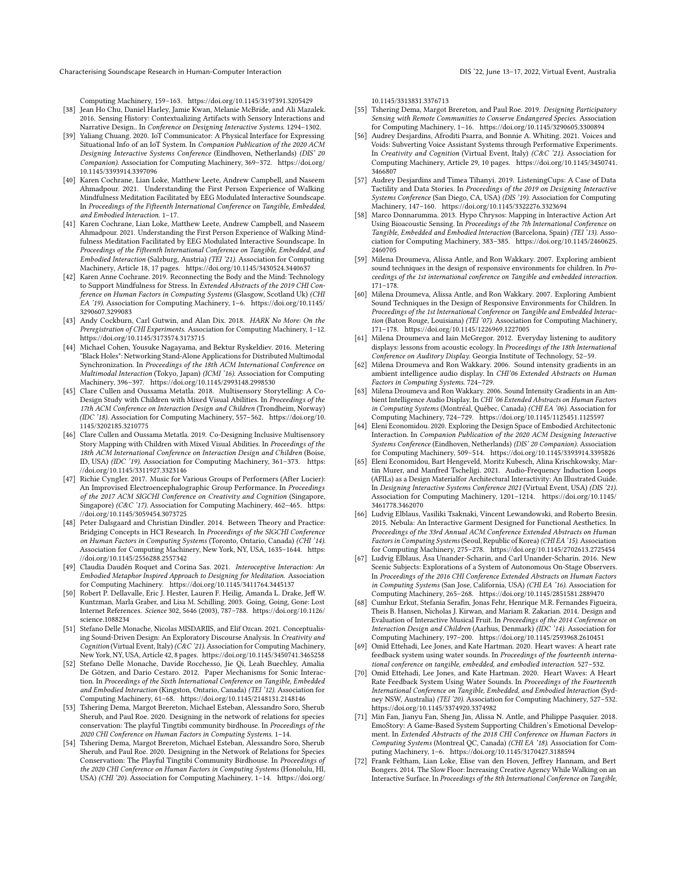Characterising Soundscape Research in Human-Computer Interaction DIS '22, June 13–17, 2022, Virtual Event, Australia

Computing Machinery, 159–163.<https://doi.org/10.1145/3197391.3205429>

- <span id="page-12-6"></span>[38] Jean Ho Chu, Daniel Harley, Jamie Kwan, Melanie McBride, and Ali Mazalek. 2016. Sensing History: Contextualizing Artifacts with Sensory Interactions and Narrative Design.. In Conference on Designing Interactive Systems. 1294–1302.
- <span id="page-12-29"></span>[39] Yaliang Chuang. 2020. IoT Communicator: A Physical Interface for Expressing Situational Info of an IoT System. In Companion Publication of the 2020 ACM Designing Interactive Systems Conference (Eindhoven, Netherlands) (DIS' 20 Companion). Association for Computing Machinery, 369–372. [https://doi.org/](https://doi.org/10.1145/3393914.3397096) [10.1145/3393914.3397096](https://doi.org/10.1145/3393914.3397096)
- <span id="page-12-7"></span>[40] Karen Cochrane, Lian Loke, Matthew Leete, Andrew Campbell, and Naseem Ahmadpour. 2021. Understanding the First Person Experience of Walking Mindfulness Meditation Facilitated by EEG Modulated Interactive Soundscape. In Proceedings of the Fifteenth International Conference on Tangible, Embedded, and Embodied Interaction. 1–17.
- <span id="page-12-34"></span>[41] Karen Cochrane, Lian Loke, Matthew Leete, Andrew Campbell, and Naseem Ahmadpour. 2021. Understanding the First Person Experience of Walking Mindfulness Meditation Facilitated by EEG Modulated Interactive Soundscape. In Proceedings of the Fifteenth International Conference on Tangible, Embedded, and Embodied Interaction (Salzburg, Austria) (TEI '21). Association for Computing Machinery, Article 18, 17 pages.<https://doi.org/10.1145/3430524.3440637>
- <span id="page-12-26"></span>[42] Karen Anne Cochrane. 2019. Reconnecting the Body and the Mind: Technology to Support Mindfulness for Stress. In Extended Abstracts of the 2019 CHI Conference on Human Factors in Computing Systems (Glasgow, Scotland Uk) (CHI EA '19). Association for Computing Machinery, 1–6. [https://doi.org/10.1145/](https://doi.org/10.1145/3290607.3299083) [3290607.3299083](https://doi.org/10.1145/3290607.3299083)
- <span id="page-12-12"></span>[43] Andy Cockburn, Carl Gutwin, and Alan Dix. 2018. HARK No More: On the Preregistration of CHI Experiments. Association for Computing Machinery, 1–12. <https://doi.org/10.1145/3173574.3173715>
- <span id="page-12-22"></span>[44] Michael Cohen, Yousuke Nagayama, and Bektur Ryskeldiev. 2016. Metering "Black Holes": Networking Stand-Alone Applications for Distributed Multimodal Synchronization. In Proceedings of the 18th ACM International Conference on Multimodal Interaction (Tokyo, Japan) (ICMI '16). Association for Computing Machinery, 396–397.<https://doi.org/10.1145/2993148.2998530>
- <span id="page-12-25"></span>[45] Clare Cullen and Oussama Metatla. 2018. Multisensory Storytelling: A Co-Design Study with Children with Mixed Visual Abilities. In Proceedings of the 17th ACM Conference on Interaction Design and Children (Trondheim, Norway) (IDC '18). Association for Computing Machinery, 557–562. [https://doi.org/10.](https://doi.org/10.1145/3202185.3210775) [1145/3202185.3210775](https://doi.org/10.1145/3202185.3210775)
- <span id="page-12-5"></span>[46] Clare Cullen and Oussama Metatla. 2019. Co-Designing Inclusive Multisensory Story Mapping with Children with Mixed Visual Abilities. In Proceedings of the 18th ACM International Conference on Interaction Design and Children (Boise, ID, USA) (IDC '19). Association for Computing Machinery, 361–373. [https:](https://doi.org/10.1145/3311927.3323146) [//doi.org/10.1145/3311927.3323146](https://doi.org/10.1145/3311927.3323146)
- <span id="page-12-23"></span>[47] Richie Cyngler. 2017. Music for Various Groups of Performers (After Lucier): An Improvised Electroencephalographic Group Performance. In Proceedings of the 2017 ACM SIGCHI Conference on Creativity and Cognition (Singapore, Singapore) (C&C '17). Association for Computing Machinery, 462-465. [https:](https://doi.org/10.1145/3059454.3073725) [//doi.org/10.1145/3059454.3073725](https://doi.org/10.1145/3059454.3073725)
- <span id="page-12-13"></span>[48] Peter Dalsgaard and Christian Dindler. 2014. Between Theory and Practice: Bridging Concepts in HCI Research. In Proceedings of the SIGCHI Conference on Human Factors in Computing Systems (Toronto, Ontario, Canada) (CHI '14). Association for Computing Machinery, New York, NY, USA, 1635–1644. [https:](https://doi.org/10.1145/2556288.2557342) [//doi.org/10.1145/2556288.2557342](https://doi.org/10.1145/2556288.2557342)
- <span id="page-12-32"></span>[49] Claudia Daudén Roquet and Corina Sas. 2021. Interoceptive Interaction: An Embodied Metaphor Inspired Approach to Designing for Meditation. Association for Computing Machinery.<https://doi.org/10.1145/3411764.3445137>
- <span id="page-12-14"></span>[50] Robert P. Dellavalle, Eric J. Hester, Lauren F. Heilig, Amanda L. Drake, Jeff W. Kuntzman, Marla Graber, and Lisa M. Schilling. 2003. Going, Going, Gone: Lost Internet References. Science 302, 5646 (2003), 787–788. [https://doi.org/10.1126/](https://doi.org/10.1126/science.1088234) [science.1088234](https://doi.org/10.1126/science.1088234)
- <span id="page-12-1"></span>[51] Stefano Delle Monache, Nicolas MISDARIIS, and Elif Ozcan. 2021. Conceptualising Sound-Driven Design: An Exploratory Discourse Analysis. In Creativity and Cognition (Virtual Event, Italy) (C&C '21). Association for Computing Machinery, New York, NY, USA, Article 42, 8 pages.<https://doi.org/10.1145/3450741.3465258>
- <span id="page-12-16"></span>[52] Stefano Delle Monache, Davide Rocchesso, Jie Qi, Leah Buechley, Amalia De Götzen, and Dario Cestaro. 2012. Paper Mechanisms for Sonic Interaction. In Proceedings of the Sixth International Conference on Tangible, Embedded and Embodied Interaction (Kingston, Ontario, Canada) (TEI '12). Association for Computing Machinery, 61–68.<https://doi.org/10.1145/2148131.2148146>
- <span id="page-12-9"></span>[53] Tshering Dema, Margot Brereton, Michael Esteban, Alessandro Soro, Sherub Sherub, and Paul Roe. 2020. Designing in the network of relations for species conservation: The playful Tingtibi community birdhouse. In Proceedings of the 2020 CHI Conference on Human Factors in Computing Systems. 1–14.
- <span id="page-12-10"></span>[54] Tshering Dema, Margot Brereton, Michael Esteban, Alessandro Soro, Sherub Sherub, and Paul Roe. 2020. Designing in the Network of Relations for Species Conservation: The Playful Tingtibi Community Birdhouse. In Proceedings of the 2020 CHI Conference on Human Factors in Computing Systems (Honolulu, HI, USA) (CHI '20). Association for Computing Machinery, 1–14. [https://doi.org/](https://doi.org/10.1145/3313831.3376713)

[10.1145/3313831.3376713](https://doi.org/10.1145/3313831.3376713)

- <span id="page-12-11"></span>[55] Tshering Dema, Margot Brereton, and Paul Roe. 2019. Designing Participatory Sensing with Remote Communities to Conserve Endangered Species. Association for Computing Machinery, 1–16.<https://doi.org/10.1145/3290605.3300894>
- <span id="page-12-31"></span>[56] Audrey Desjardins, Afroditi Psarra, and Bonnie A. Whiting. 2021. Voices and Voids: Subverting Voice Assistant Systems through Performative Experiments. In Creativity and Cognition (Virtual Event, Italy) (C&C '21). Association for Computing Machinery, Article 29, 10 pages. [https://doi.org/10.1145/3450741.](https://doi.org/10.1145/3450741.3466807) [3466807](https://doi.org/10.1145/3450741.3466807)
- <span id="page-12-27"></span>[57] Audrey Desjardins and Timea Tihanyi. 2019. ListeningCups: A Case of Data Tactility and Data Stories. In Proceedings of the 2019 on Designing Interactive Systems Conference (San Diego, CA, USA) (DIS '19). Association for Computing Machinery, 147–160.<https://doi.org/10.1145/3322276.3323694>
- <span id="page-12-17"></span>[58] Marco Donnarumma. 2013. Hypo Chrysos: Mapping in Interactive Action Art Using Bioacoustic Sensing. In Proceedings of the 7th International Conference on Tangible, Embedded and Embodied Interaction (Barcelona, Spain) (TEI '13). Association for Computing Machinery, 383–385. [https://doi.org/10.1145/2460625.](https://doi.org/10.1145/2460625.2460705) [2460705](https://doi.org/10.1145/2460625.2460705)
- <span id="page-12-2"></span>[59] Milena Droumeva, Alissa Antle, and Ron Wakkary. 2007. Exploring ambient sound techniques in the design of responsive environments for children. In Proceedings of the 1st international conference on Tangible and embedded interaction. 171–178.
- <span id="page-12-4"></span>[60] Milena Droumeva, Alissa Antle, and Ron Wakkary. 2007. Exploring Ambient Sound Techniques in the Design of Responsive Environments for Children. In Proceedings of the 1st International Conference on Tangible and Embedded Interaction (Baton Rouge, Louisiana) (TEI '07). Association for Computing Machinery, 171–178.<https://doi.org/10.1145/1226969.1227005>
- <span id="page-12-0"></span>[61] Milena Droumeva and Iain McGregor. 2012. Everyday listening to auditory displays: lessons from acoustic ecology. In Proceedings of the 18th International Conference on Auditory Display. Georgia Institute of Technology, 52–59.
- <span id="page-12-8"></span>[62] Milena Droumeva and Ron Wakkary. 2006. Sound intensity gradients in an ambient intelligence audio display. In CHI'06 Extended Abstracts on Human Factors in Computing Systems. 724–729.
- <span id="page-12-15"></span>[63] Milena Droumeva and Ron Wakkary. 2006. Sound Intensity Gradients in an Ambient Intelligence Audio Display. In CHI '06 Extended Abstracts on Human Factors in Computing Systems (Montréal, Québec, Canada) (CHI EA '06). Association for Computing Machinery, 724–729.<https://doi.org/10.1145/1125451.1125597>
- <span id="page-12-28"></span>[64] Eleni Economidou. 2020. Exploring the Design Space of Embodied Architectonic Interaction. In Companion Publication of the 2020 ACM Designing Interactive Systems Conference (Eindhoven, Netherlands) (DIS' 20 Companion). Association for Computing Machinery, 509–514.<https://doi.org/10.1145/3393914.3395826>
- <span id="page-12-33"></span>[65] Eleni Economidou, Bart Hengeveld, Moritz Kubesch, Alina Krischkowsky, Martin Murer, and Manfred Tscheligi. 2021. Audio-Frequency Induction Loops (AFILs) as a Design Materialfor Architectural Interactivity: An Illustrated Guide. In Designing Interactive Systems Conference 2021 (Virtual Event, USA) (DIS '21). Association for Computing Machinery, 1201–1214. [https://doi.org/10.1145/](https://doi.org/10.1145/3461778.3462070) [3461778.3462070](https://doi.org/10.1145/3461778.3462070)
- <span id="page-12-20"></span>[66] Ludvig Elblaus, Vasiliki Tsaknaki, Vincent Lewandowski, and Roberto Bresin. 2015. Nebula: An Interactive Garment Designed for Functional Aesthetics. In Proceedings of the 33rd Annual ACM Conference Extended Abstracts on Human Factors in Computing Systems (Seoul, Republic of Korea) (CHI EA '15). Association for Computing Machinery, 275–278.<https://doi.org/10.1145/2702613.2725454>
- <span id="page-12-21"></span>[67] Ludvig Elblaus, Åsa Unander-Scharin, and Carl Unander-Scharin. 2016. New Scenic Subjects: Explorations of a System of Autonomous On-Stage Observers. In Proceedings of the 2016 CHI Conference Extended Abstracts on Human Factors in Computing Systems (San Jose, California, USA) (CHI EA '16). Association for Computing Machinery, 265–268.<https://doi.org/10.1145/2851581.2889470>
- <span id="page-12-18"></span>[68] Cumhur Erkut, Stefania Serafin, Jonas Fehr, Henrique M.R. Fernandes Figueira, Theis B. Hansen, Nicholas J. Kirwan, and Mariam R. Zakarian. 2014. Design and Evaluation of Interactive Musical Fruit. In Proceedings of the 2014 Conference on Interaction Design and Children (Aarhus, Denmark) (IDC '14). Association for Computing Machinery, 197–200.<https://doi.org/10.1145/2593968.2610451>
- <span id="page-12-3"></span>[69] Omid Ettehadi, Lee Jones, and Kate Hartman. 2020. Heart waves: A heart rate feedback system using water sounds. In Proceedings of the fourteenth international conference on tangible, embedded, and embodied interaction. 527–532.
- <span id="page-12-30"></span>[70] Omid Ettehadi, Lee Jones, and Kate Hartman. 2020. Heart Waves: A Heart Rate Feedback System Using Water Sounds. In Proceedings of the Fourteenth International Conference on Tangible, Embedded, and Embodied Interaction (Sydney NSW, Australia) (TEI '20). Association for Computing Machinery, 527–532. <https://doi.org/10.1145/3374920.3374982>
- <span id="page-12-24"></span>[71] Min Fan, Jianyu Fan, Sheng Jin, Alissa N. Antle, and Philippe Pasquier. 2018. EmoStory: A Game-Based System Supporting Children's Emotional Development. In Extended Abstracts of the 2018 CHI Conference on Human Factors in Computing Systems (Montreal QC, Canada) (CHI EA '18). Association for Computing Machinery, 1–6.<https://doi.org/10.1145/3170427.3188594>
- <span id="page-12-19"></span>[72] Frank Feltham, Lian Loke, Elise van den Hoven, Jeffrey Hannam, and Bert Bongers. 2014. The Slow Floor: Increasing Creative Agency While Walking on an Interactive Surface. In Proceedings of the 8th International Conference on Tangible,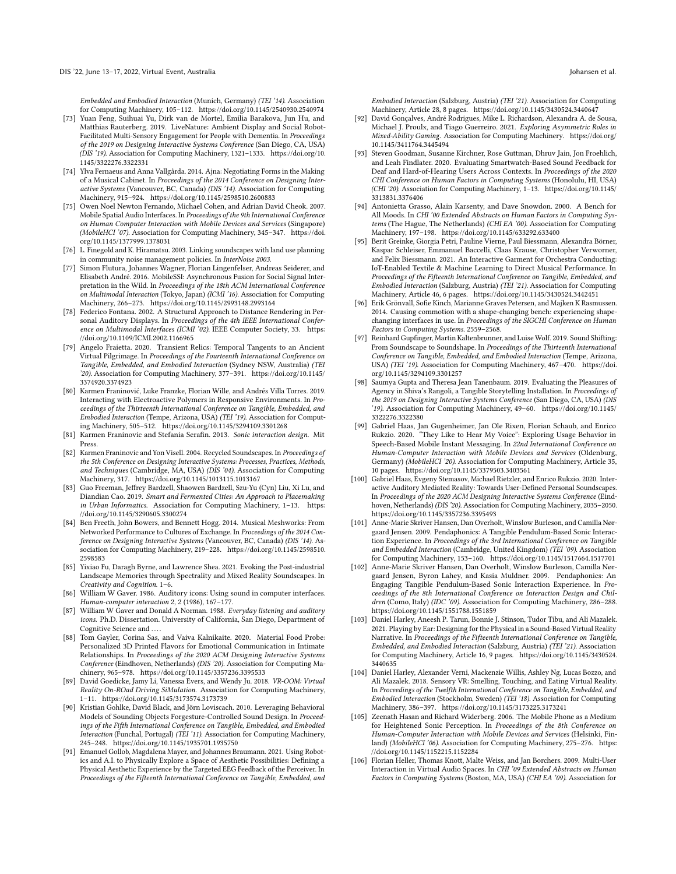Embedded and Embodied Interaction (Munich, Germany) (TEI '14). Association for Computing Machinery, 105–112.<https://doi.org/10.1145/2540930.2540974>

- <span id="page-13-24"></span>[73] Yuan Feng, Suihuai Yu, Dirk van de Mortel, Emilia Barakova, Jun Hu, and Matthias Rauterberg. 2019. LiveNature: Ambient Display and Social Robot-Facilitated Multi-Sensory Engagement for People with Dementia. In Proceedings of the 2019 on Designing Interactive Systems Conference (San Diego, CA, USA) (DIS '19). Association for Computing Machinery, 1321–1333. [https://doi.org/10.](https://doi.org/10.1145/3322276.3322331) [1145/3322276.3322331](https://doi.org/10.1145/3322276.3322331)
- <span id="page-13-20"></span>[74] Ylva Fernaeus and Anna Vallgårda. 2014. Ajna: Negotiating Forms in the Making of a Musical Cabinet. In Proceedings of the 2014 Conference on Designing Interactive Systems (Vancouver, BC, Canada) (DIS '14). Association for Computing Machinery, 915–924.<https://doi.org/10.1145/2598510.2600883>
- <span id="page-13-14"></span>[75] Owen Noel Newton Fernando, Michael Cohen, and Adrian David Cheok. 2007. Mobile Spatial Audio Interfaces. In Proceedings of the 9th International Conference on Human Computer Interaction with Mobile Devices and Services (Singapore) (MobileHCI '07). Association for Computing Machinery, 345–347. [https://doi.](https://doi.org/10.1145/1377999.1378031) [org/10.1145/1377999.1378031](https://doi.org/10.1145/1377999.1378031)
- <span id="page-13-4"></span>[76] L. Finegold and K. Hiramatsu. 2003. Linking soundscapes with land use planning in community noise management policies. In InterNoise 2003.
- <span id="page-13-21"></span>[77] Simon Flutura, Johannes Wagner, Florian Lingenfelser, Andreas Seiderer, and Elisabeth André. 2016. MobileSSI: Asynchronous Fusion for Social Signal Interpretation in the Wild. In Proceedings of the 18th ACM International Conference on Multimodal Interaction (Tokyo, Japan) (ICMI '16). Association for Computing Machinery, 266–273.<https://doi.org/10.1145/2993148.2993164>
- <span id="page-13-11"></span>[78] Federico Fontana. 2002. A Structural Approach to Distance Rendering in Personal Auditory Displays. In Proceedings of the 4th IEEE International Conference on Multimodal Interfaces (ICMI '02). IEEE Computer Society, 33. [https:](https://doi.org/10.1109/ICMI.2002.1166965) [//doi.org/10.1109/ICMI.2002.1166965](https://doi.org/10.1109/ICMI.2002.1166965)
- <span id="page-13-30"></span>[79] Angelo Fraietta. 2020. Transient Relics: Temporal Tangents to an Ancient Virtual Pilgrimage. In Proceedings of the Fourteenth International Conference on Tangible, Embedded, and Embodied Interaction (Sydney NSW, Australia) (TEI '20). Association for Computing Machinery, 377–391. [https://doi.org/10.1145/](https://doi.org/10.1145/3374920.3374923) [3374920.3374923](https://doi.org/10.1145/3374920.3374923)
- <span id="page-13-26"></span>[80] Karmen Franinović, Luke Franzke, Florian Wille, and Andrés Villa Torres. 2019. Interacting with Electroactive Polymers in Responsive Environments. In Proceedings of the Thirteenth International Conference on Tangible, Embedded, and Embodied Interaction (Tempe, Arizona, USA) (TEI '19). Association for Computing Machinery, 505–512.<https://doi.org/10.1145/3294109.3301268>
- <span id="page-13-1"></span>[81] Karmen Franinovic and Stefania Serafin. 2013. Sonic interaction design. Mit Press.
- <span id="page-13-12"></span>[82] Karmen Franinovic and Yon Visell. 2004. Recycled Soundscapes. In Proceedings of the 5th Conference on Designing Interactive Systems: Processes, Practices, Methods, and Techniques (Cambridge, MA, USA) (DIS '04). Association for Computing Machinery, 317.<https://doi.org/10.1145/1013115.1013167>
- <span id="page-13-23"></span>[83] Guo Freeman, Jeffrey Bardzell, Shaowen Bardzell, Szu-Yu (Cyn) Liu, Xi Lu, and Diandian Cao. 2019. Smart and Fermented Cities: An Approach to Placemaking in Urban Informatics. Association for Computing Machinery, 1–13. [https:](https://doi.org/10.1145/3290605.3300274) [//doi.org/10.1145/3290605.3300274](https://doi.org/10.1145/3290605.3300274)
- <span id="page-13-19"></span>[84] Ben Freeth, John Bowers, and Bennett Hogg. 2014. Musical Meshworks: From Networked Performance to Cultures of Exchange. In Proceedings of the 2014 Conference on Designing Interactive Systems (Vancouver, BC, Canada) (DIS '14). Association for Computing Machinery, 219–228. [https://doi.org/10.1145/2598510.](https://doi.org/10.1145/2598510.2598583) [2598583](https://doi.org/10.1145/2598510.2598583)
- <span id="page-13-31"></span>[85] Yixiao Fu, Daragh Byrne, and Lawrence Shea. 2021. Evoking the Post-industrial Landscape Memories through Spectrality and Mixed Reality Soundscapes. In Creativity and Cognition. 1–6.
- <span id="page-13-0"></span>[86] William W Gaver. 1986. Auditory icons: Using sound in computer interfaces. Human-computer interaction 2, 2 (1986), 167–177.
- <span id="page-13-2"></span>[87] William W Gaver and Donald A Norman. 1988. Everyday listening and auditory icons. Ph.D. Dissertation. University of California, San Diego, Department of Cognitive Science and ....
- <span id="page-13-28"></span>[88] Tom Gayler, Corina Sas, and Vaiva Kalnikaite. 2020. Material Food Probe: Personalized 3D Printed Flavors for Emotional Communication in Intimate Relationships. In Proceedings of the 2020 ACM Designing Interactive Systems Conference (Eindhoven, Netherlands) (DIS '20). Association for Computing Machinery, 965–978.<https://doi.org/10.1145/3357236.3395533>
- <span id="page-13-7"></span>[89] David Goedicke, Jamy Li, Vanessa Evers, and Wendy Ju. 2018. VR-OOM: Virtual Reality On-ROad Driving SiMulation. Association for Computing Machinery, 1–11.<https://doi.org/10.1145/3173574.3173739>
- <span id="page-13-18"></span>[90] Kristian Gohlke, David Black, and Jörn Loviscach. 2010. Leveraging Behavioral Models of Sounding Objects Forgesture-Controlled Sound Design. In Proceedings of the Fifth International Conference on Tangible, Embedded, and Embodied Interaction (Funchal, Portugal) (TEI '11). Association for Computing Machinery, 245–248.<https://doi.org/10.1145/1935701.1935750>
- <span id="page-13-32"></span>[91] Emanuel Gollob, Magdalena Mayer, and Johannes Braumann. 2021. Using Robotics and A.I. to Physically Explore a Space of Aesthetic Possibilities: Defining a Physical Aesthetic Experience by the Targeted EEG Feedback of the Perceiver. In Proceedings of the Fifteenth International Conference on Tangible, Embedded, and

Embodied Interaction (Salzburg, Austria) (TEI '21). Association for Computing

- <span id="page-13-9"></span>Machinery, Article 28, 8 pages.<https://doi.org/10.1145/3430524.3440647> [92] David Gonçalves, André Rodrigues, Mike L. Richardson, Alexandra A. de Sousa, Michael J. Proulx, and Tiago Guerreiro. 2021. Exploring Asymmetric Roles in Mixed-Ability Gaming. Association for Computing Machinery. [https://doi.org/](https://doi.org/10.1145/3411764.3445494) [10.1145/3411764.3445494](https://doi.org/10.1145/3411764.3445494)
- <span id="page-13-27"></span>[93] Steven Goodman, Susanne Kirchner, Rose Guttman, Dhruv Jain, Jon Froehlich, and Leah Findlater. 2020. Evaluating Smartwatch-Based Sound Feedback for Deaf and Hard-of-Hearing Users Across Contexts. In Proceedings of the 2020 CHI Conference on Human Factors in Computing Systems (Honolulu, HI, USA) (CHI '20). Association for Computing Machinery, 1–13. [https://doi.org/10.1145/](https://doi.org/10.1145/3313831.3376406) [3313831.3376406](https://doi.org/10.1145/3313831.3376406)
- <span id="page-13-10"></span>[94] Antonietta Grasso, Alain Karsenty, and Dave Snowdon. 2000. A Bench for All Moods. In CHI '00 Extended Abstracts on Human Factors in Computing Systems (The Hague, The Netherlands) (CHI EA '00). Association for Computing Machinery, 197–198.<https://doi.org/10.1145/633292.633400>
- <span id="page-13-33"></span>[95] Berit Greinke, Giorgia Petri, Pauline Vierne, Paul Biessmann, Alexandra Börner, Kaspar Schleiser, Emmanuel Baccelli, Claas Krause, Christopher Verworner, and Felix Biessmann. 2021. An Interactive Garment for Orchestra Conducting: IoT-Enabled Textile & Machine Learning to Direct Musical Performance. In Proceedings of the Fifteenth International Conference on Tangible, Embedded, and Embodied Interaction (Salzburg, Austria) (TEI '21). Association for Computing Machinery, Article 46, 6 pages.<https://doi.org/10.1145/3430524.3442451>
- <span id="page-13-5"></span>[96] Erik Grönvall, Sofie Kinch, Marianne Graves Petersen, and Majken K Rasmussen. 2014. Causing commotion with a shape-changing bench: experiencing shapechanging interfaces in use. In Proceedings of the SIGCHI Conference on Human Factors in Computing Systems. 2559–2568.
- <span id="page-13-25"></span>[97] Reinhard Gupfinger, Martin Kaltenbrunner, and Luise Wolf. 2019. Sound Shifting: From Soundscape to Soundshape. In Proceedings of the Thirteenth International Conference on Tangible, Embedded, and Embodied Interaction (Tempe, Arizona, USA) (TEI '19). Association for Computing Machinery, 467–470. [https://doi.](https://doi.org/10.1145/3294109.3301257) [org/10.1145/3294109.3301257](https://doi.org/10.1145/3294109.3301257)
- <span id="page-13-6"></span>[98] Saumya Gupta and Theresa Jean Tanenbaum. 2019. Evaluating the Pleasures of Agency in Shiva's Rangoli, a Tangible Storytelling Installation. In Proceedings of the 2019 on Designing Interactive Systems Conference (San Diego, CA, USA) (DIS '19). Association for Computing Machinery, 49–60. [https://doi.org/10.1145/](https://doi.org/10.1145/3322276.3322380) [3322276.3322380](https://doi.org/10.1145/3322276.3322380)
- <span id="page-13-29"></span>[99] Gabriel Haas, Jan Gugenheimer, Jan Ole Rixen, Florian Schaub, and Enrico Rukzio. 2020. "They Like to Hear My Voice": Exploring Usage Behavior in Speech-Based Mobile Instant Messaging. In 22nd International Conference on Human-Computer Interaction with Mobile Devices and Services (Oldenburg, Germany) (MobileHCI '20). Association for Computing Machinery, Article 35, 10 pages.<https://doi.org/10.1145/3379503.3403561>
- <span id="page-13-3"></span>[100] Gabriel Haas, Evgeny Stemasov, Michael Rietzler, and Enrico Rukzio. 2020. Interactive Auditory Mediated Reality: Towards User-Defined Personal Soundscapes. In Proceedings of the 2020 ACM Designing Interactive Systems Conference (Eindhoven, Netherlands) (DIS '20). Association for Computing Machinery, 2035–2050. <https://doi.org/10.1145/3357236.3395493>
- <span id="page-13-17"></span>[101] Anne-Marie Skriver Hansen, Dan Overholt, Winslow Burleson, and Camilla Nørgaard Jensen. 2009. Pendaphonics: A Tangible Pendulum-Based Sonic Interaction Experience. In Proceedings of the 3rd International Conference on Tangible and Embedded Interaction (Cambridge, United Kingdom) (TEI '09). Association for Computing Machinery, 153–160.<https://doi.org/10.1145/1517664.1517701>
- <span id="page-13-16"></span>[102] Anne-Marie Skriver Hansen, Dan Overholt, Winslow Burleson, Camilla Nørgaard Jensen, Byron Lahey, and Kasia Muldner. 2009. Pendaphonics: An Engaging Tangible Pendulum-Based Sonic Interaction Experience. In Proceedings of the 8th International Conference on Interaction Design and Children (Como, Italy) (IDC '09). Association for Computing Machinery, 286-288. <https://doi.org/10.1145/1551788.1551859>
- <span id="page-13-8"></span>[103] Daniel Harley, Aneesh P. Tarun, Bonnie J. Stinson, Tudor Tibu, and Ali Mazalek. 2021. Playing by Ear: Designing for the Physical in a Sound-Based Virtual Reality Narrative. In Proceedings of the Fifteenth International Conference on Tangible, Embedded, and Embodied Interaction (Salzburg, Austria) (TEI '21). Association for Computing Machinery, Article 16, 9 pages. [https://doi.org/10.1145/3430524.](https://doi.org/10.1145/3430524.3440635) [3440635](https://doi.org/10.1145/3430524.3440635)
- <span id="page-13-22"></span>[104] Daniel Harley, Alexander Verni, Mackenzie Willis, Ashley Ng, Lucas Bozzo, and Ali Mazalek. 2018. Sensory VR: Smelling, Touching, and Eating Virtual Reality. In Proceedings of the Twelfth International Conference on Tangible, Embedded, and Embodied Interaction (Stockholm, Sweden) (TEI '18). Association for Computing Machinery, 386–397.<https://doi.org/10.1145/3173225.3173241>
- <span id="page-13-13"></span>[105] Zeenath Hasan and Richard Widerberg. 2006. The Mobile Phone as a Medium for Heightened Sonic Perception. In Proceedings of the 8th Conference on Human-Computer Interaction with Mobile Devices and Services (Helsinki, Finland) (MobileHCI '06). Association for Computing Machinery, 275-276. [https:](https://doi.org/10.1145/1152215.1152284) [//doi.org/10.1145/1152215.1152284](https://doi.org/10.1145/1152215.1152284)
- <span id="page-13-15"></span>[106] Florian Heller, Thomas Knott, Malte Weiss, and Jan Borchers. 2009. Multi-User Interaction in Virtual Audio Spaces. In CHI '09 Extended Abstracts on Human Factors in Computing Systems (Boston, MA, USA) (CHI EA '09). Association for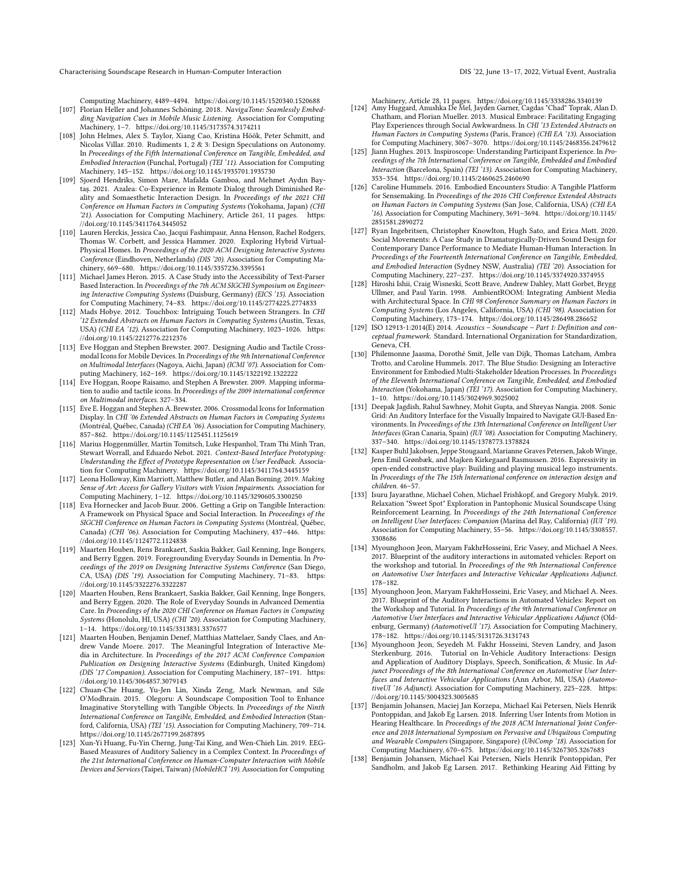Characterising Soundscape Research in Human-Computer Interaction DIS '22, June 13–17, 2022, Virtual Event, Australia

Computing Machinery, 4489–4494.<https://doi.org/10.1145/1520340.1520688>

- <span id="page-14-9"></span>[107] Florian Heller and Johannes Schöning. 2018. NavigaTone: Seamlessly Embedding Navigation Cues in Mobile Music Listening. Association for Computing Machinery, 1–7.<https://doi.org/10.1145/3173574.3174211>
- <span id="page-14-14"></span>[108] John Helmes, Alex S. Taylor, Xiang Cao, Kristina Höök, Peter Schmitt, and Nicolas Villar. 2010. Rudiments 1, 2 & 3: Design Speculations on Autonomy. In Proceedings of the Fifth International Conference on Tangible, Embedded, and Embodied Interaction (Funchal, Portugal) (TEI '11). Association for Computing Machinery, 145–152.<https://doi.org/10.1145/1935701.1935730>
- <span id="page-14-2"></span>[109] Sjoerd Hendriks, Simon Mare, Mafalda Gamboa, and Mehmet Aydın Baytaş. 2021. Azalea: Co-Experience in Remote Dialog through Diminished Reality and Somaesthetic Interaction Design. In Proceedings of the 2021 CHI Conference on Human Factors in Computing Systems (Yokohama, Japan) (CHI '21). Association for Computing Machinery, Article 261, 11 pages. [https:](https://doi.org/10.1145/3411764.3445052) [//doi.org/10.1145/3411764.3445052](https://doi.org/10.1145/3411764.3445052)
- <span id="page-14-29"></span>[110] Lauren Herckis, Jessica Cao, Jacqui Fashimpaur, Anna Henson, Rachel Rodgers, Thomas W. Corbett, and Jessica Hammer. 2020. Exploring Hybrid Virtual-Physical Homes. In Proceedings of the 2020 ACM Designing Interactive Systems Conference (Eindhoven, Netherlands) (DIS '20). Association for Computing Machinery, 669–680.<https://doi.org/10.1145/3357236.3395561>
- <span id="page-14-18"></span>[111] Michael James Heron. 2015. A Case Study into the Accessibility of Text-Parser Based Interaction. In Proceedings of the 7th ACM SIGCHI Symposium on Engineering Interactive Computing Systems (Duisburg, Germany) (EICS '15). Association for Computing Machinery, 74–83.<https://doi.org/10.1145/2774225.2774833>
- <span id="page-14-15"></span>[112] Mads Hobye. 2012. Touchbox: Intriguing Touch between Strangers. In CHI '12 Extended Abstracts on Human Factors in Computing Systems (Austin, Texas, USA) (CHI EA '12). Association for Computing Machinery, 1023–1026. [https:](https://doi.org/10.1145/2212776.2212376) [//doi.org/10.1145/2212776.2212376](https://doi.org/10.1145/2212776.2212376)
- <span id="page-14-13"></span>[113] Eve Hoggan and Stephen Brewster. 2007. Designing Audio and Tactile Crossmodal Icons for Mobile Devices. In Proceedings of the 9th International Conference on Multimodal Interfaces (Nagoya, Aichi, Japan) (ICMI '07). Association for Computing Machinery, 162–169.<https://doi.org/10.1145/1322192.1322222>
- <span id="page-14-6"></span>[114] Eve Hoggan, Roope Raisamo, and Stephen A Brewster. 2009. Mapping information to audio and tactile icons. In Proceedings of the 2009 international conference on Multimodal interfaces. 327–334.
- <span id="page-14-12"></span>[115] Eve E. Hoggan and Stephen A. Brewster. 2006. Crossmodal Icons for Information Display. In CHI '06 Extended Abstracts on Human Factors in Computing Systems (Montréal, Québec, Canada) (CHI EA '06). Association for Computing Machinery, 857–862.<https://doi.org/10.1145/1125451.1125619>
- <span id="page-14-31"></span>[116] Marius Hoggenmüller, Martin Tomitsch, Luke Hespanhol, Tram Thi Minh Tran, Stewart Worrall, and Eduardo Nebot. 2021. Context-Based Interface Prototyping: Understanding the Effect of Prototype Representation on User Feedback. Association for Computing Machinery.<https://doi.org/10.1145/3411764.3445159>
- <span id="page-14-26"></span>[117] Leona Holloway, Kim Marriott, Matthew Butler, and Alan Borning. 2019. Making Sense of Art: Access for Gallery Visitors with Vision Impairments. Association for Computing Machinery, 1–12.<https://doi.org/10.1145/3290605.3300250>
- <span id="page-14-11"></span>[118] Eva Hornecker and Jacob Buur. 2006. Getting a Grip on Tangible Interaction: A Framework on Physical Space and Social Interaction. In Proceedings of the SIGCHI Conference on Human Factors in Computing Systems (Montréal, Québec, Canada) (CHI '06). Association for Computing Machinery, 437–446. [https:](https://doi.org/10.1145/1124772.1124838) [//doi.org/10.1145/1124772.1124838](https://doi.org/10.1145/1124772.1124838)
- <span id="page-14-1"></span>[119] Maarten Houben, Rens Brankaert, Saskia Bakker, Gail Kenning, Inge Bongers, and Berry Eggen. 2019. Foregrounding Everyday Sounds in Dementia. In Proceedings of the 2019 on Designing Interactive Systems Conference (San Diego, CA, USA) (DIS '19). Association for Computing Machinery, 71–83. [https:](https://doi.org/10.1145/3322276.3322287) [//doi.org/10.1145/3322276.3322287](https://doi.org/10.1145/3322276.3322287)
- <span id="page-14-5"></span>[120] Maarten Houben, Rens Brankaert, Saskia Bakker, Gail Kenning, Inge Bongers, and Berry Eggen. 2020. The Role of Everyday Sounds in Advanced Dementia Care. In Proceedings of the 2020 CHI Conference on Human Factors in Computing Systems (Honolulu, HI, USA) (CHI '20). Association for Computing Machinery, 1–14.<https://doi.org/10.1145/3313831.3376577>
- <span id="page-14-24"></span>[121] Maarten Houben, Benjamin Denef, Matthias Mattelaer, Sandy Claes, and Andrew Vande Moere. 2017. The Meaningful Integration of Interactive Media in Architecture. In Proceedings of the 2017 ACM Conference Companion Publication on Designing Interactive Systems (Edinburgh, United Kingdom) (DIS '17 Companion). Association for Computing Machinery, 187–191. [https:](https://doi.org/10.1145/3064857.3079143) [//doi.org/10.1145/3064857.3079143](https://doi.org/10.1145/3064857.3079143)
- <span id="page-14-19"></span>[122] Chuan-Che Huang, Yu-Jen Lin, Xinda Zeng, Mark Newman, and Sile O'Modhrain. 2015. Olegoru: A Soundscape Composition Tool to Enhance Imaginative Storytelling with Tangible Objects. In Proceedings of the Ninth International Conference on Tangible, Embedded, and Embodied Interaction (Stanford, California, USA) (TEI '15). Association for Computing Machinery, 709–714. <https://doi.org/10.1145/2677199.2687895>
- <span id="page-14-28"></span>[123] Xun-Yi Huang, Fu-Yin Cherng, Jung-Tai King, and Wen-Chieh Lin. 2019. EEG-Based Measures of Auditory Saliency in a Complex Context. In Proceedings of the 21st International Conference on Human-Computer Interaction with Mobile Devices and Services (Taipei, Taiwan) (MobileHCI '19). Association for Computing

<span id="page-14-16"></span>Machinery, Article 28, 11 pages.<https://doi.org/10.1145/3338286.3340139> [124] Amy Huggard, Anushka De Mel, Jayden Garner, Cagdas "Chad" Toprak, Alan D.

- Chatham, and Florian Mueller. 2013. Musical Embrace: Facilitating Engaging Play Experiences through Social Awkwardness. In CHI '13 Extended Abstracts on Human Factors in Computing Systems (Paris, France) (CHI EA '13). Association for Computing Machinery, 3067–3070.<https://doi.org/10.1145/2468356.2479612>
- <span id="page-14-17"></span>[125] Jiann Hughes. 2013. Inspiroscope: Understanding Participant Experience. In Proceedings of the 7th International Conference on Tangible, Embedded and Embodied Interaction (Barcelona, Spain) (TEI '13). Association for Computing Machinery, 353–354.<https://doi.org/10.1145/2460625.2460690>
- <span id="page-14-21"></span>[126] Caroline Hummels. 2016. Embodied Encounters Studio: A Tangible Platform for Sensemaking. In Proceedings of the 2016 CHI Conference Extended Abstracts on Human Factors in Computing Systems (San Jose, California, USA) (CHI EA '16). Association for Computing Machinery, 3691–3694. [https://doi.org/10.1145/](https://doi.org/10.1145/2851581.2890272) [2851581.2890272](https://doi.org/10.1145/2851581.2890272)
- <span id="page-14-30"></span>[127] Ryan Ingebritsen, Christopher Knowlton, Hugh Sato, and Erica Mott. 2020. Social Movements: A Case Study in Dramaturgically-Driven Sound Design for Contemporary Dance Performance to Mediate Human-Human Interaction. In Proceedings of the Fourteenth International Conference on Tangible, Embedded, and Embodied Interaction (Sydney NSW, Australia) (TEI '20). Association for Computing Machinery, 227–237.<https://doi.org/10.1145/3374920.3374955>
- <span id="page-14-10"></span>[128] Hiroshi Ishii, Craig Wisneski, Scott Brave, Andrew Dahley, Matt Gorbet, Brygg Ullmer, and Paul Yarin. 1998. AmbientROOM: Integrating Ambient Media with Architectural Space. In CHI 98 Conference Summary on Human Factors in Computing Systems (Los Angeles, California, USA) (CHI '98). Association for Computing Machinery, 173–174.<https://doi.org/10.1145/286498.286652>
- <span id="page-14-0"></span>[129] ISO 12913-1:2014(E) 2014. Acoustics – Soundscape – Part 1: Definition and conceptual framework. Standard. International Organization for Standardization, Geneva, CH.
- <span id="page-14-8"></span>[130] Philemonne Jaasma, Dorothé Smit, Jelle van Dijk, Thomas Latcham, Ambra Trotto, and Caroline Hummels. 2017. The Blue Studio: Designing an Interactive Environment for Embodied Multi-Stakeholder Ideation Processes. In Proceedings of the Eleventh International Conference on Tangible, Embedded, and Embodied Interaction (Yokohama, Japan) (TEI '17). Association for Computing Machinery, 1–10.<https://doi.org/10.1145/3024969.3025002>
- <span id="page-14-7"></span>[131] Deepak Jagdish, Rahul Sawhney, Mohit Gupta, and Shreyas Nangia. 2008. Sonic Grid: An Auditory Interface for the Visually Impaired to Navigate GUI-Based Environments. In Proceedings of the 13th International Conference on Intelligent User Interfaces (Gran Canaria, Spain) (IUI '08). Association for Computing Machinery, 337–340.<https://doi.org/10.1145/1378773.1378824>
- <span id="page-14-4"></span>[132] Kasper Buhl Jakobsen, Jeppe Stougaard, Marianne Graves Petersen, Jakob Winge, Jens Emil Grønbæk, and Majken Kirkegaard Rasmussen. 2016. Expressivity in open-ended constructive play: Building and playing musical lego instruments. In Proceedings of the The 15th International conference on interaction design and children. 46–57.
- <span id="page-14-27"></span>[133] Isuru Jayarathne, Michael Cohen, Michael Frishkopf, and Gregory Mulyk. 2019. Relaxation "Sweet Spot" Exploration in Pantophonic Musical Soundscape Using Reinforcement Learning. In Proceedings of the 24th International Conference on Intelligent User Interfaces: Companion (Marina del Ray, California) (IUI '19). Association for Computing Machinery, 55–56. [https://doi.org/10.1145/3308557.](https://doi.org/10.1145/3308557.3308686) [3308686](https://doi.org/10.1145/3308557.3308686)
- <span id="page-14-3"></span>[134] Myounghoon Jeon, Maryam FakhrHosseini, Eric Vasey, and Michael A Nees. 2017. Blueprint of the auditory interactions in automated vehicles: Report on the workshop and tutorial. In Proceedings of the 9th International Conference on Automotive User Interfaces and Interactive Vehicular Applications Adjunct. 178–182.
- <span id="page-14-22"></span>[135] Myounghoon Jeon, Maryam FakhrHosseini, Eric Vasey, and Michael A. Nees. 2017. Blueprint of the Auditory Interactions in Automated Vehicles: Report on the Workshop and Tutorial. In Proceedings of the 9th International Conference on Automotive User Interfaces and Interactive Vehicular Applications Adjunct (Oldenburg, Germany) (AutomotiveUI '17). Association for Computing Machinery, 178–182.<https://doi.org/10.1145/3131726.3131743>
- <span id="page-14-20"></span>[136] Myounghoon Jeon, Seyedeh M. Fakhr Hosseini, Steven Landry, and Jason Sterkenburg. 2016. Tutorial on In-Vehicle Auditory Interactions: Design and Application of Auditory Displays, Speech, Sonification, & Music. In Adjunct Proceedings of the 8th International Conference on Automotive User Interfaces and Interactive Vehicular Applications (Ann Arbor, MI, USA) (AutomotiveUI '16 Adjunct). Association for Computing Machinery, 225–228. [https:](https://doi.org/10.1145/3004323.3005685) [//doi.org/10.1145/3004323.3005685](https://doi.org/10.1145/3004323.3005685)
- <span id="page-14-25"></span>[137] Benjamin Johansen, Maciej Jan Korzepa, Michael Kai Petersen, Niels Henrik Pontoppidan, and Jakob Eg Larsen. 2018. Inferring User Intents from Motion in Hearing Healthcare. In Proceedings of the 2018 ACM International Joint Conference and 2018 International Symposium on Pervasive and Ubiquitous Computing and Wearable Computers (Singapore, Singapore) (UbiComp '18). Association for Computing Machinery, 670–675.<https://doi.org/10.1145/3267305.3267683>
- <span id="page-14-23"></span>[138] Benjamin Johansen, Michael Kai Petersen, Niels Henrik Pontoppidan, Per Sandholm, and Jakob Eg Larsen. 2017. Rethinking Hearing Aid Fitting by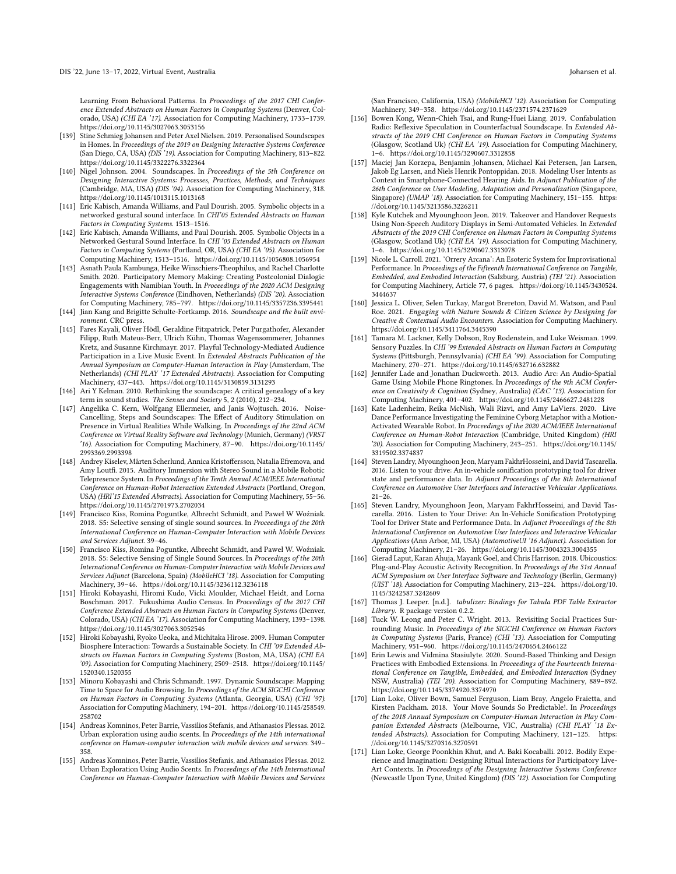Learning From Behavioral Patterns. In Proceedings of the 2017 CHI Conference Extended Abstracts on Human Factors in Computing Systems (Denver, Colorado, USA) (CHI EA '17). Association for Computing Machinery, 1733–1739. <https://doi.org/10.1145/3027063.3053156>

- <span id="page-15-5"></span>[139] Stine Schmieg Johansen and Peter Axel Nielsen. 2019. Personalised Soundscapes in Homes. In Proceedings of the 2019 on Designing Interactive Systems Conference (San Diego, CA, USA) (DIS '19). Association for Computing Machinery, 813–822. <https://doi.org/10.1145/3322276.3322364>
- <span id="page-15-14"></span>[140] Nigel Johnson. 2004. Soundscapes. In Proceedings of the 5th Conference on Designing Interactive Systems: Processes, Practices, Methods, and Techniques (Cambridge, MA, USA) (DIS '04). Association for Computing Machinery, 318. <https://doi.org/10.1145/1013115.1013168>
- <span id="page-15-3"></span>[141] Eric Kabisch, Amanda Williams, and Paul Dourish. 2005. Symbolic objects in a networked gestural sound interface. In CHI'05 Extended Abstracts on Human Factors in Computing Systems. 1513–1516.
- <span id="page-15-15"></span>[142] Eric Kabisch, Amanda Williams, and Paul Dourish. 2005. Symbolic Objects in a Networked Gestural Sound Interface. In CHI '05 Extended Abstracts on Human Factors in Computing Systems (Portland, OR, USA) (CHI EA '05). Association for Computing Machinery, 1513–1516.<https://doi.org/10.1145/1056808.1056954>
- <span id="page-15-29"></span>[143] Asnath Paula Kambunga, Heike Winschiers-Theophilus, and Rachel Charlotte Smith. 2020. Participatory Memory Making: Creating Postcolonial Dialogic Engagements with Namibian Youth. In Proceedings of the 2020 ACM Designing Interactive Systems Conference (Eindhoven, Netherlands) (DIS '20). Association for Computing Machinery, 785–797.<https://doi.org/10.1145/3357236.3395441>
- <span id="page-15-0"></span>[144] Jian Kang and Brigitte Schulte-Fortkamp. 2016. Soundscape and the built environment. CRC press.
- <span id="page-15-22"></span>[145] Fares Kayali, Oliver Hödl, Geraldine Fitzpatrick, Peter Purgathofer, Alexander Filipp, Ruth Mateus-Berr, Ulrich Kühn, Thomas Wagensommerer, Johannes Kretz, and Susanne Kirchmayr. 2017. Playful Technology-Mediated Audience Participation in a Live Music Event. In Extended Abstracts Publication of the Annual Symposium on Computer-Human Interaction in Play (Amsterdam, The Netherlands) (CHI PLAY '17 Extended Abstracts). Association for Computing Machinery, 437–443.<https://doi.org/10.1145/3130859.3131293>
- <span id="page-15-1"></span>[146] Ari Y Kelman. 2010. Rethinking the soundscape: A critical genealogy of a key term in sound studies. The Senses and Society 5, 2 (2010), 212-234.
- <span id="page-15-11"></span>[147] Angelika C. Kern, Wolfgang Ellermeier, and Janis Wojtusch. 2016. Noise-Cancelling, Steps and Soundscapes: The Effect of Auditory Stimulation on Presence in Virtual Realities While Walking. In Proceedings of the 22nd ACM Conference on Virtual Reality Software and Technology (Munich, Germany) (VRST '16). Association for Computing Machinery, 87–90. [https://doi.org/10.1145/](https://doi.org/10.1145/2993369.2993398) [2993369.2993398](https://doi.org/10.1145/2993369.2993398)
- <span id="page-15-19"></span>[148] Andrey Kiselev, Mårten Scherlund, Annica Kristoffersson, Natalia Efremova, and Amy Loutfi. 2015. Auditory Immersion with Stereo Sound in a Mobile Robotic Telepresence System. In Proceedings of the Tenth Annual ACM/IEEE International Conference on Human-Robot Interaction Extended Abstracts (Portland, Oregon, USA) (HRI'15 Extended Abstracts). Association for Computing Machinery, 55–56. <https://doi.org/10.1145/2701973.2702034>
- <span id="page-15-8"></span>[149] Francisco Kiss, Romina Poguntke, Albrecht Schmidt, and Paweł W Woźniak. 2018. S5: Selective sensing of single sound sources. In Proceedings of the 20th International Conference on Human-Computer Interaction with Mobile Devices and Services Adjunct. 39–46.
- <span id="page-15-24"></span>[150] Francisco Kiss, Romina Poguntke, Albrecht Schmidt, and Paweł W. Woźniak. 2018. S5: Selective Sensing of Single Sound Sources. In Proceedings of the 20th International Conference on Human-Computer Interaction with Mobile Devices and Services Adjunct (Barcelona, Spain) (MobileHCI '18). Association for Computing Machinery, 39–46.<https://doi.org/10.1145/3236112.3236118>
- <span id="page-15-21"></span>[151] Hiroki Kobayashi, Hiromi Kudo, Vicki Moulder, Michael Heidt, and Lorna Boschman. 2017. Fukushima Audio Census. In Proceedings of the 2017 CHI Conference Extended Abstracts on Human Factors in Computing Systems (Denver, Colorado, USA) (CHI EA '17). Association for Computing Machinery, 1393–1398. <https://doi.org/10.1145/3027063.3052546>
- <span id="page-15-10"></span>[152] Hiroki Kobayashi, Ryoko Ueoka, and Michitaka Hirose. 2009. Human Computer Biosphere Interaction: Towards a Sustainable Society. In CHI '09 Extended Abstracts on Human Factors in Computing Systems (Boston, MA, USA) (CHI EA '09). Association for Computing Machinery, 2509–2518. [https://doi.org/10.1145/](https://doi.org/10.1145/1520340.1520355) [1520340.1520355](https://doi.org/10.1145/1520340.1520355)
- <span id="page-15-12"></span>[153] Minoru Kobayashi and Chris Schmandt. 1997. Dynamic Soundscape: Mapping Time to Space for Audio Browsing. In Proceedings of the ACM SIGCHI Conference on Human Factors in Computing Systems (Atlanta, Georgia, USA) (CHI '97). Association for Computing Machinery, 194–201. [https://doi.org/10.1145/258549.](https://doi.org/10.1145/258549.258702) [258702](https://doi.org/10.1145/258549.258702)
- <span id="page-15-7"></span>[154] Andreas Komninos, Peter Barrie, Vassilios Stefanis, and Athanasios Plessas. 2012. Urban exploration using audio scents. In Proceedings of the 14th international conference on Human-computer interaction with mobile devices and services. 349– 358.
- <span id="page-15-9"></span>[155] Andreas Komninos, Peter Barrie, Vassilios Stefanis, and Athanasios Plessas. 2012. Urban Exploration Using Audio Scents. In Proceedings of the 14th International Conference on Human-Computer Interaction with Mobile Devices and Services

(San Francisco, California, USA) (MobileHCI '12). Association for Computing Machinery, 349–358.<https://doi.org/10.1145/2371574.2371629>

- <span id="page-15-27"></span>[156] Bowen Kong, Wenn-Chieh Tsai, and Rung-Huei Liang. 2019. Confabulation Radio: Reflexive Speculation in Counterfactual Soundscape. In Extended Abstracts of the 2019 CHI Conference on Human Factors in Computing Systems (Glasgow, Scotland Uk) (CHI EA '19). Association for Computing Machinery, 1–6.<https://doi.org/10.1145/3290607.3312858>
- <span id="page-15-26"></span>[157] Maciej Jan Korzepa, Benjamin Johansen, Michael Kai Petersen, Jan Larsen, Jakob Eg Larsen, and Niels Henrik Pontoppidan. 2018. Modeling User Intents as Context in Smartphone-Connected Hearing Aids. In Adjunct Publication of the 26th Conference on User Modeling, Adaptation and Personalization (Singapore, Singapore) (UMAP '18). Association for Computing Machinery, 151–155. [https:](https://doi.org/10.1145/3213586.3226211) [//doi.org/10.1145/3213586.3226211](https://doi.org/10.1145/3213586.3226211)
- <span id="page-15-28"></span>[158] Kyle Kutchek and Myounghoon Jeon. 2019. Takeover and Handover Requests Using Non-Speech Auditory Displays in Semi-Automated Vehicles. In Extended Abstracts of the 2019 CHI Conference on Human Factors in Computing Systems (Glasgow, Scotland Uk) (CHI EA '19). Association for Computing Machinery, 1–6.<https://doi.org/10.1145/3290607.3313078>
- <span id="page-15-32"></span>[159] Nicole L. Carroll. 2021. 'Orrery Arcana': An Esoteric System for Improvisational Performance. In Proceedings of the Fifteenth International Conference on Tangible, Embedded, and Embodied Interaction (Salzburg, Austria) (TEI '21). Association for Computing Machinery, Article 77, 6 pages. [https://doi.org/10.1145/3430524.](https://doi.org/10.1145/3430524.3444637) [3444637](https://doi.org/10.1145/3430524.3444637)
- <span id="page-15-31"></span>[160] Jessica L. Oliver, Selen Turkay, Margot Brereton, David M. Watson, and Paul Roe. 2021. Engaging with Nature Sounds & Citizen Science by Designing for Creative & Contextual Audio Encounters. Association for Computing Machinery. <https://doi.org/10.1145/3411764.3445390>
- <span id="page-15-13"></span>[161] Tamara M. Lackner, Kelly Dobson, Roy Rodenstein, and Luke Weisman. 1999. Sensory Puzzles. In CHI<sup>'99</sup> Extended Abstracts on Human Factors in Computing Systems (Pittsburgh, Pennsylvania) (CHI EA '99). Association for Computing Machinery, 270–271.<https://doi.org/10.1145/632716.632882>
- <span id="page-15-17"></span>[162] Jennifer Lade and Jonathan Duckworth. 2013. Audio Arc: An Audio-Spatial Game Using Mobile Phone Ringtones. In Proceedings of the 9th ACM Conference on Creativity & Cognition (Sydney, Australia) (C&C '13). Association for Computing Machinery, 401–402.<https://doi.org/10.1145/2466627.2481228>
- <span id="page-15-30"></span>[163] Kate Ladenheim, Reika McNish, Wali Rizvi, and Amy LaViers. 2020. Live Dance Performance Investigating the Feminine Cyborg Metaphor with a Motion-Activated Wearable Robot. In Proceedings of the 2020 ACM/IEEE International Conference on Human-Robot Interaction (Cambridge, United Kingdom) (HRI '20). Association for Computing Machinery, 243–251. [https://doi.org/10.1145/](https://doi.org/10.1145/3319502.3374837) [3319502.3374837](https://doi.org/10.1145/3319502.3374837)
- <span id="page-15-4"></span>[164] Steven Landry, Myounghoon Jeon, Maryam FakhrHosseini, and David Tascarella. 2016. Listen to your drive: An in-vehicle sonification prototyping tool for driver state and performance data. In Adjunct Proceedings of the 8th International Conference on Automotive User Interfaces and Interactive Vehicular Applications.  $21 - 26$
- <span id="page-15-20"></span>[165] Steven Landry, Myounghoon Jeon, Maryam FakhrHosseini, and David Tascarella. 2016. Listen to Your Drive: An In-Vehicle Sonification Prototyping Tool for Driver State and Performance Data. In Adjunct Proceedings of the 8th International Conference on Automotive User Interfaces and Interactive Vehicular Applications (Ann Arbor, MI, USA) (AutomotiveUI '16 Adjunct). Association for Computing Machinery, 21–26.<https://doi.org/10.1145/3004323.3004355>
- <span id="page-15-25"></span>[166] Gierad Laput, Karan Ahuja, Mayank Goel, and Chris Harrison. 2018. Ubicoustics: Plug-and-Play Acoustic Activity Recognition. In Proceedings of the 31st Annual ACM Symposium on User Interface Software and Technology (Berlin, Germany) (UIST '18). Association for Computing Machinery, 213–224. [https://doi.org/10.](https://doi.org/10.1145/3242587.3242609) [1145/3242587.3242609](https://doi.org/10.1145/3242587.3242609)
- <span id="page-15-2"></span>[167] Thomas J. Leeper. [n.d.]. tabulizer: Bindings for Tabula PDF Table Extractor Library. R package version 0.2.2.
- <span id="page-15-18"></span>[168] Tuck W. Leong and Peter C. Wright. 2013. Revisiting Social Practices Surrounding Music. In Proceedings of the SIGCHI Conference on Human Factors in Computing Systems (Paris, France) (CHI '13). Association for Computing Machinery, 951–960.<https://doi.org/10.1145/2470654.2466122>
- <span id="page-15-6"></span>[169] Erin Lewis and Vidmina Stasiulyte. 2020. Sound-Based Thinking and Design Practices with Embodied Extensions. In Proceedings of the Fourteenth International Conference on Tangible, Embedded, and Embodied Interaction (Sydney NSW, Australia) (TEI '20). Association for Computing Machinery, 889–892. <https://doi.org/10.1145/3374920.3374970>
- <span id="page-15-23"></span>[170] Lian Loke, Oliver Bown, Samuel Ferguson, Liam Bray, Angelo Fraietta, and Kirsten Packham. 2018. Your Move Sounds So Predictable!. In Proceedings of the 2018 Annual Symposium on Computer-Human Interaction in Play Companion Extended Abstracts (Melbourne, VIC, Australia) (CHI PLAY '18 Extended Abstracts). Association for Computing Machinery, 121–125. [https:](https://doi.org/10.1145/3270316.3270591) [//doi.org/10.1145/3270316.3270591](https://doi.org/10.1145/3270316.3270591)
- <span id="page-15-16"></span>[171] Lian Loke, George Poonkhin Khut, and A. Baki Kocaballi. 2012. Bodily Experience and Imagination: Designing Ritual Interactions for Participatory Live-Art Contexts. In Proceedings of the Designing Interactive Systems Conference (Newcastle Upon Tyne, United Kingdom) (DIS '12). Association for Computing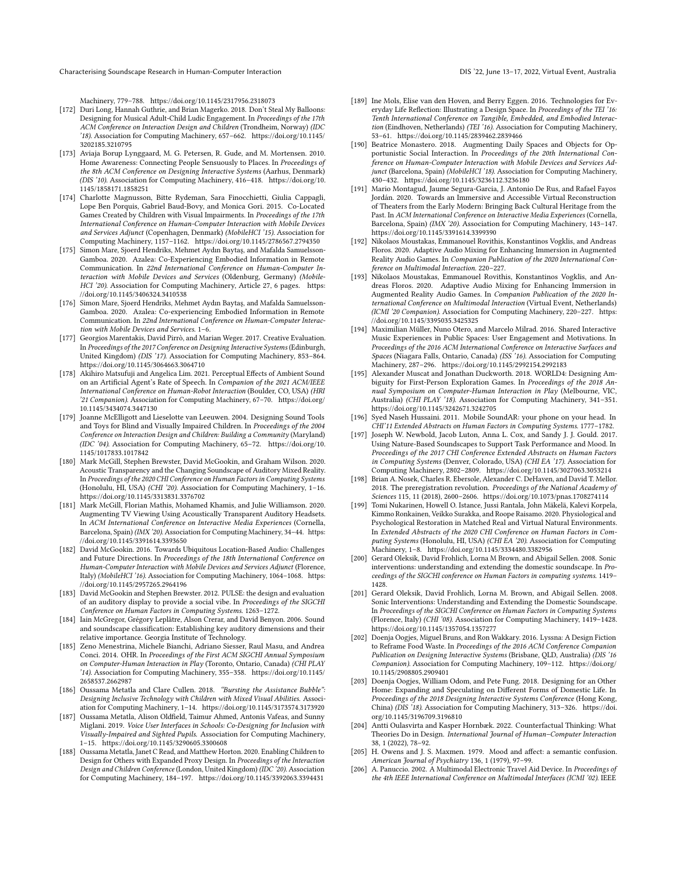Characterising Soundscape Research in Human-Computer Interaction DIS '22, June 13–17, 2022, Virtual Event, Australia

Machinery, 779–788.<https://doi.org/10.1145/2317956.2318073>

- <span id="page-16-25"></span>[172] Duri Long, Hannah Guthrie, and Brian Magerko. 2018. Don't Steal My Balloons: Designing for Musical Adult-Child Ludic Engagement. In Proceedings of the 17th ACM Conference on Interaction Design and Children (Trondheim, Norway) (IDC '18). Association for Computing Machinery, 657–662. [https://doi.org/10.1145/](https://doi.org/10.1145/3202185.3210795) [3202185.3210795](https://doi.org/10.1145/3202185.3210795)
- <span id="page-16-15"></span>[173] Aviaja Borup Lynggaard, M. G. Petersen, R. Gude, and M. Mortensen. 2010. Home Awareness: Connecting People Sensuously to Places. In Proceedings of the 8th ACM Conference on Designing Interactive Systems (Aarhus, Denmark) (DIS '10). Association for Computing Machinery, 416–418. [https://doi.org/10.](https://doi.org/10.1145/1858171.1858251) [1145/1858171.1858251](https://doi.org/10.1145/1858171.1858251)
- <span id="page-16-16"></span>[174] Charlotte Magnusson, Bitte Rydeman, Sara Finocchietti, Giulia Cappagli, Lope Ben Porquis, Gabriel Baud-Bovy, and Monica Gori. 2015. Co-Located Games Created by Children with Visual Impairments. In Proceedings of the 17th International Conference on Human-Computer Interaction with Mobile Devices and Services Adjunct (Copenhagen, Denmark) (MobileHCI '15). Association for Computing Machinery, 1157–1162.<https://doi.org/10.1145/2786567.2794350>
- <span id="page-16-33"></span>[175] Simon Mare, Sjoerd Hendriks, Mehmet Aydın Baytaş, and Mafalda Samuelsson-Gamboa. 2020. Azalea: Co-Experiencing Embodied Information in Remote Communication. In 22nd International Conference on Human-Computer Interaction with Mobile Devices and Services (Oldenburg, Germany) (MobileHCI '20). Association for Computing Machinery, Article 27, 6 pages. [https:](https://doi.org/10.1145/3406324.3410538) [//doi.org/10.1145/3406324.3410538](https://doi.org/10.1145/3406324.3410538)
- <span id="page-16-9"></span>[176] Simon Mare, Sjoerd Hendriks, Mehmet Aydın Baytaş, and Mafalda Samuelsson-Gamboa. 2020. Azalea: Co-experiencing Embodied Information in Remote Communication. In 22nd International Conference on Human-Computer Interaction with Mobile Devices and Services. 1–6.
- <span id="page-16-21"></span>[177] Georgios Marentakis, David Pirrò, and Marian Weger. 2017. Creative Evaluation. In Proceedings of the 2017 Conference on Designing Interactive Systems (Edinburgh, United Kingdom) (DIS '17). Association for Computing Machinery, 853–864. <https://doi.org/10.1145/3064663.3064710>
- <span id="page-16-34"></span>[178] Akihiro Matsufuji and Angelica Lim. 2021. Perceptual Effects of Ambient Sound on an Artificial Agent's Rate of Speech. In Companion of the 2021 ACM/IEEE International Conference on Human-Robot Interaction (Boulder, CO, USA) (HRI '21 Companion). Association for Computing Machinery, 67–70. [https://doi.org/](https://doi.org/10.1145/3434074.3447130) [10.1145/3434074.3447130](https://doi.org/10.1145/3434074.3447130)
- <span id="page-16-14"></span>[179] Joanne McElligott and Lieselotte van Leeuwen. 2004. Designing Sound Tools and Toys for Blind and Visually Impaired Children. In Proceedings of the 2004 Conference on Interaction Design and Children: Building a Community (Maryland) (IDC '04). Association for Computing Machinery, 65–72. [https://doi.org/10.](https://doi.org/10.1145/1017833.1017842) [1145/1017833.1017842](https://doi.org/10.1145/1017833.1017842)
- <span id="page-16-27"></span>[180] Mark McGill, Stephen Brewster, David McGookin, and Graham Wilson. 2020. Acoustic Transparency and the Changing Soundscape of Auditory Mixed Reality. In Proceedings of the 2020 CHI Conference on Human Factors in Computing Systems (Honolulu, HI, USA) (CHI '20). Association for Computing Machinery, 1–16. <https://doi.org/10.1145/3313831.3376702>
- <span id="page-16-31"></span>[181] Mark McGill, Florian Mathis, Mohamed Khamis, and Julie Williamson. 2020. Augmenting TV Viewing Using Acoustically Transparent Auditory Headsets. In ACM International Conference on Interactive Media Experiences (Cornella, Barcelona, Spain) (IMX '20). Association for Computing Machinery, 34–44. [https:](https://doi.org/10.1145/3391614.3393650) [//doi.org/10.1145/3391614.3393650](https://doi.org/10.1145/3391614.3393650)
- <span id="page-16-19"></span>[182] David McGookin. 2016. Towards Ubiquitous Location-Based Audio: Challenges and Future Directions. In Proceedings of the 18th International Conference on Human-Computer Interaction with Mobile Devices and Services Adjunct (Florence, Italy) (MobileHCI '16). Association for Computing Machinery, 1064–1068. [https:](https://doi.org/10.1145/2957265.2964196) [//doi.org/10.1145/2957265.2964196](https://doi.org/10.1145/2957265.2964196)
- <span id="page-16-6"></span>[183] David McGookin and Stephen Brewster. 2012. PULSE: the design and evaluation of an auditory display to provide a social vibe. In Proceedings of the SIGCHI Conference on Human Factors in Computing Systems. 1263–1272.
- <span id="page-16-1"></span>[184] Iain McGregor, Grégory Leplâtre, Alson Crerar, and David Benyon. 2006. Sound and soundscape classification: Establishing key auditory dimensions and their relative importance. Georgia Institute of Technology.
- <span id="page-16-3"></span>[185] Zeno Menestrina, Michele Bianchi, Adriano Siesser, Raul Masu, and Andrea Conci. 2014. OHR. In Proceedings of the First ACM SIGCHI Annual Symposium on Computer-Human Interaction in Play (Toronto, Ontario, Canada) (CHI PLAY '14). Association for Computing Machinery, 355–358. [https://doi.org/10.1145/](https://doi.org/10.1145/2658537.2662987) [2658537.2662987](https://doi.org/10.1145/2658537.2662987)
- <span id="page-16-22"></span>[186] Oussama Metatla and Clare Cullen. 2018. "Bursting the Assistance Bubble": Designing Inclusive Technology with Children with Mixed Visual Abilities. Association for Computing Machinery, 1–14.<https://doi.org/10.1145/3173574.3173920>
- <span id="page-16-8"></span>[187] Oussama Metatla, Alison Oldfield, Taimur Ahmed, Antonis Vafeas, and Sunny Miglani. 2019. Voice User Interfaces in Schools: Co-Designing for Inclusion with Visually-Impaired and Sighted Pupils. Association for Computing Machinery, 1–15.<https://doi.org/10.1145/3290605.3300608>
- <span id="page-16-30"></span>[188] Oussama Metatla, Janet C Read, and Matthew Horton. 2020. Enabling Children to Design for Others with Expanded Proxy Design. In Proceedings of the Interaction Design and Children Conference (London, United Kingdom) (IDC '20). Association for Computing Machinery, 184–197.<https://doi.org/10.1145/3392063.3394431>
- <span id="page-16-20"></span>[189] Ine Mols, Elise van den Hoven, and Berry Eggen. 2016. Technologies for Everyday Life Reflection: Illustrating a Design Space. In Proceedings of the TEI '16: Tenth International Conference on Tangible, Embedded, and Embodied Interaction (Eindhoven, Netherlands) (TEI '16). Association for Computing Machinery, 53–61.<https://doi.org/10.1145/2839462.2839466>
- <span id="page-16-26"></span>[190] Beatrice Monastero. 2018. Augmenting Daily Spaces and Objects for Opportunistic Social Interaction. In Proceedings of the 20th International Conference on Human-Computer Interaction with Mobile Devices and Services Adjunct (Barcelona, Spain) (MobileHCI '18). Association for Computing Machinery, 430–432.<https://doi.org/10.1145/3236112.3236180>
- <span id="page-16-32"></span>[191] Mario Montagud, Jaume Segura-Garcia, J. Antonio De Rus, and Rafael Fayos Jordán. 2020. Towards an Immersive and Accessible Virtual Reconstruction of Theaters from the Early Modern: Bringing Back Cultural Heritage from the Past. In ACM International Conference on Interactive Media Experiences (Cornella, Barcelona, Spain) (IMX '20). Association for Computing Machinery, 143–147. <https://doi.org/10.1145/3391614.3399390>
- <span id="page-16-7"></span>[192] Nikolaos Moustakas, Emmanouel Rovithis, Konstantinos Vogklis, and Andreas Floros. 2020. Adaptive Audio Mixing for Enhancing Immersion in Augmented Reality Audio Games. In Companion Publication of the 2020 International Conference on Multimodal Interaction. 220–227.
- <span id="page-16-29"></span>[193] Nikolaos Moustakas, Emmanouel Rovithis, Konstantinos Vogklis, and Andreas Floros. 2020. Adaptive Audio Mixing for Enhancing Immersion in Augmented Reality Audio Games. In Companion Publication of the 2020 International Conference on Multimodal Interaction (Virtual Event, Netherlands) (ICMI '20 Companion). Association for Computing Machinery, 220–227. [https:](https://doi.org/10.1145/3395035.3425325) [//doi.org/10.1145/3395035.3425325](https://doi.org/10.1145/3395035.3425325)
- <span id="page-16-18"></span>[194] Maximilian Müller, Nuno Otero, and Marcelo Milrad. 2016. Shared Interactive Music Experiences in Public Spaces: User Engagement and Motivations. In Proceedings of the 2016 ACM International Conference on Interactive Surfaces and Spaces (Niagara Falls, Ontario, Canada) (ISS '16). Association for Computing Machinery, 287–296.<https://doi.org/10.1145/2992154.2992183>
- <span id="page-16-23"></span>[195] Alexander Muscat and Jonathan Duckworth. 2018. WORLD4: Designing Ambiguity for First-Person Exploration Games. In Proceedings of the 2018 Annual Symposium on Computer-Human Interaction in Play (Melbourne, VIC, Australia) (CHI PLAY '18). Association for Computing Machinery, 341–351. <https://doi.org/10.1145/3242671.3242705>
- <span id="page-16-5"></span>[196] Syed Naseh Hussaini. 2011. Mobile SoundAR: your phone on your head. In CHI'11 Extended Abstracts on Human Factors in Computing Systems. 1777–1782.
- <span id="page-16-10"></span>[197] Joseph W. Newbold, Jacob Luton, Anna L. Cox, and Sandy J. J. Gould. 2017. Using Nature-Based Soundscapes to Support Task Performance and Mood. In Proceedings of the 2017 CHI Conference Extended Abstracts on Human Factors in Computing Systems (Denver, Colorado, USA) (CHI EA '17). Association for Computing Machinery, 2802–2809.<https://doi.org/10.1145/3027063.3053214>
- <span id="page-16-11"></span>[198] Brian A. Nosek, Charles R. Ebersole, Alexander C. DeHaven, and David T. Mellor. 2018. The preregistration revolution. Proceedings of the National Academy of Sciences 115, 11 (2018), 2600–2606.<https://doi.org/10.1073/pnas.1708274114>
- <span id="page-16-28"></span>[199] Tomi Nukarinen, Howell O. Istance, Jussi Rantala, John Mäkelä, Kalevi Korpela, Kimmo Ronkainen, Veikko Surakka, and Roope Raisamo. 2020. Physiological and Psychological Restoration in Matched Real and Virtual Natural Environments. In Extended Abstracts of the 2020 CHI Conference on Human Factors in Computing Systems (Honolulu, HI, USA) (CHI EA '20). Association for Computing Machinery, 1–8.<https://doi.org/10.1145/3334480.3382956>
- <span id="page-16-2"></span>[200] Gerard Oleksik, David Frohlich, Lorna M Brown, and Abigail Sellen. 2008. Sonic interventions: understanding and extending the domestic soundscape. In Proceedings of the SIGCHI conference on Human Factors in computing systems. 1419– 1428.
- <span id="page-16-4"></span>[201] Gerard Oleksik, David Frohlich, Lorna M. Brown, and Abigail Sellen. 2008. Sonic Interventions: Understanding and Extending the Domestic Soundscape. In Proceedings of the SIGCHI Conference on Human Factors in Computing Systems (Florence, Italy) (CHI '08). Association for Computing Machinery, 1419–1428. <https://doi.org/10.1145/1357054.1357277>
- <span id="page-16-17"></span>[202] Doenja Oogjes, Miguel Bruns, and Ron Wakkary. 2016. Lyssna: A Design Fiction to Reframe Food Waste. In Proceedings of the 2016 ACM Conference Companion Publication on Designing Interactive Systems (Brisbane, QLD, Australia) (DIS '16 Companion). Association for Computing Machinery, 109–112. [https://doi.org/](https://doi.org/10.1145/2908805.2909401) [10.1145/2908805.2909401](https://doi.org/10.1145/2908805.2909401)
- <span id="page-16-24"></span>[203] Doenja Oogjes, William Odom, and Pete Fung. 2018. Designing for an Other Home: Expanding and Speculating on Different Forms of Domestic Life. In Proceedings of the 2018 Designing Interactive Systems Conference (Hong Kong, China) (DIS '18). Association for Computing Machinery, 313–326. [https://doi.](https://doi.org/10.1145/3196709.3196810) [org/10.1145/3196709.3196810](https://doi.org/10.1145/3196709.3196810)
- <span id="page-16-12"></span>[204] Antti Oulasvirta and Kasper Hornbæk. 2022. Counterfactual Thinking: What Theories Do in Design. International Journal of Human-Computer Interaction 38, 1 (2022), 78–92.
- <span id="page-16-0"></span>[205] H. Owens and J. S. Maxmen. 1979. Mood and affect: a semantic confusion. American Journal of Psychiatry 136, 1 (1979), 97–99.
- <span id="page-16-13"></span>[206] A. Panuccio. 2002. A Multimodal Electronic Travel Aid Device. In Proceedings of the 4th IEEE International Conference on Multimodal Interfaces (ICMI '02). IEEE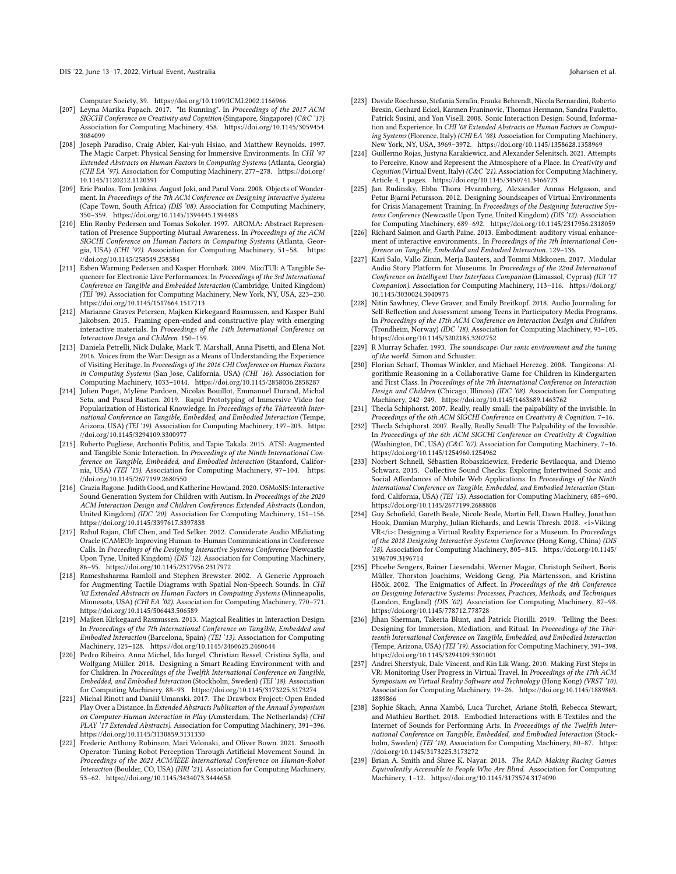- <span id="page-17-21"></span>Computer Society, 39.<https://doi.org/10.1109/ICMI.2002.1166966> [207] Leyna Marika Papach. 2017. "In Running". In Proceedings of the 2017 ACM SIGCHI Conference on Creativity and Cognition (Singapore, Singapore) (C&C '17). Association for Computing Machinery, 458. [https://doi.org/10.1145/3059454.](https://doi.org/10.1145/3059454.3084099) [3084099](https://doi.org/10.1145/3059454.3084099)
- <span id="page-17-8"></span>[208] Joseph Paradiso, Craig Abler, Kai-yuh Hsiao, and Matthew Reynolds. 1997. The Magic Carpet: Physical Sensing for Immersive Environments. In CHI '97 Extended Abstracts on Human Factors in Computing Systems (Atlanta, Georgia) (CHI EA '97). Association for Computing Machinery, 277–278. [https://doi.org/](https://doi.org/10.1145/1120212.1120391) [10.1145/1120212.1120391](https://doi.org/10.1145/1120212.1120391)
- <span id="page-17-4"></span>[209] Eric Paulos, Tom Jenkins, August Joki, and Parul Vora. 2008. Objects of Wonderment. In Proceedings of the 7th ACM Conference on Designing Interactive Systems (Cape Town, South Africa) (DIS '08). Association for Computing Machinery, 350–359.<https://doi.org/10.1145/1394445.1394483>
- <span id="page-17-9"></span>[210] Elin Rønby Pedersen and Tomas Sokoler. 1997. AROMA: Abstract Representation of Presence Supporting Mutual Awareness. In Proceedings of the ACM SIGCHI Conference on Human Factors in Computing Systems (Atlanta, Georgia, USA) (CHI '97). Association for Computing Machinery, 51–58. [https:](https://doi.org/10.1145/258549.258584) [//doi.org/10.1145/258549.258584](https://doi.org/10.1145/258549.258584)
- <span id="page-17-2"></span>[211] Esben Warming Pedersen and Kasper Hornbæk. 2009. MixiTUI: A Tangible Sequencer for Electronic Live Performances. In Proceedings of the 3rd International Conference on Tangible and Embedded Interaction (Cambridge, United Kingdom) (TEI '09). Association for Computing Machinery, New York, NY, USA, 223–230. <https://doi.org/10.1145/1517664.1517713>
- <span id="page-17-7"></span>[212] Marianne Graves Petersen, Majken Kirkegaard Rasmussen, and Kasper Buhl Jakobsen. 2015. Framing open-ended and constructive play with emerging interactive materials. In Proceedings of the 14th International Conference on Interaction Design and Children. 150–159.
- <span id="page-17-20"></span>[213] Daniela Petrelli, Nick Dulake, Mark T. Marshall, Anna Pisetti, and Elena Not. 2016. Voices from the War: Design as a Means of Understanding the Experience of Visiting Heritage. In Proceedings of the 2016 CHI Conference on Human Factors in Computing Systems (San Jose, California, USA) (CHI '16). Association for Computing Machinery, 1033–1044.<https://doi.org/10.1145/2858036.2858287>
- <span id="page-17-28"></span>[214] Julien Puget, Mylène Pardoen, Nicolas Bouillot, Emmanuel Durand, Michal Seta, and Pascal Bastien. 2019. Rapid Prototyping of Immersive Video for Popularization of Historical Knowledge. In Proceedings of the Thirteenth International Conference on Tangible, Embedded, and Embodied Interaction (Tempe, Arizona, USA) (TEI '19). Association for Computing Machinery, 197–203. [https:](https://doi.org/10.1145/3294109.3300977) [//doi.org/10.1145/3294109.3300977](https://doi.org/10.1145/3294109.3300977)
- <span id="page-17-18"></span>[215] Roberto Pugliese, Archontis Politis, and Tapio Takala. 2015. ATSI: Augmented and Tangible Sonic Interaction. In Proceedings of the Ninth International Conference on Tangible, Embedded, and Embodied Interaction (Stanford, California, USA) (TEI '15). Association for Computing Machinery, 97–104. [https:](https://doi.org/10.1145/2677199.2680550) [//doi.org/10.1145/2677199.2680550](https://doi.org/10.1145/2677199.2680550)
- <span id="page-17-30"></span>[216] Grazia Ragone, Judith Good, and Katherine Howland. 2020. OSMoSIS: Interactive Sound Generation System for Children with Autism. In Proceedings of the 2020 ACM Interaction Design and Children Conference: Extended Abstracts (London, United Kingdom) (IDC '20). Association for Computing Machinery, 151–156. <https://doi.org/10.1145/3397617.3397838>
- <span id="page-17-14"></span>[217] Rahul Rajan, Cliff Chen, and Ted Selker. 2012. Considerate Audio MEdiating Oracle (CAMEO): Improving Human-to-Human Communications in Conference Calls. In Proceedings of the Designing Interactive Systems Conference (Newcastle Upon Tyne, United Kingdom) (DIS '12). Association for Computing Machinery, 86–95.<https://doi.org/10.1145/2317956.2317972>
- <span id="page-17-10"></span>[218] Rameshsharma Ramloll and Stephen Brewster. 2002. A Generic Approach for Augmenting Tactile Diagrams with Spatial Non-Speech Sounds. In CHI '02 Extended Abstracts on Human Factors in Computing Systems (Minneapolis, Minnesota, USA) (CHI EA '02). Association for Computing Machinery, 770–771. <https://doi.org/10.1145/506443.506589>
- <span id="page-17-16"></span>[219] Majken Kirkegaard Rasmussen. 2013. Magical Realities in Interaction Design. In Proceedings of the 7th International Conference on Tangible, Embedded and Embodied Interaction (Barcelona, Spain) (TEI '13). Association for Computing Machinery, 125–128.<https://doi.org/10.1145/2460625.2460644>
- <span id="page-17-27"></span>[220] Pedro Ribeiro, Anna Michel, Ido Iurgel, Christian Ressel, Cristina Sylla, and Wolfgang Müller. 2018. Designing a Smart Reading Environment with and for Children. In Proceedings of the Twelfth International Conference on Tangible, Embedded, and Embodied Interaction (Stockholm, Sweden) (TEI '18). Association for Computing Machinery, 88–93.<https://doi.org/10.1145/3173225.3173274>
- <span id="page-17-22"></span>[221] Michal Rinott and Daniil Umanski. 2017. The Drawbox Project: Open Ended Play Over a Distance. In Extended Abstracts Publication of the Annual Symposium on Computer-Human Interaction in Play (Amsterdam, The Netherlands) (CHI PLAY '17 Extended Abstracts). Association for Computing Machinery, 391–396. <https://doi.org/10.1145/3130859.3131330>
- <span id="page-17-32"></span>[222] Frederic Anthony Robinson, Mari Velonaki, and Oliver Bown. 2021. Smooth Operator: Tuning Robot Perception Through Artificial Movement Sound. In Proceedings of the 2021 ACM/IEEE International Conference on Human-Robot Interaction (Boulder, CO, USA) (HRI '21). Association for Computing Machinery, 53–62.<https://doi.org/10.1145/3434073.3444658>
- <span id="page-17-1"></span>[223] Davide Rocchesso, Stefania Serafin, Frauke Behrendt, Nicola Bernardini, Roberto Bresin, Gerhard Eckel, Karmen Franinovic, Thomas Hermann, Sandra Pauletto, Patrick Susini, and Yon Visell. 2008. Sonic Interaction Design: Sound, Information and Experience. In CHI '08 Extended Abstracts on Human Factors in Computing Systems (Florence, Italy) (CHI EA '08). Association for Computing Machinery, New York, NY, USA, 3969–3972.<https://doi.org/10.1145/1358628.1358969>
- <span id="page-17-31"></span>[224] Guillermo Rojas, Justyna Karakiewicz, and Alexander Selenitsch. 2021. Attempts to Perceive, Know and Represent the Atmosphere of a Place. In Creativity and Cognition (Virtual Event, Italy) (C&C '21). Association for Computing Machinery, Article 4, 1 pages.<https://doi.org/10.1145/3450741.3466773>
- <span id="page-17-15"></span>[225] Jan Rudinsky, Ebba Thora Hvannberg, Alexander Annas Helgason, and Petur Bjarni Petursson. 2012. Designing Soundscapes of Virtual Environments for Crisis Management Training. In Proceedings of the Designing Interactive Systems Conference (Newcastle Upon Tyne, United Kingdom) (DIS '12). Association for Computing Machinery, 689–692.<https://doi.org/10.1145/2317956.2318059>
- <span id="page-17-17"></span>[226] Richard Salmon and Garth Paine. 2013. Embodiment: auditory visual enhancement of interactive environments.. In Proceedings of the 7th International Conference on Tangible, Embedded and Embodied Interaction. 129–136.
- <span id="page-17-23"></span>[227] Kari Salo, Vallo Zinin, Merja Bauters, and Tommi Mikkonen. 2017. Modular Audio Story Platform for Museums. In Proceedings of the 22nd International Conference on Intelligent User Interfaces Companion (Limassol, Cyprus) (IUI '17 Companion). Association for Computing Machinery, 113–116. [https://doi.org/](https://doi.org/10.1145/3030024.3040975) [10.1145/3030024.3040975](https://doi.org/10.1145/3030024.3040975)
- <span id="page-17-25"></span>[228] Nitin Sawhney, Cleve Graver, and Emily Breitkopf. 2018. Audio Journaling for Self-Reflection and Assessment among Teens in Participatory Media Programs. In Proceedings of the 17th ACM Conference on Interaction Design and Children (Trondheim, Norway) (IDC '18). Association for Computing Machinery, 93–105. <https://doi.org/10.1145/3202185.3202752>
- <span id="page-17-0"></span>[229] R Murray Schafer. 1993. The soundscape: Our sonic environment and the tuning of the world. Simon and Schuster.
- <span id="page-17-12"></span>[230] Florian Scharf, Thomas Winkler, and Michael Herczeg. 2008. Tangicons: Algorithmic Reasoning in a Collaborative Game for Children in Kindergarten and First Class. In Proceedings of the 7th International Conference on Interaction Design and Children (Chicago, Illinois) (IDC '08). Association for Computing Machinery, 242–249.<https://doi.org/10.1145/1463689.1463762>
- <span id="page-17-3"></span>[231] Thecla Schiphorst. 2007. Really, really small: the palpability of the invisible. In Proceedings of the 6th ACM SIGCHI Conference on Creativity & Cognition. 7–16.
- <span id="page-17-5"></span>[232] Thecla Schiphorst. 2007. Really, Really Small: The Palpability of the Invisible. In Proceedings of the 6th ACM SIGCHI Conference on Creativity & Cognition (Washington, DC, USA) (C&C '07). Association for Computing Machinery, 7–16. <https://doi.org/10.1145/1254960.1254962>
- <span id="page-17-19"></span>[233] Norbert Schnell, Sébastien Robaszkiewicz, Frederic Bevilacqua, and Diemo Schwarz. 2015. Collective Sound Checks: Exploring Intertwined Sonic and Social Affordances of Mobile Web Applications. In Proceedings of the Ninth International Conference on Tangible, Embedded, and Embodied Interaction (Stanford, California, USA) (TEI '15). Association for Computing Machinery, 685–690. <https://doi.org/10.1145/2677199.2688808>
- <span id="page-17-24"></span>[234] Guy Schofield, Gareth Beale, Nicole Beale, Martin Fell, Dawn Hadley, Jonathan Hook, Damian Murphy, Julian Richards, and Lewis Thresh. 2018. <i>Viking VR</i>: Designing a Virtual Reality Experience for a Museum. In Proceedings of the 2018 Designing Interactive Systems Conference (Hong Kong, China) (DIS '18). Association for Computing Machinery, 805–815. [https://doi.org/10.1145/](https://doi.org/10.1145/3196709.3196714) [3196709.3196714](https://doi.org/10.1145/3196709.3196714)
- <span id="page-17-11"></span>[235] Phoebe Sengers, Rainer Liesendahi, Werner Magar, Christoph Seibert, Boris Müller, Thorston Joachims, Weidong Geng, Pia Mårtensson, and Kristina Höök. 2002. The Enigmatics of Affect. In Proceedings of the 4th Conference on Designing Interactive Systems: Processes, Practices, Methods, and Techniques (London, England) (DIS '02). Association for Computing Machinery, 87–98. <https://doi.org/10.1145/778712.778728>
- <span id="page-17-29"></span>[236] Jihan Sherman, Takeria Blunt, and Patrick Fiorilli. 2019. Telling the Bees: Designing for Immersion, Mediation, and Ritual. In Proceedings of the Thirteenth International Conference on Tangible, Embedded, and Embodied Interaction (Tempe, Arizona, USA) (TEI '19). Association for Computing Machinery, 391–398. <https://doi.org/10.1145/3294109.3301001>
- <span id="page-17-13"></span>[237] Andrei Sherstyuk, Dale Vincent, and Kin Lik Wang. 2010. Making First Steps in VR: Monitoring User Progress in Virtual Travel. In Proceedings of the 17th ACM Symposium on Virtual Reality Software and Technology (Hong Kong) (VRST '10). Association for Computing Machinery, 19–26. [https://doi.org/10.1145/1889863.](https://doi.org/10.1145/1889863.1889866) [1889866](https://doi.org/10.1145/1889863.1889866)
- <span id="page-17-26"></span>[238] Sophie Skach, Anna Xambó, Luca Turchet, Ariane Stolfi, Rebecca Stewart, and Mathieu Barthet. 2018. Embodied Interactions with E-Textiles and the Internet of Sounds for Performing Arts. In Proceedings of the Twelfth International Conference on Tangible, Embedded, and Embodied Interaction (Stockholm, Sweden) (TEI '18). Association for Computing Machinery, 80-87. [https:](https://doi.org/10.1145/3173225.3173272) [//doi.org/10.1145/3173225.3173272](https://doi.org/10.1145/3173225.3173272)
- <span id="page-17-6"></span>[239] Brian A. Smith and Shree K. Nayar. 2018. The RAD: Making Racing Games Equivalently Accessible to People Who Are Blind. Association for Computing Machinery, 1–12.<https://doi.org/10.1145/3173574.3174090>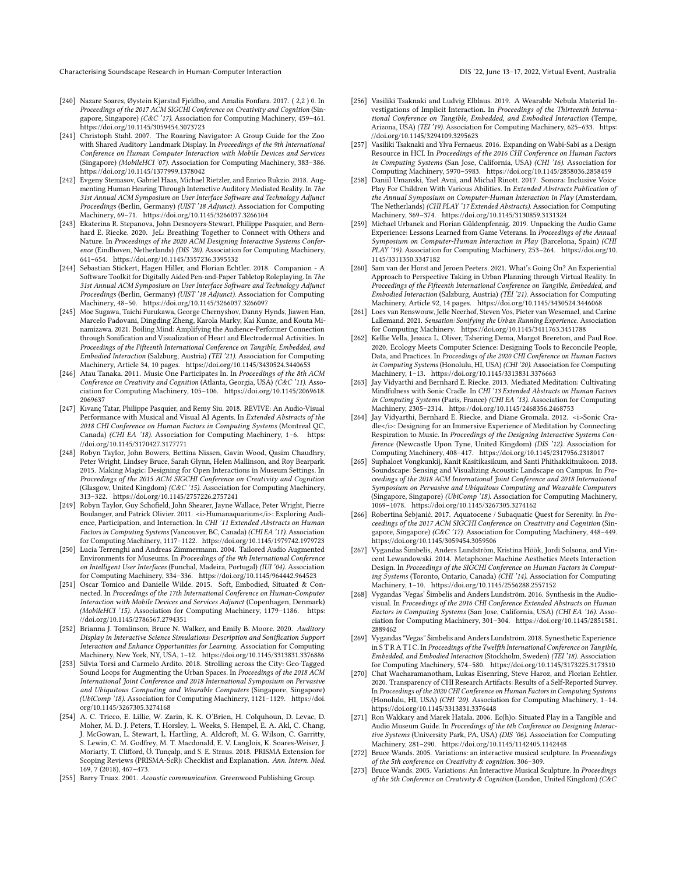Characterising Soundscape Research in Human-Computer Interaction DIS '22, June 13–17, 2022, Virtual Event, Australia

- <span id="page-18-21"></span>[240] Nazare Soares, Øystein Kjørstad Fjeldbo, and Amalia Fonfara. 2017. ( 2,2 ) 0. In Proceedings of the 2017 ACM SIGCHI Conference on Creativity and Cognition (Singapore, Singapore) (C&C '17). Association for Computing Machinery, 459–461. <https://doi.org/10.1145/3059454.3073723>
- <span id="page-18-10"></span>[241] Christoph Stahl. 2007. The Roaring Navigator: A Group Guide for the Zoo with Shared Auditory Landmark Display. In Proceedings of the 9th International Conference on Human Computer Interaction with Mobile Devices and Services (Singapore) (MobileHCI '07). Association for Computing Machinery, 383–386. <https://doi.org/10.1145/1377999.1378042>
- <span id="page-18-4"></span>[242] Evgeny Stemasov, Gabriel Haas, Michael Rietzler, and Enrico Rukzio. 2018. Augmenting Human Hearing Through Interactive Auditory Mediated Reality. In The 31st Annual ACM Symposium on User Interface Software and Technology Adjunct Proceedings (Berlin, Germany) (UIST '18 Adjunct). Association for Computing Machinery, 69–71.<https://doi.org/10.1145/3266037.3266104>
- <span id="page-18-30"></span>[243] Ekaterina R. Stepanova, John Desnoyers-Stewart, Philippe Pasquier, and Bernhard E. Riecke. 2020. JeL: Breathing Together to Connect with Others and Nature. In Proceedings of the 2020 ACM Designing Interactive Systems Conference (Eindhoven, Netherlands) (DIS '20). Association for Computing Machinery, 641–654.<https://doi.org/10.1145/3357236.3395532>
- <span id="page-18-26"></span>[244] Sebastian Stickert, Hagen Hiller, and Florian Echtler. 2018. Companion - A Software Toolkit for Digitally Aided Pen-and-Paper Tabletop Roleplaying. In The 31st Annual ACM Symposium on User Interface Software and Technology Adjunct Proceedings (Berlin, Germany) (UIST '18 Adjunct). Association for Computing Machinery, 48–50.<https://doi.org/10.1145/3266037.3266097>
- <span id="page-18-32"></span>[245] Moe Sugawa, Taichi Furukawa, George Chernyshov, Danny Hynds, Jiawen Han, Marcelo Padovani, Dingding Zheng, Karola Marky, Kai Kunze, and Kouta Minamizawa. 2021. Boiling Mind: Amplifying the Audience-Performer Connection through Sonification and Visualization of Heart and Electrodermal Activities. In Proceedings of the Fifteenth International Conference on Tangible, Embedded, and Embodied Interaction (Salzburg, Austria) (TEI '21). Association for Computing Machinery, Article 34, 10 pages.<https://doi.org/10.1145/3430524.3440653>
- <span id="page-18-11"></span>[246] Atau Tanaka. 2011. Music One Participates In. In Proceedings of the 8th ACM Conference on Creativity and Cognition (Atlanta, Georgia, USA) (C&C '11). Association for Computing Machinery, 105–106. [https://doi.org/10.1145/2069618.](https://doi.org/10.1145/2069618.2069637) [2069637](https://doi.org/10.1145/2069618.2069637)
- <span id="page-18-23"></span>[247] Kıvanç Tatar, Philippe Pasquier, and Remy Siu. 2018. REVIVE: An Audio-Visual Performance with Musical and Visual AI Agents. In Extended Abstracts of the 2018 CHI Conference on Human Factors in Computing Systems (Montreal QC, Canada) (CHI EA '18). Association for Computing Machinery, 1–6. [https:](https://doi.org/10.1145/3170427.3177771) [//doi.org/10.1145/3170427.3177771](https://doi.org/10.1145/3170427.3177771)
- <span id="page-18-16"></span>[248] Robyn Taylor, John Bowers, Bettina Nissen, Gavin Wood, Qasim Chaudhry, Peter Wright, Lindsey Bruce, Sarah Glynn, Helen Mallinson, and Roy Bearpark. 2015. Making Magic: Designing for Open Interactions in Museum Settings. In Proceedings of the 2015 ACM SIGCHI Conference on Creativity and Cognition (Glasgow, United Kingdom) (C&C '15). Association for Computing Machinery, 313–322.<https://doi.org/10.1145/2757226.2757241>
- <span id="page-18-12"></span>[249] Robyn Taylor, Guy Schofield, John Shearer, Jayne Wallace, Peter Wright, Pierre Boulanger, and Patrick Olivier. 2011. <i>Humanaquarium</i>: Exploring Audience, Participation, and Interaction. In CHI '11 Extended Abstracts on Human Factors in Computing Systems (Vancouver, BC, Canada) (CHI EA '11). Association for Computing Machinery, 1117–1122.<https://doi.org/10.1145/1979742.1979723>
- <span id="page-18-7"></span>[250] Lucia Terrenghi and Andreas Zimmermann. 2004. Tailored Audio Augmented Environments for Museums. In Proceedings of the 9th International Conference on Intelligent User Interfaces (Funchal, Madeira, Portugal) (IUI '04). Association for Computing Machinery, 334–336.<https://doi.org/10.1145/964442.964523>
- <span id="page-18-17"></span>[251] Oscar Tomico and Danielle Wilde. 2015. Soft, Embodied, Situated & Connected. In Proceedings of the 17th International Conference on Human-Computer Interaction with Mobile Devices and Services Adjunct (Copenhagen, Denmark) (MobileHCI '15). Association for Computing Machinery, 1179–1186. [https:](https://doi.org/10.1145/2786567.2794351) [//doi.org/10.1145/2786567.2794351](https://doi.org/10.1145/2786567.2794351)
- <span id="page-18-1"></span>[252] Brianna J. Tomlinson, Bruce N. Walker, and Emily B. Moore. 2020. Auditory Display in Interactive Science Simulations: Description and Sonification Support Interaction and Enhance Opportunities for Learning. Association for Computing Machinery, New York, NY, USA, 1–12.<https://doi.org/10.1145/3313831.3376886>
- <span id="page-18-25"></span>[253] Silvia Torsi and Carmelo Ardito. 2018. Strolling across the City: Geo-Tagged Sound Loops for Augmenting the Urban Spaces. In Proceedings of the 2018 ACM International Joint Conference and 2018 International Symposium on Pervasive and Ubiquitous Computing and Wearable Computers (Singapore, Singapore) (UbiComp '18). Association for Computing Machinery, 1121–1129. [https://doi.](https://doi.org/10.1145/3267305.3274168) [org/10.1145/3267305.3274168](https://doi.org/10.1145/3267305.3274168)
- <span id="page-18-2"></span>[254] A. C. Tricco, E. Lillie, W. Zarin, K. K. O'Brien, H. Colquhoun, D. Levac, D. Moher, M. D. J. Peters, T. Horsley, L. Weeks, S. Hempel, E. A. Akl, C. Chang, J. McGowan, L. Stewart, L. Hartling, A. Aldcroft, M. G. Wilson, C. Garritty, S. Lewin, C. M. Godfrey, M. T. Macdonald, E. V. Langlois, K. Soares-Weiser, J. Moriarty, T. Clifford, Ö. Tunçalp, and S. E. Straus. 2018. PRISMA Extension for Scoping Reviews (PRISMA-ScR): Checklist and Explanation. Ann. Intern. Med. 169, 7 (2018), 467–473.
- <span id="page-18-0"></span>[255] Barry Truax. 2001. Acoustic communication. Greenwood Publishing Group.
- <span id="page-18-28"></span>[256] Vasiliki Tsaknaki and Ludvig Elblaus. 2019. A Wearable Nebula Material Investigations of Implicit Interaction. In Proceedings of the Thirteenth International Conference on Tangible, Embedded, and Embodied Interaction (Tempe, Arizona, USA) (TEI '19). Association for Computing Machinery, 625–633. [https:](https://doi.org/10.1145/3294109.3295623) [//doi.org/10.1145/3294109.3295623](https://doi.org/10.1145/3294109.3295623)
- <span id="page-18-19"></span>[257] Vasiliki Tsaknaki and Ylva Fernaeus. 2016. Expanding on Wabi-Sabi as a Design Resource in HCI. In Proceedings of the 2016 CHI Conference on Human Factors in Computing Systems (San Jose, California, USA) (CHI '16). Association for Computing Machinery, 5970–5983.<https://doi.org/10.1145/2858036.2858459>
- <span id="page-18-22"></span>[258] Daniil Umanski, Yael Avni, and Michal Rinott. 2017. Sonora: Inclusive Voice Play For Children With Various Abilities. In Extended Abstracts Publication of the Annual Symposium on Computer-Human Interaction in Play (Amsterdam, The Netherlands) (CHI PLAY '17 Extended Abstracts). Association for Computing Machinery, 369–374.<https://doi.org/10.1145/3130859.3131324>
- <span id="page-18-27"></span>[259] Michael Urbanek and Florian Güldenpfennig. 2019. Unpacking the Audio Game Experience: Lessons Learned from Game Veterans. In Proceedings of the Annual Symposium on Computer-Human Interaction in Play (Barcelona, Spain) (CHI PLAY '19). Association for Computing Machinery, 253–264. [https://doi.org/10.](https://doi.org/10.1145/3311350.3347182) [1145/3311350.3347182](https://doi.org/10.1145/3311350.3347182)
- <span id="page-18-33"></span>[260] Sam van der Horst and Jeroen Peeters. 2021. What's Going Ön? An Experiential Approach to Perspective Taking in Urban Planning through Virtual Reality. In Proceedings of the Fifteenth International Conference on Tangible, Embedded, and Embodied Interaction (Salzburg, Austria) (TEI '21). Association for Computing Machinery, Article 92, 14 pages.<https://doi.org/10.1145/3430524.3446068>
- <span id="page-18-31"></span>[261] Loes van Renswouw, Jelle Neerhof, Steven Vos, Pieter van Wesemael, and Carine Lallemand. 2021. Sensation: Sonifying the Urban Running Experience. Association for Computing Machinery.<https://doi.org/10.1145/3411763.3451788>
- <span id="page-18-29"></span>[262] Kellie Vella, Jessica L. Oliver, Tshering Dema, Margot Brereton, and Paul Roe. 2020. Ecology Meets Computer Science: Designing Tools to Reconcile People, Data, and Practices. In Proceedings of the 2020 CHI Conference on Human Factors in Computing Systems (Honolulu, HI, USA) (CHI '20). Association for Computing Machinery, 1–13.<https://doi.org/10.1145/3313831.3376663>
- <span id="page-18-14"></span>[263] Jay Vidyarthi and Bernhard E. Riecke. 2013. Mediated Meditation: Cultivating Mindfulness with Sonic Cradle. In CHI '13 Extended Abstracts on Human Factors in Computing Systems (Paris, France) (CHI EA '13). Association for Computing Machinery, 2305–2314.<https://doi.org/10.1145/2468356.2468753>
- <span id="page-18-13"></span>[264] Jay Vidyarthi, Bernhard E. Riecke, and Diane Gromala, 2012. <i>Sonic Cradle</i>: Designing for an Immersive Experience of Meditation by Connecting Respiration to Music. In Proceedings of the Designing Interactive Systems Conference (Newcastle Upon Tyne, United Kingdom) (DIS '12). Association for Computing Machinery, 408–417.<https://doi.org/10.1145/2317956.2318017>
- <span id="page-18-5"></span>[265] Suphaloet Vongkunkij, Kanit Kasitikasikum, and Santi Phithakkitnukoon. 2018. Soundscape: Sensing and Visualizing Acoustic Landscape on Campus. In Proceedings of the 2018 ACM International Joint Conference and 2018 International Symposium on Pervasive and Ubiquitous Computing and Wearable Computers (Singapore, Singapore) (UbiComp '18). Association for Computing Machinery, 1069–1078.<https://doi.org/10.1145/3267305.3274162>
- <span id="page-18-20"></span>[266] Robertina Šebjanić. 2017. Aquatocene / Subaquatic Quest for Serenity. In Proceedings of the 2017 ACM SIGCHI Conference on Creativity and Cognition (Singapore, Singapore) (C&C '17). Association for Computing Machinery, 448–449. <https://doi.org/10.1145/3059454.3059506>
- <span id="page-18-15"></span>[267] Vygandas Šimbelis, Anders Lundström, Kristina Höök, Jordi Solsona, and Vincent Lewandowski. 2014. Metaphone: Machine Aesthetics Meets Interaction Design. In Proceedings of the SIGCHI Conference on Human Factors in Computing Systems (Toronto, Ontario, Canada) (CHI '14). Association for Computing Machinery, 1–10.<https://doi.org/10.1145/2556288.2557152>
- <span id="page-18-18"></span>[268] Vygandas 'Vegas' Šimbelis and Anders Lundström. 2016. Synthesis in the Audiovisual. In Proceedings of the 2016 CHI Conference Extended Abstracts on Human Factors in Computing Systems (San Jose, California, USA) (CHI EA '16). Association for Computing Machinery, 301–304. [https://doi.org/10.1145/2851581.](https://doi.org/10.1145/2851581.2889462) [2889462](https://doi.org/10.1145/2851581.2889462)
- <span id="page-18-24"></span>[269] Vygandas "Vegas" Šimbelis and Anders Lundström. 2018. Synesthetic Experience in S T R A T I C. In Proceedings of the Twelfth International Conference on Tangible, Embedded, and Embodied Interaction (Stockholm, Sweden) (TEI '18). Association for Computing Machinery, 574–580.<https://doi.org/10.1145/3173225.3173310>
- <span id="page-18-6"></span>[270] Chat Wacharamanotham, Lukas Eisenring, Steve Haroz, and Florian Echtler. 2020. Transparency of CHI Research Artifacts: Results of a Self-Reported Survey. In Proceedings of the 2020 CHI Conference on Human Factors in Computing Systems (Honolulu, HI, USA) (CHI '20). Association for Computing Machinery, 1–14. <https://doi.org/10.1145/3313831.3376448>
- <span id="page-18-9"></span>[271] Ron Wakkary and Marek Hatala. 2006. Ec(h)o: Situated Play in a Tangible and Audio Museum Guide. In Proceedings of the 6th Conference on Designing Interactive Systems (University Park, PA, USA) (DIS '06). Association for Computing Machinery, 281–290.<https://doi.org/10.1145/1142405.1142448>
- <span id="page-18-3"></span>[272] Bruce Wands. 2005. Variations: an interactive musical sculpture. In Proceedings of the 5th conference on Creativity & cognition. 306–309.
- <span id="page-18-8"></span>[273] Bruce Wands. 2005. Variations: An Interactive Musical Sculpture. In Proceedings of the 5th Conference on Creativity & Cognition (London, United Kingdom) (C&C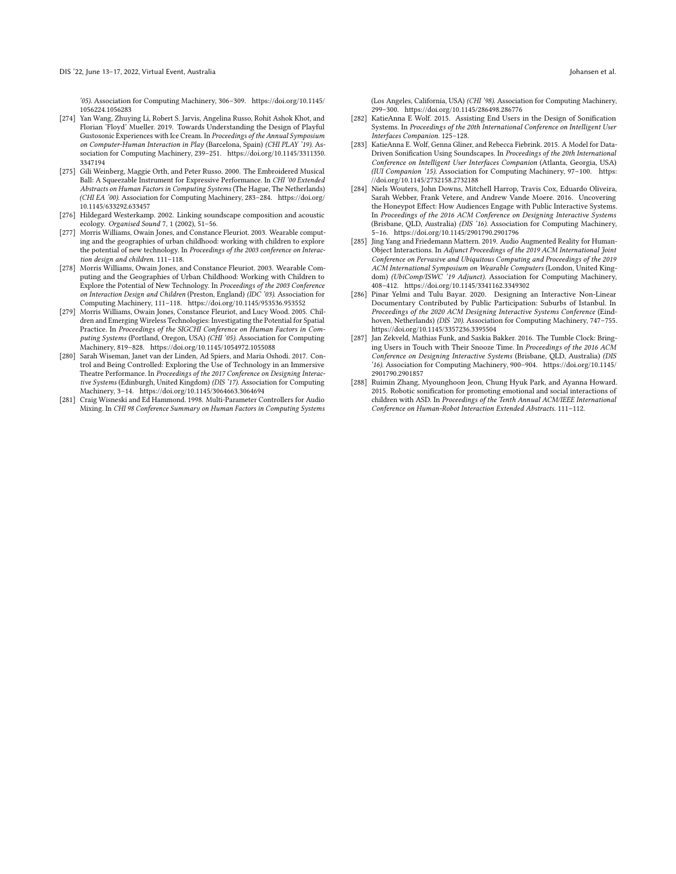'05). Association for Computing Machinery, 306–309. [https://doi.org/10.1145/](https://doi.org/10.1145/1056224.1056283) [1056224.1056283](https://doi.org/10.1145/1056224.1056283)

- <span id="page-19-2"></span>[274] Yan Wang, Zhuying Li, Robert S. Jarvis, Angelina Russo, Rohit Ashok Khot, and Florian 'Floyd' Mueller. 2019. Towards Understanding the Design of Playful Gustosonic Experiences with Ice Cream. In Proceedings of the Annual Symposium on Computer-Human Interaction in Play (Barcelona, Spain) (CHI PLAY '19). Association for Computing Machinery, 239–251. [https://doi.org/10.1145/3311350.](https://doi.org/10.1145/3311350.3347194) [3347194](https://doi.org/10.1145/3311350.3347194)
- <span id="page-19-8"></span>[275] Gili Weinberg, Maggie Orth, and Peter Russo. 2000. The Embroidered Musical Ball: A Squeezable Instrument for Expressive Performance. In CHI '00 Extended Abstracts on Human Factors in Computing Systems (The Hague, The Netherlands) (CHI EA '00). Association for Computing Machinery, 283–284. [https://doi.org/](https://doi.org/10.1145/633292.633457) [10.1145/633292.633457](https://doi.org/10.1145/633292.633457)
- <span id="page-19-6"></span>[276] Hildegard Westerkamp. 2002. Linking soundscape composition and acoustic ecology. Organised Sound 7, 1 (2002), 51–56.
- <span id="page-19-0"></span>[277] Morris Williams, Owain Jones, and Constance Fleuriot. 2003. Wearable computing and the geographies of urban childhood: working with children to explore the potential of new technology. In Proceedings of the 2003 conference on Interaction design and children. 111–118.
- <span id="page-19-9"></span>[278] Morris Williams, Owain Jones, and Constance Fleuriot. 2003. Wearable Computing and the Geographies of Urban Childhood: Working with Children to Explore the Potential of New Technology. In Proceedings of the 2003 Conference on Interaction Design and Children (Preston, England) (IDC '03). Association for Computing Machinery, 111–118.<https://doi.org/10.1145/953536.953552>
- <span id="page-19-4"></span>[279] Morris Williams, Owain Jones, Constance Fleuriot, and Lucy Wood. 2005. Children and Emerging Wireless Technologies: Investigating the Potential for Spatial Practice. In Proceedings of the SIGCHI Conference on Human Factors in Computing Systems (Portland, Oregon, USA) (CHI '05). Association for Computing Machinery, 819–828.<https://doi.org/10.1145/1054972.1055088>
- <span id="page-19-12"></span>[280] Sarah Wiseman, Janet van der Linden, Ad Spiers, and Maria Oshodi. 2017. Control and Being Controlled: Exploring the Use of Technology in an Immersive Theatre Performance. In Proceedings of the 2017 Conference on Designing Interactive Systems (Edinburgh, United Kingdom) (DIS '17). Association for Computing Machinery, 3–14.<https://doi.org/10.1145/3064663.3064694>
- <span id="page-19-7"></span>[281] Craig Wisneski and Ed Hammond. 1998. Multi-Parameter Controllers for Audio Mixing. In CHI 98 Conference Summary on Human Factors in Computing Systems

(Los Angeles, California, USA) (CHI '98). Association for Computing Machinery, 299–300.<https://doi.org/10.1145/286498.286776>

- <span id="page-19-1"></span>[282] KatieAnna E Wolf. 2015. Assisting End Users in the Design of Sonification Systems. In Proceedings of the 20th International Conference on Intelligent User Interfaces Companion. 125–128.
- <span id="page-19-5"></span>[283] KatieAnna E. Wolf, Genna Gliner, and Rebecca Fiebrink. 2015. A Model for Data-Driven Sonification Using Soundscapes. In Proceedings of the 20th International Conference on Intelligent User Interfaces Companion (Atlanta, Georgia, USA) (IUI Companion '15). Association for Computing Machinery, 97–100. [https:](https://doi.org/10.1145/2732158.2732188) [//doi.org/10.1145/2732158.2732188](https://doi.org/10.1145/2732158.2732188)
- <span id="page-19-10"></span>[284] Niels Wouters, John Downs, Mitchell Harrop, Travis Cox, Eduardo Oliveira, Sarah Webber, Frank Vetere, and Andrew Vande Moere. 2016. Uncovering the Honeypot Effect: How Audiences Engage with Public Interactive Systems. In Proceedings of the 2016 ACM Conference on Designing Interactive Systems (Brisbane, QLD, Australia) (DIS '16). Association for Computing Machinery, 5–16.<https://doi.org/10.1145/2901790.2901796>
- <span id="page-19-13"></span>[285] Jing Yang and Friedemann Mattern. 2019. Audio Augmented Reality for Human-Object Interactions. In Adjunct Proceedings of the 2019 ACM International Joint Conference on Pervasive and Ubiquitous Computing and Proceedings of the 2019 ACM International Symposium on Wearable Computers (London, United Kingdom) (UbiComp/ISWC '19 Adjunct). Association for Computing Machinery, 408–412.<https://doi.org/10.1145/3341162.3349302>
- <span id="page-19-14"></span>[286] Pinar Yelmi and Tulu Bayar. 2020. Designing an Interactive Non-Linear Documentary Contributed by Public Participation: Suburbs of Istanbul. In Proceedings of the 2020 ACM Designing Interactive Systems Conference (Eindhoven, Netherlands) (DIS '20). Association for Computing Machinery, 747-755. <https://doi.org/10.1145/3357236.3395504>
- <span id="page-19-11"></span>[287] Jan Zekveld, Mathias Funk, and Saskia Bakker. 2016. The Tumble Clock: Bringing Users in Touch with Their Snooze Time. In Proceedings of the 2016 ACM Conference on Designing Interactive Systems (Brisbane, QLD, Australia) (DIS '16). Association for Computing Machinery, 900–904. [https://doi.org/10.1145/](https://doi.org/10.1145/2901790.2901857) [2901790.2901857](https://doi.org/10.1145/2901790.2901857)
- <span id="page-19-3"></span>[288] Ruimin Zhang, Myounghoon Jeon, Chung Hyuk Park, and Ayanna Howard. 2015. Robotic sonification for promoting emotional and social interactions of children with ASD. In Proceedings of the Tenth Annual ACM/IEEE International Conference on Human-Robot Interaction Extended Abstracts. 111–112.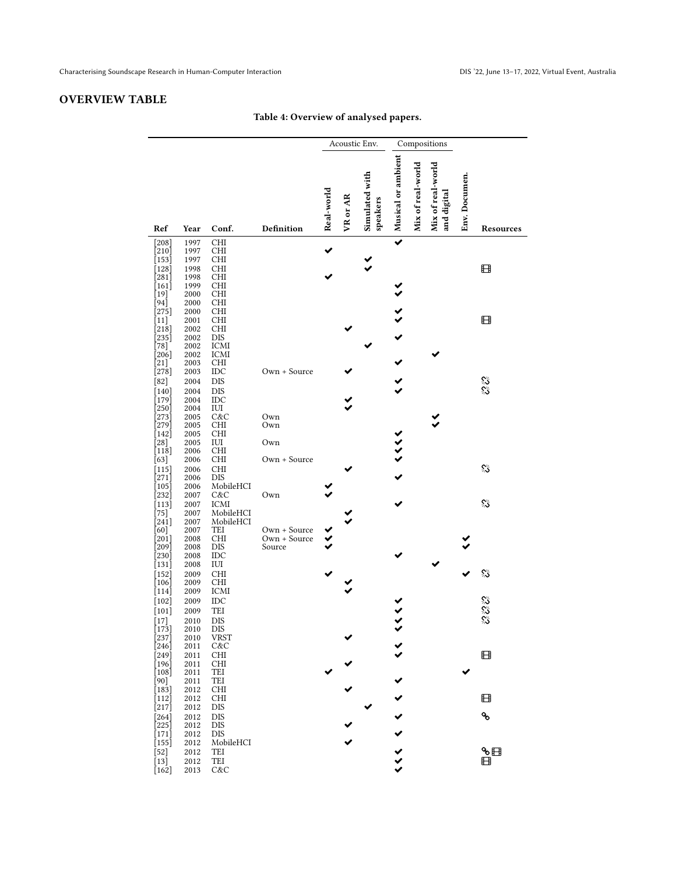# <span id="page-20-0"></span>OVERVIEW TABLE

# Table 4: Overview of analysed papers.

|                                                     |              |                           |              |            | Acoustic Env. |                            |                    | Compositions      |                                  |               |           |  |  |
|-----------------------------------------------------|--------------|---------------------------|--------------|------------|---------------|----------------------------|--------------------|-------------------|----------------------------------|---------------|-----------|--|--|
| Ref                                                 | Year         | Conf.                     | Definition   | Real-world | VR or AR      | Simulated with<br>speakers | Musical or ambient | Mix of real-world | Mix of real-world<br>and digital | Env. Documen. | Resources |  |  |
| [208]                                               | 1997         | <b>CHI</b>                |              |            |               |                            |                    |                   |                                  |               |           |  |  |
| [210]<br>[153]                                      | 1997<br>1997 | <b>CHI</b><br><b>CHI</b>  |              |            |               |                            |                    |                   |                                  |               |           |  |  |
| $[128]$<br>$[281]$                                  | 1998<br>1998 | CНI<br><b>CHI</b>         |              |            |               |                            |                    |                   |                                  |               | ⊞         |  |  |
| $[161]$                                             | 1999         | <b>CHI</b>                |              |            |               |                            |                    |                   |                                  |               |           |  |  |
| [19]<br>$94$ ]                                      | 2000<br>2000 | <b>CHI</b><br><b>CHI</b>  |              |            |               |                            |                    |                   |                                  |               |           |  |  |
| [275]                                               | 2000         | CНI                       |              |            |               |                            |                    |                   |                                  |               |           |  |  |
| [11]                                                | 2001<br>2002 | <b>CHI</b><br><b>CHI</b>  |              |            |               |                            |                    |                   |                                  |               | ⊞         |  |  |
| $\left[218\right]$<br>$\left\lceil 235\right\rceil$ | 2002         | <b>DIS</b>                |              |            |               |                            |                    |                   |                                  |               |           |  |  |
| $[78]$                                              | 2002         | <b>ICMI</b>               |              |            |               |                            |                    |                   |                                  |               |           |  |  |
| [206]<br>$[21]$                                     | 2002<br>2003 | <b>ICMI</b><br><b>CHI</b> |              |            |               |                            |                    |                   |                                  |               |           |  |  |
| [278]                                               | 2003         | IDC                       | Own + Source |            |               |                            |                    |                   |                                  |               |           |  |  |
| $[82]$<br>$[140]$                                   | 2004<br>2004 | <b>DIS</b><br>DIS         |              |            |               |                            |                    |                   |                                  |               | er<br>Vi  |  |  |
| $[179]$                                             | 2004         | IDC                       |              |            |               |                            |                    |                   |                                  |               |           |  |  |
| 250<br>[273]                                        | 2004<br>2005 | IUI<br>C&C                | Own          |            |               |                            |                    |                   |                                  |               |           |  |  |
| $[279]$                                             | 2005         | <b>CHI</b>                | Own          |            |               |                            |                    |                   |                                  |               |           |  |  |
| [142]<br>$[28]$                                     | 2005<br>2005 | CHI<br>IUI                | Own          |            |               |                            |                    |                   |                                  |               |           |  |  |
| [118]                                               | 2006         | CНI                       |              |            |               |                            | くくくく               |                   |                                  |               |           |  |  |
| [63]                                                | 2006         | <b>CHI</b>                | Own + Source |            |               |                            |                    |                   |                                  |               | ℅         |  |  |
| $[115]$<br>[271]                                    | 2006<br>2006 | <b>CHI</b><br><b>DIS</b>  |              |            |               |                            |                    |                   |                                  |               |           |  |  |
| $\vert 105 \vert$                                   | 2006         | MobileHCI                 |              |            |               |                            |                    |                   |                                  |               |           |  |  |
| [232]<br>$[113]$                                    | 2007<br>2007 | C&C<br><b>ICMI</b>        | Own          |            |               |                            |                    |                   |                                  |               | ℅         |  |  |
| $[75]$                                              | 2007         | MobileHCI                 |              |            |               |                            |                    |                   |                                  |               |           |  |  |
| $[241]$<br>[60]                                     | 2007<br>2007 | MobileHCI<br>TEI          | Own + Source |            |               |                            |                    |                   |                                  |               |           |  |  |
| $[201]$                                             | 2008         | <b>CHI</b>                | Own + Source |            |               |                            |                    |                   |                                  |               |           |  |  |
| [209]<br>[230]                                      | 2008<br>2008 | DIS<br>$_{\text{IDC}}$    | Source       |            |               |                            |                    |                   |                                  |               |           |  |  |
| [131]                                               | 2008         | IUI                       |              |            |               |                            |                    |                   |                                  |               |           |  |  |
| [152]<br>[106]                                      | 2009<br>2009 | <b>CHI</b><br>CHI         |              |            |               |                            |                    |                   |                                  |               | ℅         |  |  |
| [114]                                               | 2009         | <b>ICMI</b>               |              |            |               |                            |                    |                   |                                  |               |           |  |  |
| $[102]$                                             | 2009         | IDC                       |              |            |               |                            |                    |                   |                                  |               |           |  |  |
| $[101]$<br>$[17]$                                   | 2009<br>2010 | TEI<br><b>DIS</b>         |              |            |               |                            |                    |                   |                                  |               | e<br>S    |  |  |
| [173]                                               | 2010         | DIS                       |              |            |               |                            |                    |                   |                                  |               |           |  |  |
| [237]<br>[246]                                      | 2010<br>2011 | VRST<br>C&C               |              |            |               |                            |                    |                   |                                  |               |           |  |  |
| [249]                                               | 2011         | CHI                       |              |            |               |                            |                    |                   |                                  |               | ⊞         |  |  |
| $[196]$                                             | 2011         | CHI                       |              |            |               |                            |                    |                   |                                  |               |           |  |  |
| $\lceil 108 \rceil$<br>[90]                         | 2011<br>2011 | TEI<br>TEI                |              |            |               |                            |                    |                   |                                  |               |           |  |  |
| [183]                                               | 2012         | <b>CHI</b>                |              |            |               |                            |                    |                   |                                  |               |           |  |  |
| $[112]$<br>[217]                                    | 2012<br>2012 | CНI<br>DIS                |              |            |               |                            |                    |                   |                                  |               | ⊞         |  |  |
| [264]                                               | 2012         | <b>DIS</b>                |              |            |               |                            |                    |                   |                                  |               | ዔ         |  |  |
| $[225]$<br>[171]                                    | 2012<br>2012 | DIS<br>DIS                |              |            |               |                            |                    |                   |                                  |               |           |  |  |
| $[155]$                                             | 2012         | MobileHCI                 |              |            |               |                            |                    |                   |                                  |               |           |  |  |
| $[52]$<br>$[13]$                                    | 2012         | TEI<br>TEI                |              |            |               |                            | $\lambda$          |                   |                                  |               | ზ⊞<br>⊞   |  |  |
| $[162]$                                             | 2012<br>2013 | C&C                       |              |            |               |                            |                    |                   |                                  |               |           |  |  |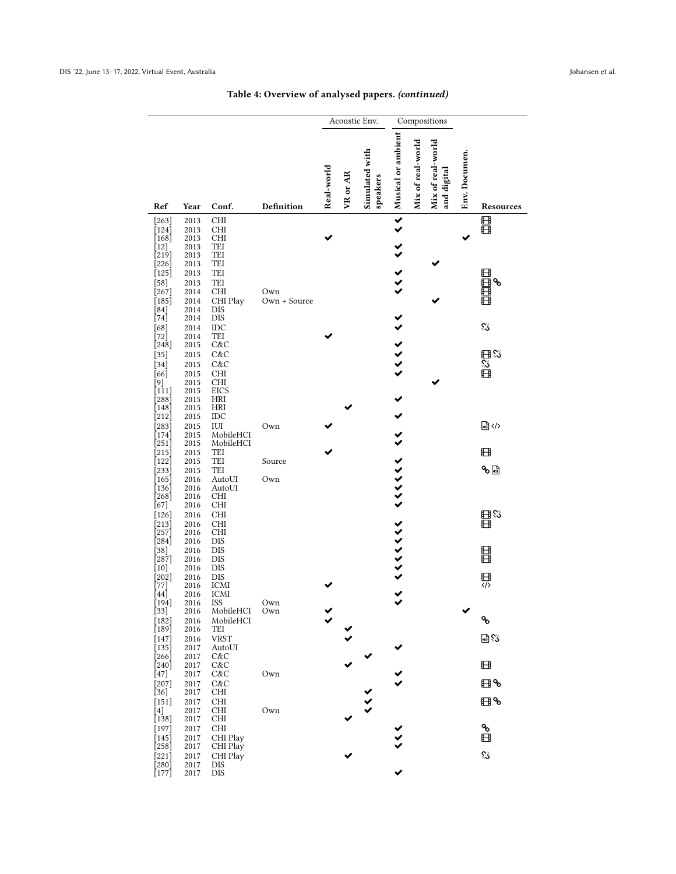Table 4: Overview of analysed papers. (continued)

|                            |              |                                    |                     |            |          | Acoustic Env.              |                         | Compositions      |                                  |               |                          |
|----------------------------|--------------|------------------------------------|---------------------|------------|----------|----------------------------|-------------------------|-------------------|----------------------------------|---------------|--------------------------|
| Ref                        | Year         | Conf.                              | Definition          | Real-world | VR or AR | Simulated with<br>speakers | KK   Musical or ambient | Mix of real-world | Mix of real-world<br>and digital | Env. Documen. | Resources                |
| $[263]$                    | 2013         | <b>CHI</b>                         |                     |            |          |                            |                         |                   |                                  |               | 目目                       |
| $[124]$<br>$[168]$         | 2013<br>2013 | <b>CHI</b><br><b>CHI</b>           |                     |            |          |                            |                         |                   |                                  |               |                          |
| $\left[12\right]$<br>219]  | 2013<br>2013 | TEI<br>TEI                         |                     |            |          |                            |                         |                   |                                  |               |                          |
| [226]<br>$[125]$           | 2013<br>2013 | TEI<br>TEI                         |                     |            |          |                            |                         |                   |                                  |               |                          |
| $[58]$                     | 2013         | TEI                                |                     |            |          |                            | $\hat{\hat{z}}$         |                   |                                  |               | 田田田島も                    |
| $[267]$<br>$[185]$         | 2014<br>2014 | CHI<br>CHI Play                    | Own<br>Own + Source |            |          |                            |                         |                   |                                  |               |                          |
| [84]                       | 2014         | <b>DIS</b>                         |                     |            |          |                            |                         |                   |                                  |               |                          |
| $[74]$<br>[68]             | 2014<br>2014 | DIS<br>IDC                         |                     |            |          |                            |                         |                   |                                  |               | ℅                        |
| $[72]$<br>$[248]$          | 2014<br>2015 | TEI<br>C&C                         |                     |            |          |                            |                         |                   |                                  |               |                          |
| $[35]$                     | 2015         | C&C                                |                     |            |          |                            | $\zeta$                 |                   |                                  |               |                          |
| $[34]$<br>[66]             | 2015<br>2015 | C&C<br>$\mathop{\rm CHI}\nolimits$ |                     |            |          |                            |                         |                   |                                  |               | 日<br>2<br>日<br>3         |
| [9]                        | 2015         | <b>CHI</b>                         |                     |            |          |                            |                         |                   |                                  |               |                          |
| $[1\overline{1}1]$<br>288] | 2015<br>2015 | <b>EICS</b><br><b>HRI</b>          |                     |            |          |                            |                         |                   |                                  |               |                          |
| [148]                      | 2015<br>2015 | <b>HRI</b>                         |                     |            |          |                            |                         |                   |                                  |               |                          |
| $[212]$<br>$[283]$         | 2015         | IDC<br>$\rm IUI$                   | Own                 |            |          |                            |                         |                   |                                  |               | 13                       |
| $[174]$<br>[251]           | 2015<br>2015 | MobileHCI<br>MobileHCI             |                     |            |          |                            |                         |                   |                                  |               |                          |
| $[215]$                    | 2015         | TEI                                |                     |            |          |                            |                         |                   |                                  |               | ⊞                        |
| $[122]$<br>[233]           | 2015<br>2015 | TEI<br>TEI                         | Source              |            |          |                            | へ へへへへへへへ へへへへへへ        |                   |                                  |               | $\mathcal{S}_{\text{c}}$ |
| $[165]$                    | 2016         | AutoUI                             | Own                 |            |          |                            |                         |                   |                                  |               |                          |
| [136]<br>[268]             | 2016<br>2016 | AutoUI<br><b>CHI</b>               |                     |            |          |                            |                         |                   |                                  |               |                          |
| [67]                       | 2016         | <b>CHI</b>                         |                     |            |          |                            |                         |                   |                                  |               |                          |
| $[126]$<br>$[213]$         | 2016<br>2016 | <b>CHI</b><br>CHI                  |                     |            |          |                            |                         |                   |                                  |               | 晶                        |
| $[257]$                    | 2016         | <b>CHI</b><br><b>DIS</b>           |                     |            |          |                            |                         |                   |                                  |               |                          |
| [284]<br>$[38]$            | 2016<br>2016 | DIS                                |                     |            |          |                            |                         |                   |                                  |               | e<br>B                   |
| $[287]$<br>[10]            | 2016<br>2016 | <b>DIS</b><br><b>DIS</b>           |                     |            |          |                            |                         |                   |                                  |               |                          |
| [202]                      | 2016         | DIS<br>ICMI                        |                     |            |          |                            |                         |                   |                                  |               | <b>■</b>                 |
| $[77]$<br>[44]             | 2016<br>2016 | <b>ICMI</b>                        |                     |            |          |                            |                         |                   |                                  |               |                          |
| [194]                      | 2016         | <b>ISS</b>                         | Own                 |            |          |                            | ✔                       |                   |                                  |               |                          |
| [33]<br>$[182]$            | 2016<br>2016 | MobileHCI<br>MobileHCI             | Own                 |            |          |                            |                         |                   |                                  |               | $\delta$                 |
| [189]                      | 2016         | TEI<br><b>VRST</b>                 |                     |            |          |                            |                         |                   |                                  |               | 回ぶ                       |
| $[147]$<br>[135]           | 2016<br>2017 | AutoUI                             |                     |            |          |                            |                         |                   |                                  |               |                          |
| $[266]$<br>$[240]$         | 2017<br>2017 | C&C<br>C&C                         |                     |            |          |                            |                         |                   |                                  |               | ⊞                        |
| $[47]$                     | 2017         | C&C                                | Own                 |            |          |                            |                         |                   |                                  |               |                          |
| $[207]$<br>[36]            | 2017<br>2017 | C&C<br>CHI                         |                     |            |          |                            |                         |                   |                                  |               | ⊞%                       |
| $[151]$                    | 2017         | CHI                                |                     |            |          |                            |                         |                   |                                  |               | ⊞%                       |
| $^{[4]}$<br>[138]          | 2017<br>2017 | CHI<br>CHI                         | Own                 |            |          |                            |                         |                   |                                  |               |                          |
| $[197]$                    | 2017         | CHI                                |                     |            |          |                            |                         |                   |                                  |               | ዔ                        |
| $[145]$<br>[258]           | 2017<br>2017 | CHI Play<br>CHI Play               |                     |            |          |                            |                         |                   |                                  |               | Ũ                        |
| $[221]$                    | 2017         | CHI Play                           |                     |            |          |                            |                         |                   |                                  |               | ℅                        |
| [280]<br>$[177]$           | 2017<br>2017 | <b>DIS</b><br><b>DIS</b>           |                     |            |          |                            |                         |                   |                                  |               |                          |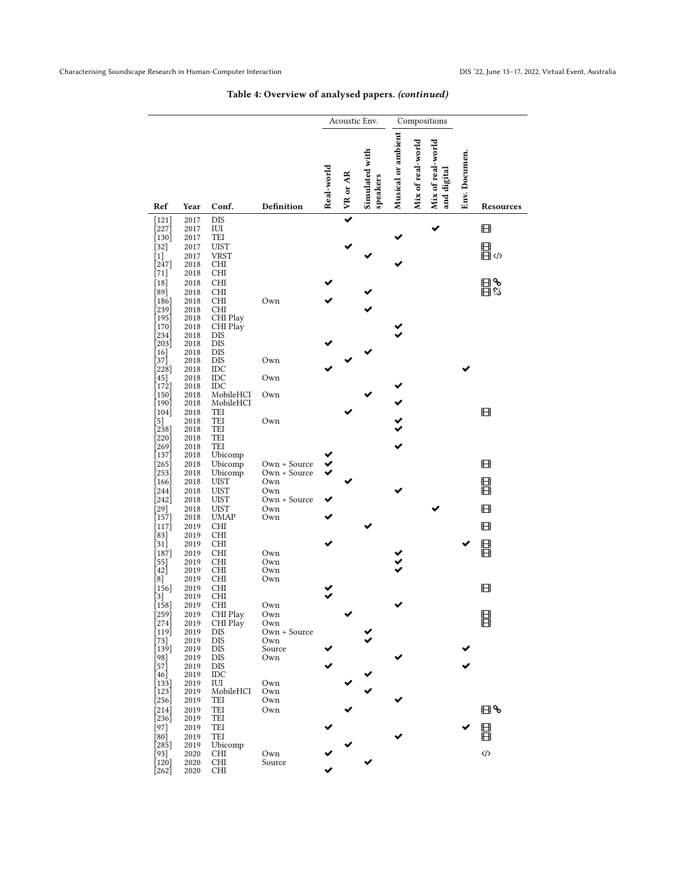|                            |              |                            |                              | Acoustic Env. |          |                            | Compositions       |                   |                                  |               |                   |
|----------------------------|--------------|----------------------------|------------------------------|---------------|----------|----------------------------|--------------------|-------------------|----------------------------------|---------------|-------------------|
| Ref                        | Year         | Conf.                      | Definition                   | Real-world    | VR or AR | Simulated with<br>speakers | Musical or ambient | Mix of real-world | Mix of real-world<br>and digital | Env. Documen. | Resources         |
| $[121]$                    | 2017         | <b>DIS</b>                 |                              |               |          |                            |                    |                   |                                  |               | ⊞                 |
| $[227]$<br>$[130]$         | 2017<br>2017 | IUI<br>TEI                 |                              |               |          |                            |                    |                   |                                  |               |                   |
| $[32]$<br>$[1]$            | 2017<br>2017 | <b>UIST</b><br><b>VRST</b> |                              |               |          |                            |                    |                   |                                  |               | 目<br>目⇔           |
| [247]<br>[71]              | 2018<br>2018 | CHI<br><b>CHI</b>          |                              |               |          |                            |                    |                   |                                  |               |                   |
| $[18]$                     | 2018         | <b>CHI</b>                 |                              |               |          |                            |                    |                   |                                  |               | ⊞%                |
| [89]<br>[186]              | 2018<br>2018 | <b>CHI</b><br><b>CHI</b>   | Own                          |               |          |                            |                    |                   |                                  |               | 田惢                |
| 239]                       | 2018         | <b>CHI</b>                 |                              |               |          |                            |                    |                   |                                  |               |                   |
| $[195]$<br>$170$ ]         | 2018<br>2018 | CHI Play<br>CHI Play       |                              |               |          |                            |                    |                   |                                  |               |                   |
| 234]<br>203]               | 2018<br>2018 | <b>DIS</b><br><b>DIS</b>   |                              |               |          |                            |                    |                   |                                  |               |                   |
| 16<br>37]                  | 2018<br>2018 | <b>DIS</b><br><b>DIS</b>   | Own                          |               |          |                            |                    |                   |                                  |               |                   |
| 228]                       | 2018         | IDC                        |                              |               |          |                            |                    |                   |                                  |               |                   |
| $45$ ]<br>[172]            | 2018<br>2018 | IDC<br>$_{\text{IDC}}$     | Own                          |               |          |                            |                    |                   |                                  |               |                   |
| 150<br>[190]               | 2018<br>2018 | MobileHCI<br>MobileHCI     | Own                          |               |          |                            |                    |                   |                                  |               |                   |
| $[104]$                    | 2018         | TEI                        |                              |               |          |                            |                    |                   |                                  |               | ⊞                 |
| [5]<br>238]                | 2018<br>2018 | TEI<br>TEI                 | Own                          |               |          |                            |                    |                   |                                  |               |                   |
| 220]<br>269]               | 2018<br>2018 | TEI<br>TEI                 |                              |               |          |                            |                    |                   |                                  |               |                   |
| $[137]$                    | 2018         | Ubicomp                    |                              |               |          |                            |                    |                   |                                  |               |                   |
| 265<br>253]                | 2018<br>2018 | Ubicomp<br>Ubicomp         | Own + Source<br>Own + Source |               |          |                            |                    |                   |                                  |               | ⊞                 |
| [166]<br>$[244]$           | 2018<br>2018 | <b>UIST</b><br><b>UIST</b> | Own<br>Own                   |               |          |                            |                    |                   |                                  |               | ⊞<br>⊞            |
| 242]                       | 2018         | <b>UIST</b>                | Own + Source                 |               |          |                            |                    |                   |                                  |               |                   |
| $[29]$<br>[157]            | 2018<br>2018 | <b>UIST</b><br><b>UMAP</b> | Own<br>Own                   |               |          |                            |                    |                   |                                  |               | ⊞                 |
| $[117]$<br>$83$ ]          | 2019<br>2019 | CHI<br>CHI                 |                              |               |          |                            |                    |                   |                                  |               | ⊞                 |
| $[31]$                     | 2019         | <b>CHI</b>                 |                              |               |          |                            |                    |                   |                                  |               | 目目                |
| [187]<br>55                | 2019<br>2019 | CHI<br><b>CHI</b>          | Own<br>Own                   |               |          |                            |                    |                   |                                  |               |                   |
| 42<br>$^{[8]}$             | 2019<br>2019 | CHI<br>CHI                 | Own<br>Own                   |               |          |                            |                    |                   |                                  |               |                   |
| $[156]$                    | 2019         | CHI                        |                              |               |          |                            |                    |                   |                                  |               | ⊞                 |
| $\left[ 3\right]$<br>[158] | 2019<br>2019 | CHI<br>CHI.                | Own                          |               |          |                            |                    |                   |                                  |               |                   |
| $[259]$<br>$[274]$         | 2019<br>2019 | CHI Play<br>CHI Play       | Own<br>Own                   |               |          |                            |                    |                   |                                  |               | 目目                |
| [119]                      | 2019         | <b>DIS</b>                 | Own + Source                 |               |          |                            |                    |                   |                                  |               |                   |
| $[73]$<br>$[139]$          | 2019<br>2019 | <b>DIS</b><br>DIS          | Own<br>Source                |               |          |                            |                    |                   |                                  |               |                   |
| [98]<br>ัร71ิ              | 2019<br>2019 | DIS<br>DIS                 | Own                          |               |          |                            |                    |                   |                                  |               |                   |
| [46]                       | 2019         | IDC<br>IUI                 |                              |               |          |                            |                    |                   |                                  |               |                   |
| $[133]$<br>$[123]$         | 2019<br>2019 | MobileHCI                  | Own<br>Own                   |               |          |                            |                    |                   |                                  |               |                   |
| 256]<br>$[214]$            | 2019<br>2019 | TEI<br>TEI                 | Own<br>Own                   |               |          |                            |                    |                   |                                  |               | ⊞%                |
| [236]                      | 2019         | TEI                        |                              |               |          |                            |                    |                   |                                  |               |                   |
| [97]<br>[80]               | 2019<br>2019 | TEI<br>TEI                 |                              |               |          |                            |                    |                   |                                  |               | 目目                |
| 285]<br>$[93]$             | 2019<br>2020 | Ubicomp<br>CHI             | Own                          |               |          |                            |                    |                   |                                  |               | $\langle \rangle$ |
| [120]<br>[262]             | 2020<br>2020 | CHI<br><b>CHI</b>          | Source                       |               |          |                            |                    |                   |                                  |               |                   |

# Table 4: Overview of analysed papers. (continued)